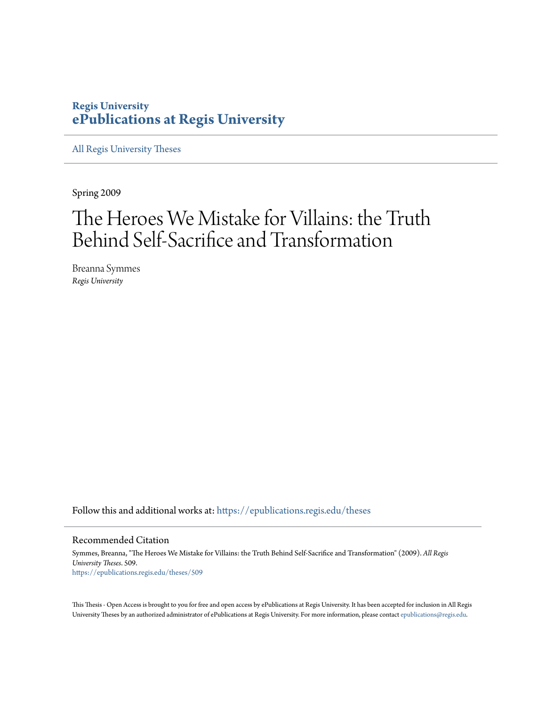#### **Regis University [ePublications at Regis University](https://epublications.regis.edu?utm_source=epublications.regis.edu%2Ftheses%2F509&utm_medium=PDF&utm_campaign=PDFCoverPages)**

[All Regis University Theses](https://epublications.regis.edu/theses?utm_source=epublications.regis.edu%2Ftheses%2F509&utm_medium=PDF&utm_campaign=PDFCoverPages)

Spring 2009

## The Heroes We Mistake for Villains: the Truth Behind Self-Sacrifice and Transformation

Breanna Symmes *Regis University*

Follow this and additional works at: [https://epublications.regis.edu/theses](https://epublications.regis.edu/theses?utm_source=epublications.regis.edu%2Ftheses%2F509&utm_medium=PDF&utm_campaign=PDFCoverPages)

#### Recommended Citation

Symmes, Breanna, "The Heroes We Mistake for Villains: the Truth Behind Self-Sacrifice and Transformation" (2009). *All Regis University Theses*. 509. [https://epublications.regis.edu/theses/509](https://epublications.regis.edu/theses/509?utm_source=epublications.regis.edu%2Ftheses%2F509&utm_medium=PDF&utm_campaign=PDFCoverPages)

This Thesis - Open Access is brought to you for free and open access by ePublications at Regis University. It has been accepted for inclusion in All Regis University Theses by an authorized administrator of ePublications at Regis University. For more information, please contact [epublications@regis.edu.](mailto:epublications@regis.edu)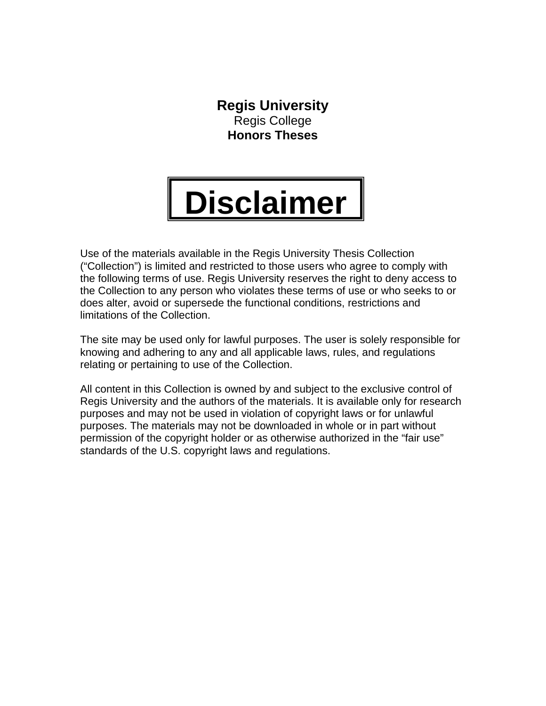**Regis University**  Regis College **Honors Theses** 

# **Disclaimer**

Use of the materials available in the Regis University Thesis Collection ("Collection") is limited and restricted to those users who agree to comply with the following terms of use. Regis University reserves the right to deny access to the Collection to any person who violates these terms of use or who seeks to or does alter, avoid or supersede the functional conditions, restrictions and limitations of the Collection.

The site may be used only for lawful purposes. The user is solely responsible for knowing and adhering to any and all applicable laws, rules, and regulations relating or pertaining to use of the Collection.

All content in this Collection is owned by and subject to the exclusive control of Regis University and the authors of the materials. It is available only for research purposes and may not be used in violation of copyright laws or for unlawful purposes. The materials may not be downloaded in whole or in part without permission of the copyright holder or as otherwise authorized in the "fair use" standards of the U.S. copyright laws and regulations.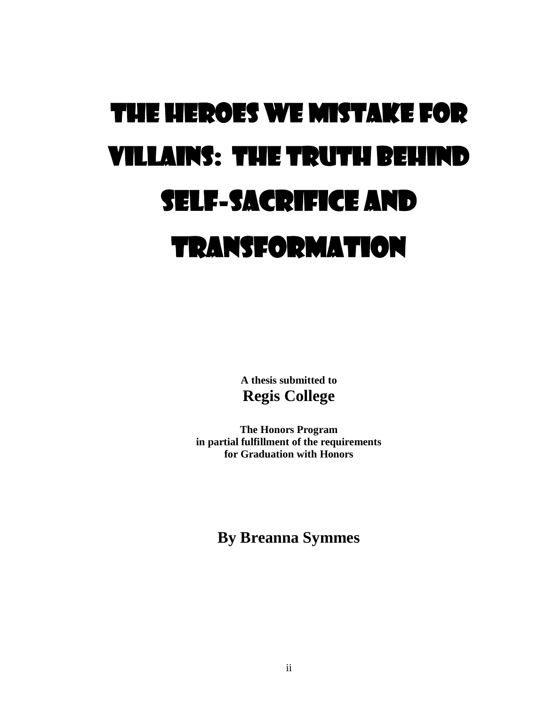# THE HEROES WE MISTAKE FOR VILLAINS: THE TRUTH BEHIND SELF-SACRIFICE AND TRANSFORMATION

**A thesis submitted to Regis College** 

**The Honors Program in partial fulfillment of the requirements for Graduation with Honors**

**By Breanna Symmes**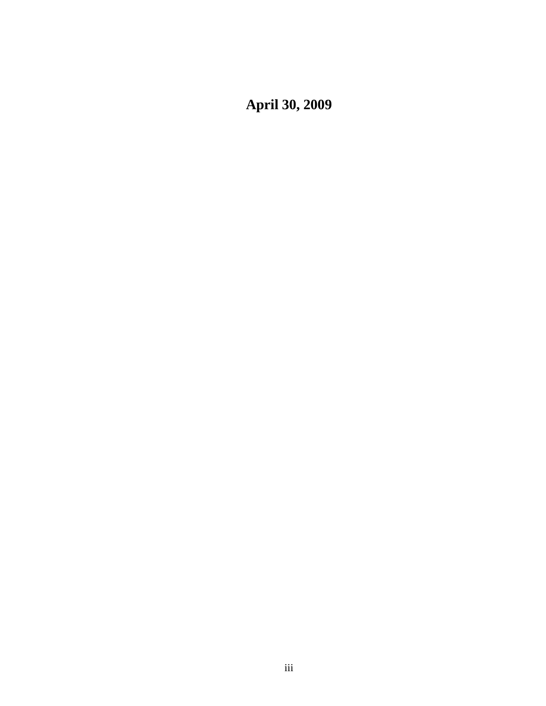**April 30, 2009**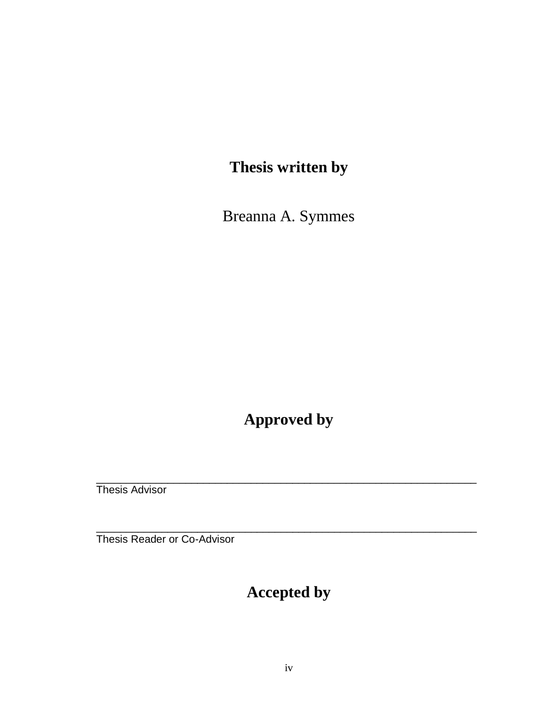## **Thesis written by**

Breanna A. Symmes

#### **Approved by**

\_\_\_\_\_\_\_\_\_\_\_\_\_\_\_\_\_\_\_\_\_\_\_\_\_\_\_\_\_\_\_\_\_\_\_\_\_\_\_\_\_\_\_\_\_\_\_\_\_\_\_\_\_\_\_\_\_\_\_\_\_\_\_\_

\_\_\_\_\_\_\_\_\_\_\_\_\_\_\_\_\_\_\_\_\_\_\_\_\_\_\_\_\_\_\_\_\_\_\_\_\_\_\_\_\_\_\_\_\_\_\_\_\_\_\_\_\_\_\_\_\_\_\_\_\_\_\_\_

Thesis Advisor

Thesis Reader or Co-Advisor

## **Accepted by**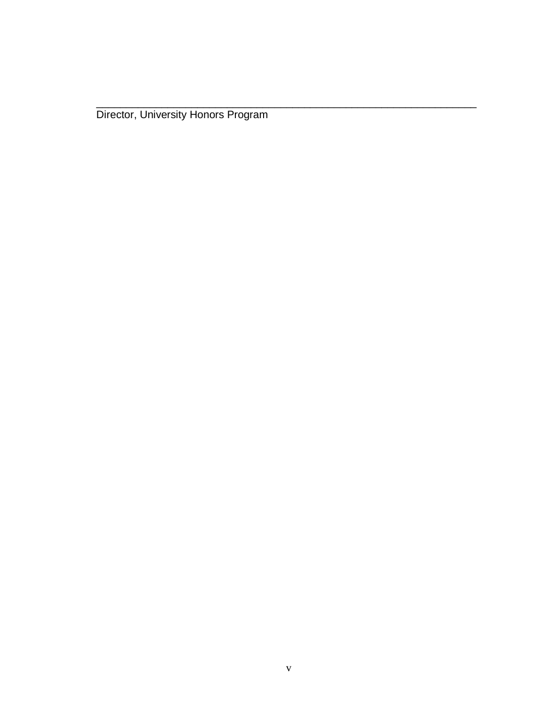Director, University Honors Program

\_\_\_\_\_\_\_\_\_\_\_\_\_\_\_\_\_\_\_\_\_\_\_\_\_\_\_\_\_\_\_\_\_\_\_\_\_\_\_\_\_\_\_\_\_\_\_\_\_\_\_\_\_\_\_\_\_\_\_\_\_\_\_\_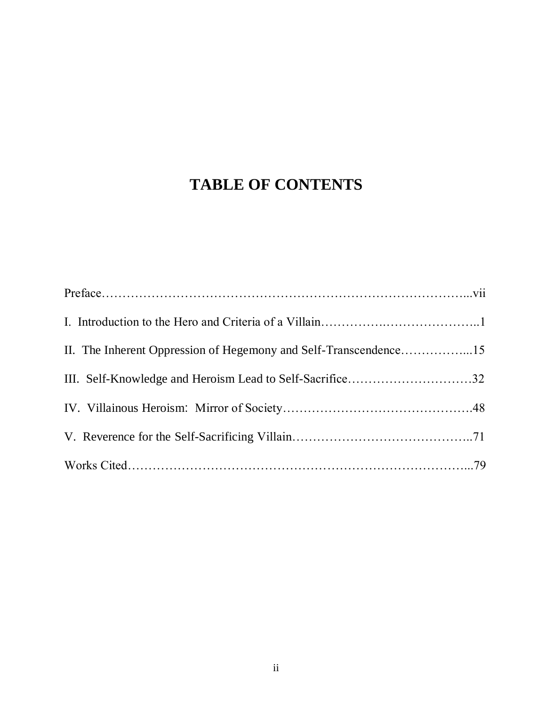### **TABLE OF CONTENTS**

| II. The Inherent Oppression of Hegemony and Self-Transcendence15<br>III. Self-Knowledge and Heroism Lead to Self-Sacrifice32 |  |  |  |
|------------------------------------------------------------------------------------------------------------------------------|--|--|--|
|                                                                                                                              |  |  |  |
|                                                                                                                              |  |  |  |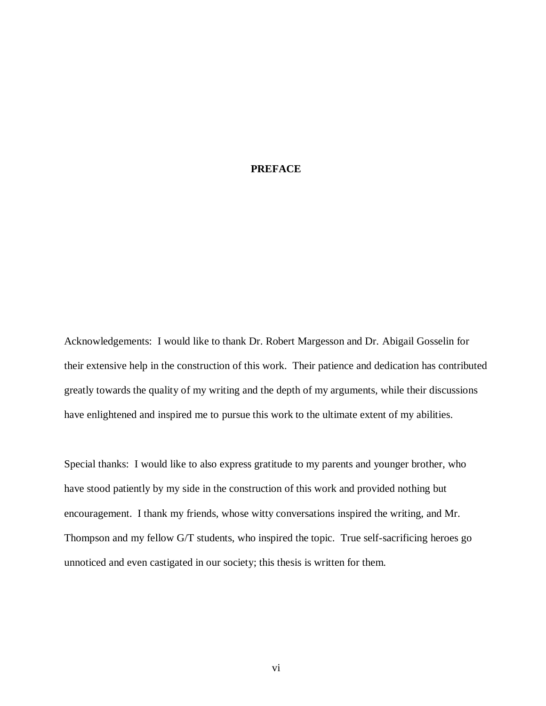#### **PREFACE**

Acknowledgements: I would like to thank Dr. Robert Margesson and Dr. Abigail Gosselin for their extensive help in the construction of this work. Their patience and dedication has contributed greatly towards the quality of my writing and the depth of my arguments, while their discussions have enlightened and inspired me to pursue this work to the ultimate extent of my abilities.

Special thanks: I would like to also express gratitude to my parents and younger brother, who have stood patiently by my side in the construction of this work and provided nothing but encouragement. I thank my friends, whose witty conversations inspired the writing, and Mr. Thompson and my fellow G/T students, who inspired the topic. True self-sacrificing heroes go unnoticed and even castigated in our society; this thesis is written for them.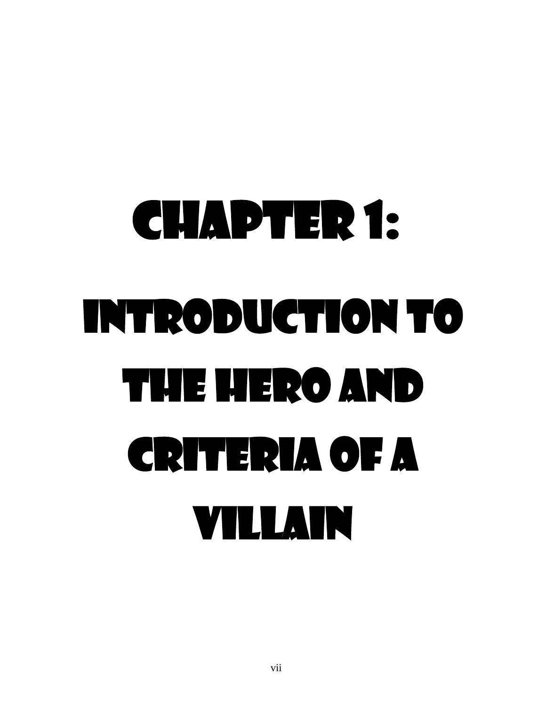# Chapter 1: Introduction to the Hero and Criteria of a Villain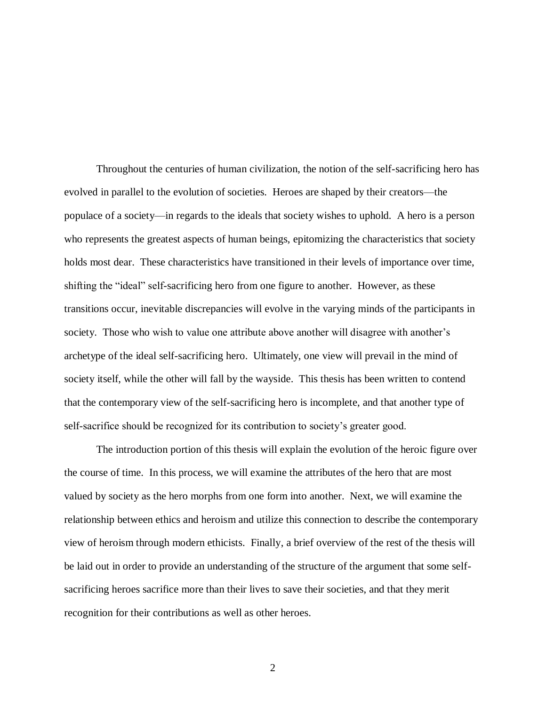Throughout the centuries of human civilization, the notion of the self-sacrificing hero has evolved in parallel to the evolution of societies. Heroes are shaped by their creators—the populace of a society—in regards to the ideals that society wishes to uphold. A hero is a person who represents the greatest aspects of human beings, epitomizing the characteristics that society holds most dear. These characteristics have transitioned in their levels of importance over time, shifting the "ideal" self-sacrificing hero from one figure to another. However, as these transitions occur, inevitable discrepancies will evolve in the varying minds of the participants in society. Those who wish to value one attribute above another will disagree with another's archetype of the ideal self-sacrificing hero. Ultimately, one view will prevail in the mind of society itself, while the other will fall by the wayside. This thesis has been written to contend that the contemporary view of the self-sacrificing hero is incomplete, and that another type of self-sacrifice should be recognized for its contribution to society"s greater good.

The introduction portion of this thesis will explain the evolution of the heroic figure over the course of time. In this process, we will examine the attributes of the hero that are most valued by society as the hero morphs from one form into another. Next, we will examine the relationship between ethics and heroism and utilize this connection to describe the contemporary view of heroism through modern ethicists. Finally, a brief overview of the rest of the thesis will be laid out in order to provide an understanding of the structure of the argument that some selfsacrificing heroes sacrifice more than their lives to save their societies, and that they merit recognition for their contributions as well as other heroes.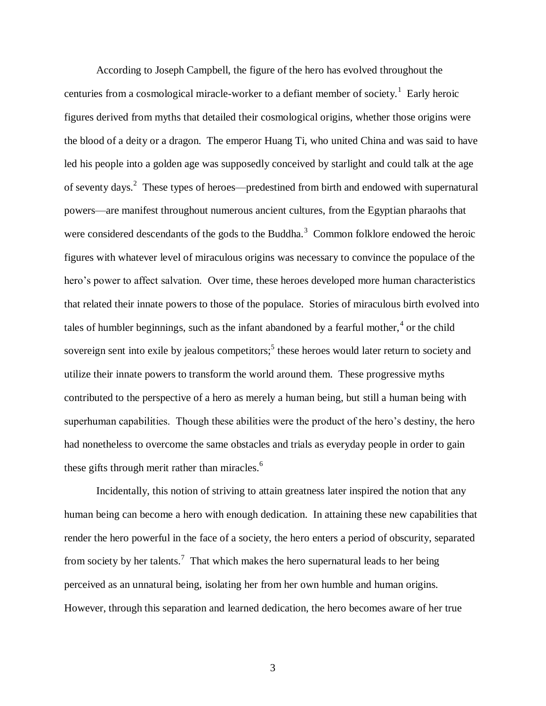According to Joseph Campbell, the figure of the hero has evolved throughout the centuries from a cosmological miracle-worker to a defiant member of society.<sup>1</sup> Early heroic figures derived from myths that detailed their cosmological origins, whether those origins were the blood of a deity or a dragon. The emperor Huang Ti, who united China and was said to have led his people into a golden age was supposedly conceived by starlight and could talk at the age of seventy days.<sup>2</sup> These types of heroes—predestined from birth and endowed with supernatural powers—are manifest throughout numerous ancient cultures, from the Egyptian pharaohs that were considered descendants of the gods to the Buddha.<sup>3</sup> Common folklore endowed the heroic figures with whatever level of miraculous origins was necessary to convince the populace of the hero's power to affect salvation. Over time, these heroes developed more human characteristics that related their innate powers to those of the populace. Stories of miraculous birth evolved into tales of humbler beginnings, such as the infant abandoned by a fearful mother, $4$  or the child sovereign sent into exile by jealous competitors;<sup>5</sup> these heroes would later return to society and utilize their innate powers to transform the world around them. These progressive myths contributed to the perspective of a hero as merely a human being, but still a human being with superhuman capabilities. Though these abilities were the product of the hero"s destiny, the hero had nonetheless to overcome the same obstacles and trials as everyday people in order to gain these gifts through merit rather than miracles.<sup>6</sup>

Incidentally, this notion of striving to attain greatness later inspired the notion that any human being can become a hero with enough dedication. In attaining these new capabilities that render the hero powerful in the face of a society, the hero enters a period of obscurity, separated from society by her talents.<sup>7</sup> That which makes the hero supernatural leads to her being perceived as an unnatural being, isolating her from her own humble and human origins. However, through this separation and learned dedication, the hero becomes aware of her true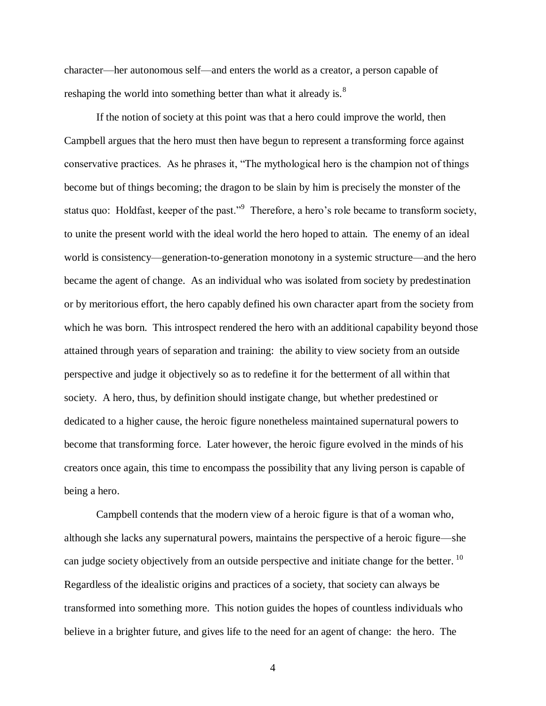character—her autonomous self—and enters the world as a creator, a person capable of reshaping the world into something better than what it already is. $8<sup>8</sup>$ 

If the notion of society at this point was that a hero could improve the world, then Campbell argues that the hero must then have begun to represent a transforming force against conservative practices. As he phrases it, "The mythological hero is the champion not of things become but of things becoming; the dragon to be slain by him is precisely the monster of the status quo: Holdfast, keeper of the past."<sup>9</sup> Therefore, a hero's role became to transform society, to unite the present world with the ideal world the hero hoped to attain. The enemy of an ideal world is consistency—generation-to-generation monotony in a systemic structure—and the hero became the agent of change. As an individual who was isolated from society by predestination or by meritorious effort, the hero capably defined his own character apart from the society from which he was born. This introspect rendered the hero with an additional capability beyond those attained through years of separation and training: the ability to view society from an outside perspective and judge it objectively so as to redefine it for the betterment of all within that society. A hero, thus, by definition should instigate change, but whether predestined or dedicated to a higher cause, the heroic figure nonetheless maintained supernatural powers to become that transforming force. Later however, the heroic figure evolved in the minds of his creators once again, this time to encompass the possibility that any living person is capable of being a hero.

Campbell contends that the modern view of a heroic figure is that of a woman who, although she lacks any supernatural powers, maintains the perspective of a heroic figure—she can judge society objectively from an outside perspective and initiate change for the better.  $^{10}$ Regardless of the idealistic origins and practices of a society, that society can always be transformed into something more. This notion guides the hopes of countless individuals who believe in a brighter future, and gives life to the need for an agent of change: the hero. The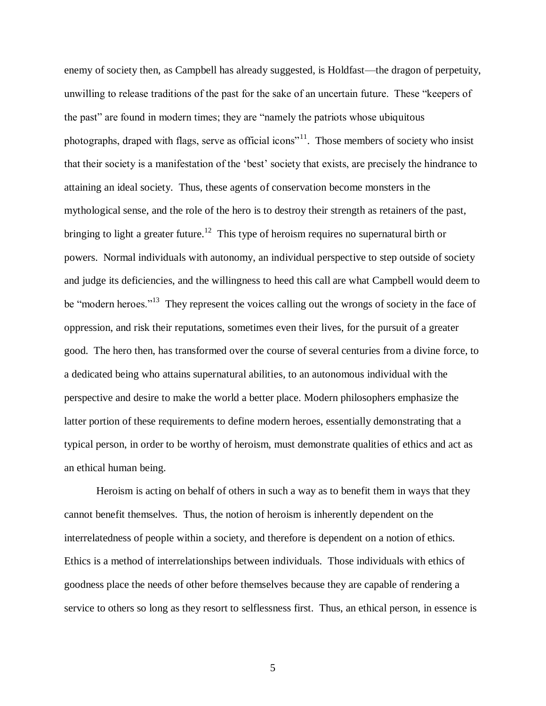enemy of society then, as Campbell has already suggested, is Holdfast—the dragon of perpetuity, unwilling to release traditions of the past for the sake of an uncertain future. These "keepers of the past" are found in modern times; they are "namely the patriots whose ubiquitous photographs, draped with flags, serve as official icons<sup>"11</sup>. Those members of society who insist that their society is a manifestation of the "best" society that exists, are precisely the hindrance to attaining an ideal society. Thus, these agents of conservation become monsters in the mythological sense, and the role of the hero is to destroy their strength as retainers of the past, bringing to light a greater future.<sup>12</sup> This type of heroism requires no supernatural birth or powers. Normal individuals with autonomy, an individual perspective to step outside of society and judge its deficiencies, and the willingness to heed this call are what Campbell would deem to be "modern heroes."<sup>13</sup> They represent the voices calling out the wrongs of society in the face of oppression, and risk their reputations, sometimes even their lives, for the pursuit of a greater good. The hero then, has transformed over the course of several centuries from a divine force, to a dedicated being who attains supernatural abilities, to an autonomous individual with the perspective and desire to make the world a better place. Modern philosophers emphasize the latter portion of these requirements to define modern heroes, essentially demonstrating that a typical person, in order to be worthy of heroism, must demonstrate qualities of ethics and act as an ethical human being.

Heroism is acting on behalf of others in such a way as to benefit them in ways that they cannot benefit themselves. Thus, the notion of heroism is inherently dependent on the interrelatedness of people within a society, and therefore is dependent on a notion of ethics. Ethics is a method of interrelationships between individuals. Those individuals with ethics of goodness place the needs of other before themselves because they are capable of rendering a service to others so long as they resort to selflessness first. Thus, an ethical person, in essence is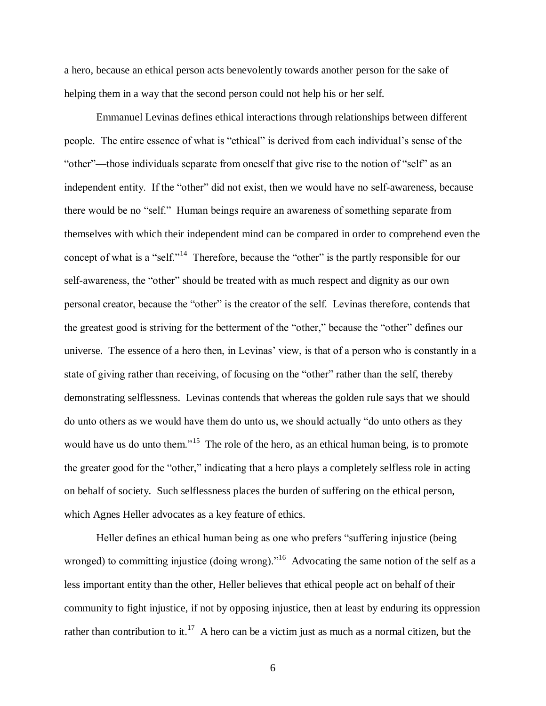a hero, because an ethical person acts benevolently towards another person for the sake of helping them in a way that the second person could not help his or her self.

Emmanuel Levinas defines ethical interactions through relationships between different people. The entire essence of what is "ethical" is derived from each individual"s sense of the "other"—those individuals separate from oneself that give rise to the notion of "self" as an independent entity. If the "other" did not exist, then we would have no self-awareness, because there would be no "self." Human beings require an awareness of something separate from themselves with which their independent mind can be compared in order to comprehend even the concept of what is a "self."<sup>14</sup> Therefore, because the "other" is the partly responsible for our self-awareness, the "other" should be treated with as much respect and dignity as our own personal creator, because the "other" is the creator of the self. Levinas therefore, contends that the greatest good is striving for the betterment of the "other," because the "other" defines our universe. The essence of a hero then, in Levinas' view, is that of a person who is constantly in a state of giving rather than receiving, of focusing on the "other" rather than the self, thereby demonstrating selflessness. Levinas contends that whereas the golden rule says that we should do unto others as we would have them do unto us, we should actually "do unto others as they would have us do unto them."<sup>15</sup> The role of the hero, as an ethical human being, is to promote the greater good for the "other," indicating that a hero plays a completely selfless role in acting on behalf of society. Such selflessness places the burden of suffering on the ethical person, which Agnes Heller advocates as a key feature of ethics.

Heller defines an ethical human being as one who prefers "suffering injustice (being wronged) to committing injustice (doing wrong)."<sup>16</sup> Advocating the same notion of the self as a less important entity than the other, Heller believes that ethical people act on behalf of their community to fight injustice, if not by opposing injustice, then at least by enduring its oppression rather than contribution to it.<sup>17</sup> A hero can be a victim just as much as a normal citizen, but the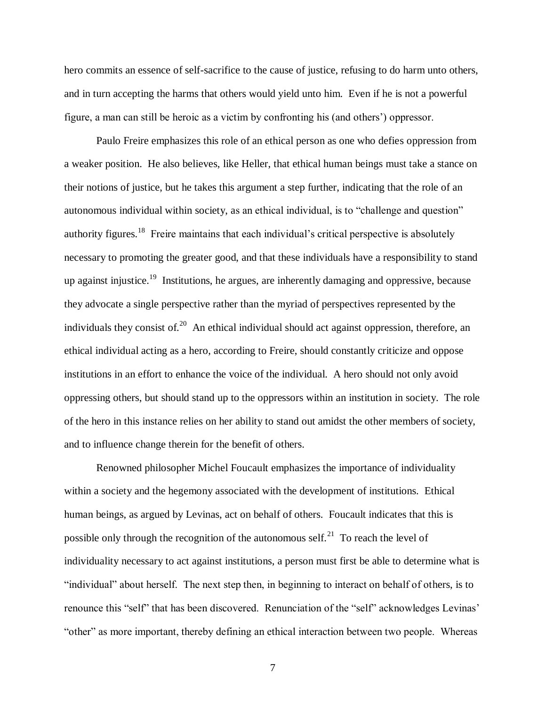hero commits an essence of self-sacrifice to the cause of justice, refusing to do harm unto others, and in turn accepting the harms that others would yield unto him. Even if he is not a powerful figure, a man can still be heroic as a victim by confronting his (and others") oppressor.

Paulo Freire emphasizes this role of an ethical person as one who defies oppression from a weaker position. He also believes, like Heller, that ethical human beings must take a stance on their notions of justice, but he takes this argument a step further, indicating that the role of an autonomous individual within society, as an ethical individual, is to "challenge and question" authority figures.<sup>18</sup> Freire maintains that each individual's critical perspective is absolutely necessary to promoting the greater good, and that these individuals have a responsibility to stand up against injustice.<sup>19</sup> Institutions, he argues, are inherently damaging and oppressive, because they advocate a single perspective rather than the myriad of perspectives represented by the individuals they consist of.<sup>20</sup> An ethical individual should act against oppression, therefore, an ethical individual acting as a hero, according to Freire, should constantly criticize and oppose institutions in an effort to enhance the voice of the individual. A hero should not only avoid oppressing others, but should stand up to the oppressors within an institution in society. The role of the hero in this instance relies on her ability to stand out amidst the other members of society, and to influence change therein for the benefit of others.

Renowned philosopher Michel Foucault emphasizes the importance of individuality within a society and the hegemony associated with the development of institutions. Ethical human beings, as argued by Levinas, act on behalf of others. Foucault indicates that this is possible only through the recognition of the autonomous self.<sup>21</sup> To reach the level of individuality necessary to act against institutions, a person must first be able to determine what is "individual" about herself. The next step then, in beginning to interact on behalf of others, is to renounce this "self" that has been discovered. Renunciation of the "self" acknowledges Levinas" "other" as more important, thereby defining an ethical interaction between two people. Whereas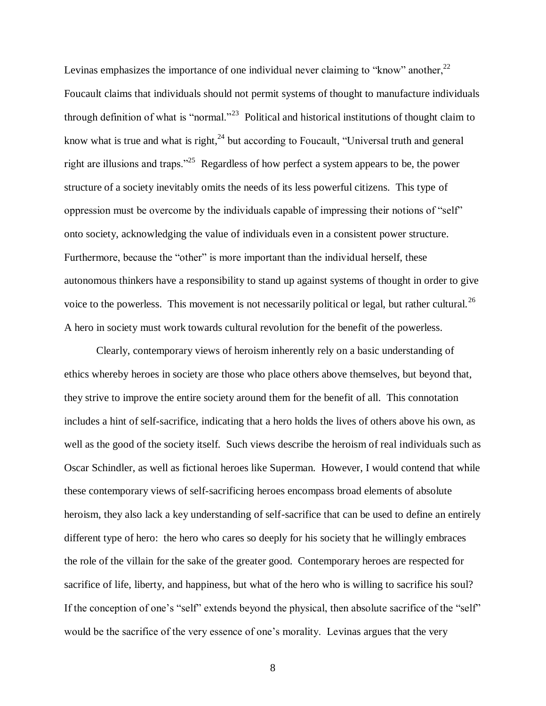Levinas emphasizes the importance of one individual never claiming to "know" another,  $2^2$ Foucault claims that individuals should not permit systems of thought to manufacture individuals through definition of what is "normal."<sup>23</sup> Political and historical institutions of thought claim to know what is true and what is right,  $^{24}$  but according to Foucault, "Universal truth and general right are illusions and traps."<sup>25</sup> Regardless of how perfect a system appears to be, the power structure of a society inevitably omits the needs of its less powerful citizens. This type of oppression must be overcome by the individuals capable of impressing their notions of "self" onto society, acknowledging the value of individuals even in a consistent power structure. Furthermore, because the "other" is more important than the individual herself, these autonomous thinkers have a responsibility to stand up against systems of thought in order to give voice to the powerless. This movement is not necessarily political or legal, but rather cultural.<sup>26</sup> A hero in society must work towards cultural revolution for the benefit of the powerless.

Clearly, contemporary views of heroism inherently rely on a basic understanding of ethics whereby heroes in society are those who place others above themselves, but beyond that, they strive to improve the entire society around them for the benefit of all. This connotation includes a hint of self-sacrifice, indicating that a hero holds the lives of others above his own, as well as the good of the society itself. Such views describe the heroism of real individuals such as Oscar Schindler, as well as fictional heroes like Superman. However, I would contend that while these contemporary views of self-sacrificing heroes encompass broad elements of absolute heroism, they also lack a key understanding of self-sacrifice that can be used to define an entirely different type of hero: the hero who cares so deeply for his society that he willingly embraces the role of the villain for the sake of the greater good. Contemporary heroes are respected for sacrifice of life, liberty, and happiness, but what of the hero who is willing to sacrifice his soul? If the conception of one's "self" extends beyond the physical, then absolute sacrifice of the "self" would be the sacrifice of the very essence of one"s morality. Levinas argues that the very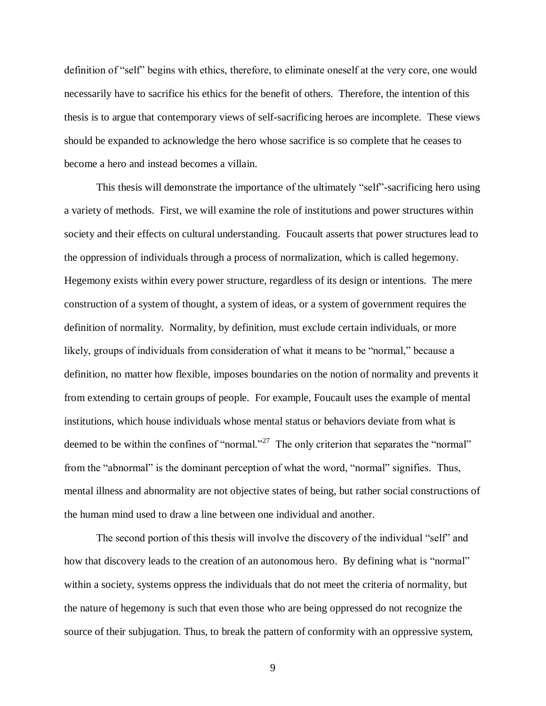definition of "self" begins with ethics, therefore, to eliminate oneself at the very core, one would necessarily have to sacrifice his ethics for the benefit of others. Therefore, the intention of this thesis is to argue that contemporary views of self-sacrificing heroes are incomplete. These views should be expanded to acknowledge the hero whose sacrifice is so complete that he ceases to become a hero and instead becomes a villain.

This thesis will demonstrate the importance of the ultimately "self"-sacrificing hero using a variety of methods. First, we will examine the role of institutions and power structures within society and their effects on cultural understanding. Foucault asserts that power structures lead to the oppression of individuals through a process of normalization, which is called hegemony. Hegemony exists within every power structure, regardless of its design or intentions. The mere construction of a system of thought, a system of ideas, or a system of government requires the definition of normality. Normality, by definition, must exclude certain individuals, or more likely, groups of individuals from consideration of what it means to be "normal," because a definition, no matter how flexible, imposes boundaries on the notion of normality and prevents it from extending to certain groups of people. For example, Foucault uses the example of mental institutions, which house individuals whose mental status or behaviors deviate from what is deemed to be within the confines of "normal."<sup>27</sup> The only criterion that separates the "normal" from the "abnormal" is the dominant perception of what the word, "normal" signifies. Thus, mental illness and abnormality are not objective states of being, but rather social constructions of the human mind used to draw a line between one individual and another.

The second portion of this thesis will involve the discovery of the individual "self" and how that discovery leads to the creation of an autonomous hero. By defining what is "normal" within a society, systems oppress the individuals that do not meet the criteria of normality, but the nature of hegemony is such that even those who are being oppressed do not recognize the source of their subjugation. Thus, to break the pattern of conformity with an oppressive system,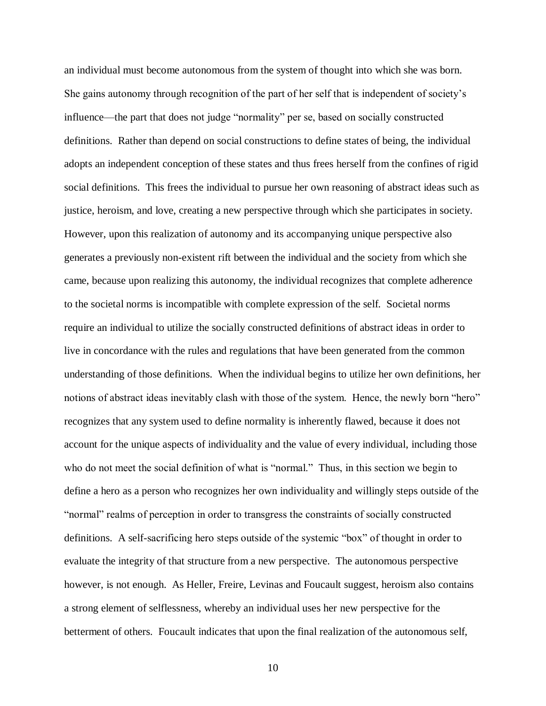an individual must become autonomous from the system of thought into which she was born. She gains autonomy through recognition of the part of her self that is independent of society"s influence—the part that does not judge "normality" per se, based on socially constructed definitions. Rather than depend on social constructions to define states of being, the individual adopts an independent conception of these states and thus frees herself from the confines of rigid social definitions. This frees the individual to pursue her own reasoning of abstract ideas such as justice, heroism, and love, creating a new perspective through which she participates in society. However, upon this realization of autonomy and its accompanying unique perspective also generates a previously non-existent rift between the individual and the society from which she came, because upon realizing this autonomy, the individual recognizes that complete adherence to the societal norms is incompatible with complete expression of the self. Societal norms require an individual to utilize the socially constructed definitions of abstract ideas in order to live in concordance with the rules and regulations that have been generated from the common understanding of those definitions. When the individual begins to utilize her own definitions, her notions of abstract ideas inevitably clash with those of the system. Hence, the newly born "hero" recognizes that any system used to define normality is inherently flawed, because it does not account for the unique aspects of individuality and the value of every individual, including those who do not meet the social definition of what is "normal." Thus, in this section we begin to define a hero as a person who recognizes her own individuality and willingly steps outside of the "normal" realms of perception in order to transgress the constraints of socially constructed definitions. A self-sacrificing hero steps outside of the systemic "box" of thought in order to evaluate the integrity of that structure from a new perspective. The autonomous perspective however, is not enough. As Heller, Freire, Levinas and Foucault suggest, heroism also contains a strong element of selflessness, whereby an individual uses her new perspective for the betterment of others. Foucault indicates that upon the final realization of the autonomous self,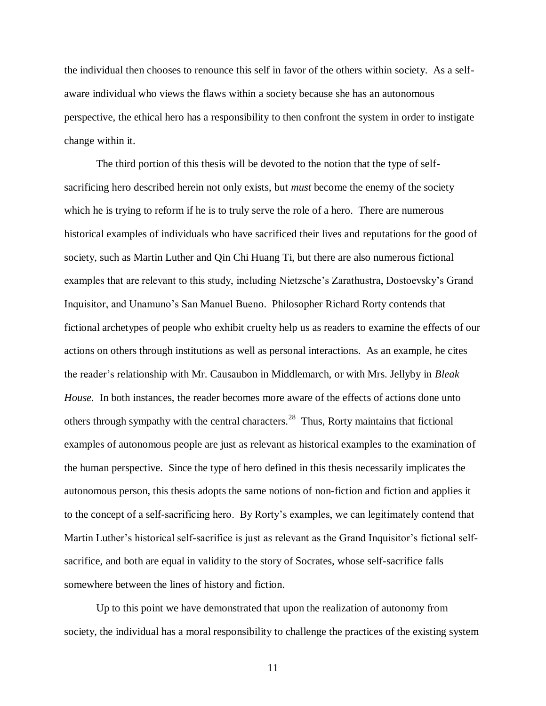the individual then chooses to renounce this self in favor of the others within society. As a selfaware individual who views the flaws within a society because she has an autonomous perspective, the ethical hero has a responsibility to then confront the system in order to instigate change within it.

The third portion of this thesis will be devoted to the notion that the type of selfsacrificing hero described herein not only exists, but *must* become the enemy of the society which he is trying to reform if he is to truly serve the role of a hero. There are numerous historical examples of individuals who have sacrificed their lives and reputations for the good of society, such as Martin Luther and Qin Chi Huang Ti, but there are also numerous fictional examples that are relevant to this study, including Nietzsche"s Zarathustra, Dostoevsky"s Grand Inquisitor, and Unamuno"s San Manuel Bueno. Philosopher Richard Rorty contends that fictional archetypes of people who exhibit cruelty help us as readers to examine the effects of our actions on others through institutions as well as personal interactions. As an example, he cites the reader"s relationship with Mr. Causaubon in Middlemarch, or with Mrs. Jellyby in *Bleak House.* In both instances, the reader becomes more aware of the effects of actions done unto others through sympathy with the central characters.<sup>28</sup> Thus, Rorty maintains that fictional examples of autonomous people are just as relevant as historical examples to the examination of the human perspective. Since the type of hero defined in this thesis necessarily implicates the autonomous person, this thesis adopts the same notions of non-fiction and fiction and applies it to the concept of a self-sacrificing hero. By Rorty"s examples, we can legitimately contend that Martin Luther's historical self-sacrifice is just as relevant as the Grand Inquisitor's fictional selfsacrifice, and both are equal in validity to the story of Socrates, whose self-sacrifice falls somewhere between the lines of history and fiction.

Up to this point we have demonstrated that upon the realization of autonomy from society, the individual has a moral responsibility to challenge the practices of the existing system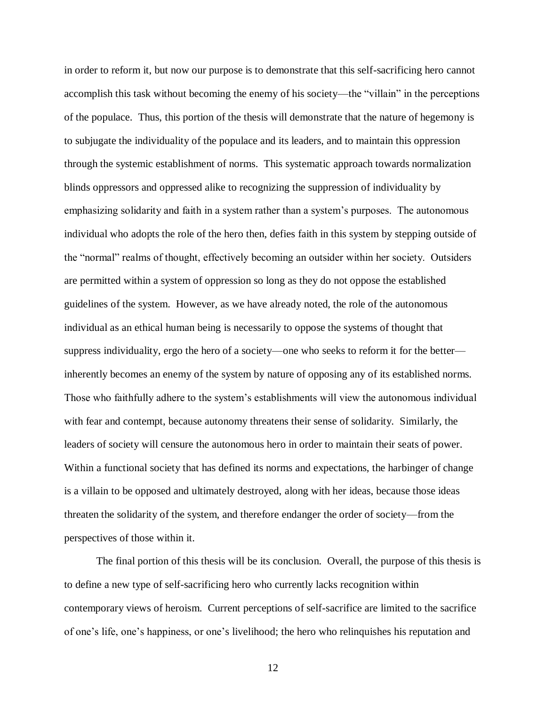in order to reform it, but now our purpose is to demonstrate that this self-sacrificing hero cannot accomplish this task without becoming the enemy of his society—the "villain" in the perceptions of the populace. Thus, this portion of the thesis will demonstrate that the nature of hegemony is to subjugate the individuality of the populace and its leaders, and to maintain this oppression through the systemic establishment of norms. This systematic approach towards normalization blinds oppressors and oppressed alike to recognizing the suppression of individuality by emphasizing solidarity and faith in a system rather than a system"s purposes. The autonomous individual who adopts the role of the hero then, defies faith in this system by stepping outside of the "normal" realms of thought, effectively becoming an outsider within her society. Outsiders are permitted within a system of oppression so long as they do not oppose the established guidelines of the system. However, as we have already noted, the role of the autonomous individual as an ethical human being is necessarily to oppose the systems of thought that suppress individuality, ergo the hero of a society—one who seeks to reform it for the better inherently becomes an enemy of the system by nature of opposing any of its established norms. Those who faithfully adhere to the system"s establishments will view the autonomous individual with fear and contempt, because autonomy threatens their sense of solidarity. Similarly, the leaders of society will censure the autonomous hero in order to maintain their seats of power. Within a functional society that has defined its norms and expectations, the harbinger of change is a villain to be opposed and ultimately destroyed, along with her ideas, because those ideas threaten the solidarity of the system, and therefore endanger the order of society—from the perspectives of those within it.

The final portion of this thesis will be its conclusion. Overall, the purpose of this thesis is to define a new type of self-sacrificing hero who currently lacks recognition within contemporary views of heroism. Current perceptions of self-sacrifice are limited to the sacrifice of one"s life, one"s happiness, or one"s livelihood; the hero who relinquishes his reputation and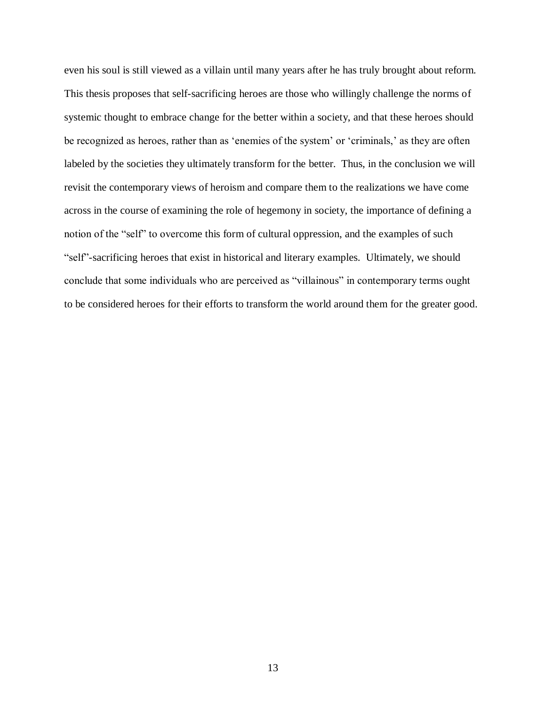even his soul is still viewed as a villain until many years after he has truly brought about reform. This thesis proposes that self-sacrificing heroes are those who willingly challenge the norms of systemic thought to embrace change for the better within a society, and that these heroes should be recognized as heroes, rather than as 'enemies of the system' or 'criminals,' as they are often labeled by the societies they ultimately transform for the better. Thus, in the conclusion we will revisit the contemporary views of heroism and compare them to the realizations we have come across in the course of examining the role of hegemony in society, the importance of defining a notion of the "self" to overcome this form of cultural oppression, and the examples of such "self"-sacrificing heroes that exist in historical and literary examples. Ultimately, we should conclude that some individuals who are perceived as "villainous" in contemporary terms ought to be considered heroes for their efforts to transform the world around them for the greater good.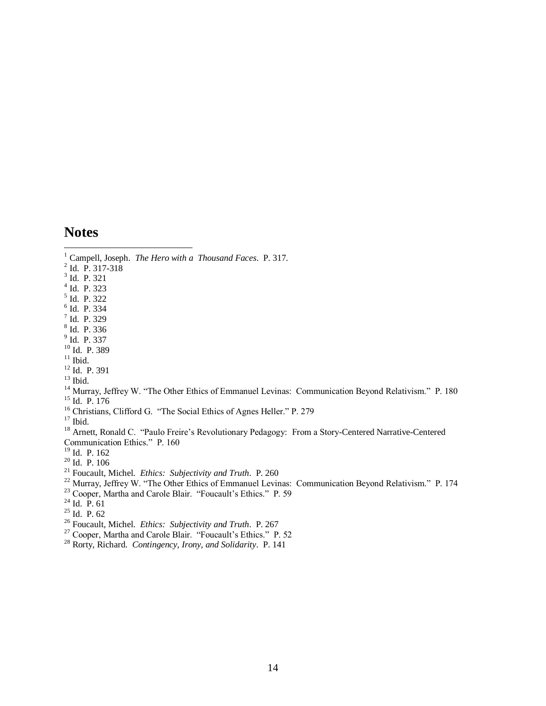#### **Notes**

 $\overline{a}$ 

Campell, Joseph. *The Hero with a Thousand Faces*. P. 317.

- Id. P. 317-318
- Id. P. 321
- Id. P. 323
- Id. P. 322
- Id. P. 334
- Id. P. 329
- Id. P. 336
- <sup>9</sup> Id. P. 337
- Id. P. 389
- Ibid.
- $^{12}$  Id. P. 391

Ibid.

- <sup>14</sup> Murray, Jeffrey W. "The Other Ethics of Emmanuel Levinas: Communication Beyond Relativism." P. 180 Id. P. 176
- <sup>16</sup> Christians, Clifford G. "The Social Ethics of Agnes Heller." P. 279
- Ibid.

<sup>18</sup> Arnett, Ronald C. "Paulo Freire's Revolutionary Pedagogy: From a Story-Centered Narrative-Centered Communication Ethics." P. 160

Id. P. 162

Id. P. 106

- Foucault, Michel. *Ethics: Subjectivity and Truth*. P. 260
- Murray, Jeffrey W. "The Other Ethics of Emmanuel Levinas: Communication Beyond Relativism." P. 174
- <sup>23</sup> Cooper, Martha and Carole Blair. "Foucault's Ethics." P. 59
- $^{24}$  Id. P. 61
- $^{25}$  Id. P. 62
- Foucault, Michel. *Ethics: Subjectivity and Truth*. P. 267
- <sup>27</sup> Cooper, Martha and Carole Blair. "Foucault's Ethics." P. 52
- Rorty, Richard. *Contingency, Irony, and Solidarity*. P. 141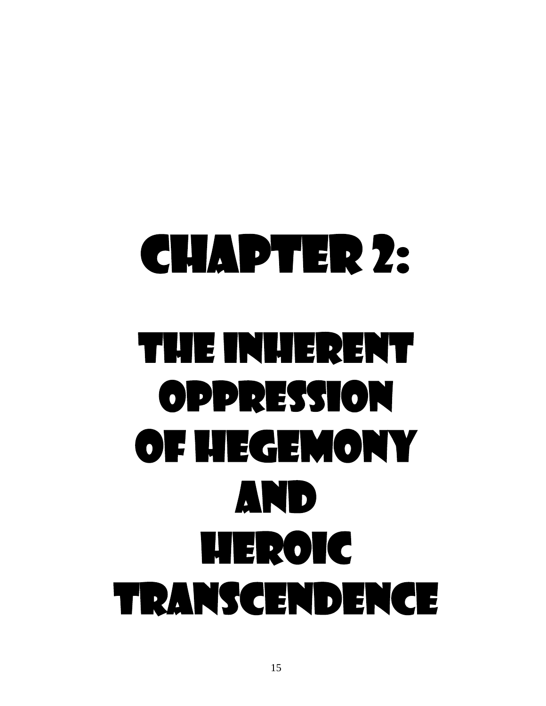# Chapter 2: The Inherent Oppression of Hegemony and Heroic Transcendence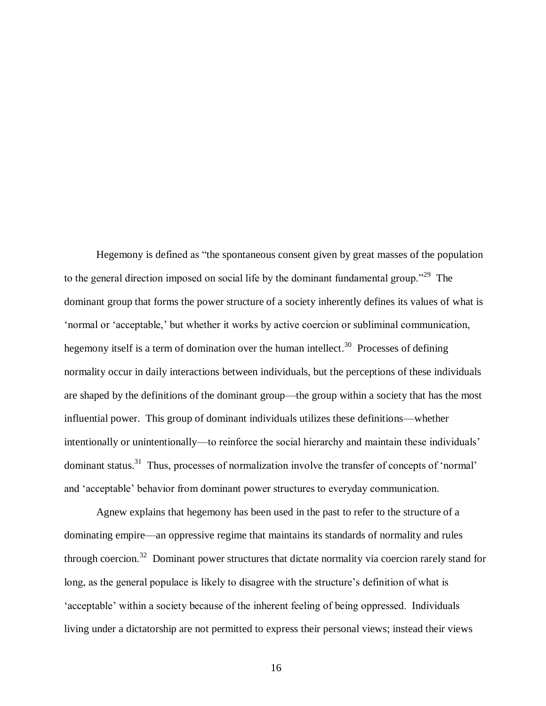Hegemony is defined as "the spontaneous consent given by great masses of the population to the general direction imposed on social life by the dominant fundamental group."<sup>29</sup> The dominant group that forms the power structure of a society inherently defines its values of what is "normal or "acceptable," but whether it works by active coercion or subliminal communication, hegemony itself is a term of domination over the human intellect.<sup>30</sup> Processes of defining normality occur in daily interactions between individuals, but the perceptions of these individuals are shaped by the definitions of the dominant group—the group within a society that has the most influential power. This group of dominant individuals utilizes these definitions—whether intentionally or unintentionally—to reinforce the social hierarchy and maintain these individuals" dominant status.<sup>31</sup> Thus, processes of normalization involve the transfer of concepts of 'normal' and "acceptable" behavior from dominant power structures to everyday communication.

Agnew explains that hegemony has been used in the past to refer to the structure of a dominating empire—an oppressive regime that maintains its standards of normality and rules through coercion.<sup>32</sup> Dominant power structures that dictate normality via coercion rarely stand for long, as the general populace is likely to disagree with the structure's definition of what is 'acceptable' within a society because of the inherent feeling of being oppressed. Individuals living under a dictatorship are not permitted to express their personal views; instead their views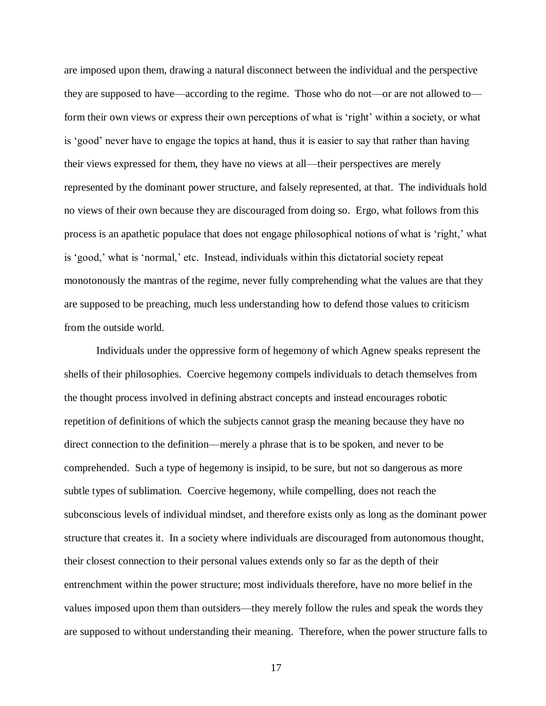are imposed upon them, drawing a natural disconnect between the individual and the perspective they are supposed to have—according to the regime. Those who do not—or are not allowed to form their own views or express their own perceptions of what is 'right' within a society, or what is "good" never have to engage the topics at hand, thus it is easier to say that rather than having their views expressed for them, they have no views at all—their perspectives are merely represented by the dominant power structure, and falsely represented, at that. The individuals hold no views of their own because they are discouraged from doing so. Ergo, what follows from this process is an apathetic populace that does not engage philosophical notions of what is "right," what is "good," what is "normal," etc. Instead, individuals within this dictatorial society repeat monotonously the mantras of the regime, never fully comprehending what the values are that they are supposed to be preaching, much less understanding how to defend those values to criticism from the outside world.

Individuals under the oppressive form of hegemony of which Agnew speaks represent the shells of their philosophies. Coercive hegemony compels individuals to detach themselves from the thought process involved in defining abstract concepts and instead encourages robotic repetition of definitions of which the subjects cannot grasp the meaning because they have no direct connection to the definition—merely a phrase that is to be spoken, and never to be comprehended. Such a type of hegemony is insipid, to be sure, but not so dangerous as more subtle types of sublimation. Coercive hegemony, while compelling, does not reach the subconscious levels of individual mindset, and therefore exists only as long as the dominant power structure that creates it. In a society where individuals are discouraged from autonomous thought, their closest connection to their personal values extends only so far as the depth of their entrenchment within the power structure; most individuals therefore, have no more belief in the values imposed upon them than outsiders—they merely follow the rules and speak the words they are supposed to without understanding their meaning. Therefore, when the power structure falls to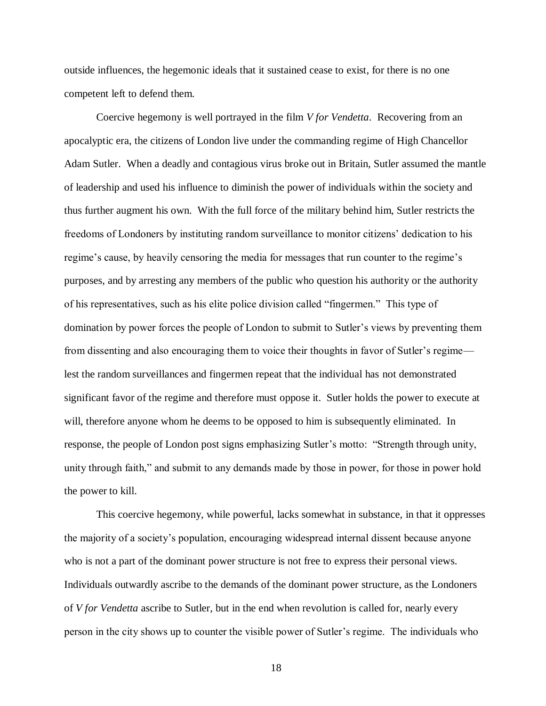outside influences, the hegemonic ideals that it sustained cease to exist, for there is no one competent left to defend them.

Coercive hegemony is well portrayed in the film *V for Vendetta*. Recovering from an apocalyptic era, the citizens of London live under the commanding regime of High Chancellor Adam Sutler. When a deadly and contagious virus broke out in Britain, Sutler assumed the mantle of leadership and used his influence to diminish the power of individuals within the society and thus further augment his own. With the full force of the military behind him, Sutler restricts the freedoms of Londoners by instituting random surveillance to monitor citizens" dedication to his regime's cause, by heavily censoring the media for messages that run counter to the regime's purposes, and by arresting any members of the public who question his authority or the authority of his representatives, such as his elite police division called "fingermen." This type of domination by power forces the people of London to submit to Sutler"s views by preventing them from dissenting and also encouraging them to voice their thoughts in favor of Sutler"s regime lest the random surveillances and fingermen repeat that the individual has not demonstrated significant favor of the regime and therefore must oppose it. Sutler holds the power to execute at will, therefore anyone whom he deems to be opposed to him is subsequently eliminated. In response, the people of London post signs emphasizing Sutler"s motto: "Strength through unity, unity through faith," and submit to any demands made by those in power, for those in power hold the power to kill.

This coercive hegemony, while powerful, lacks somewhat in substance, in that it oppresses the majority of a society"s population, encouraging widespread internal dissent because anyone who is not a part of the dominant power structure is not free to express their personal views. Individuals outwardly ascribe to the demands of the dominant power structure, as the Londoners of *V for Vendetta* ascribe to Sutler, but in the end when revolution is called for, nearly every person in the city shows up to counter the visible power of Sutler"s regime. The individuals who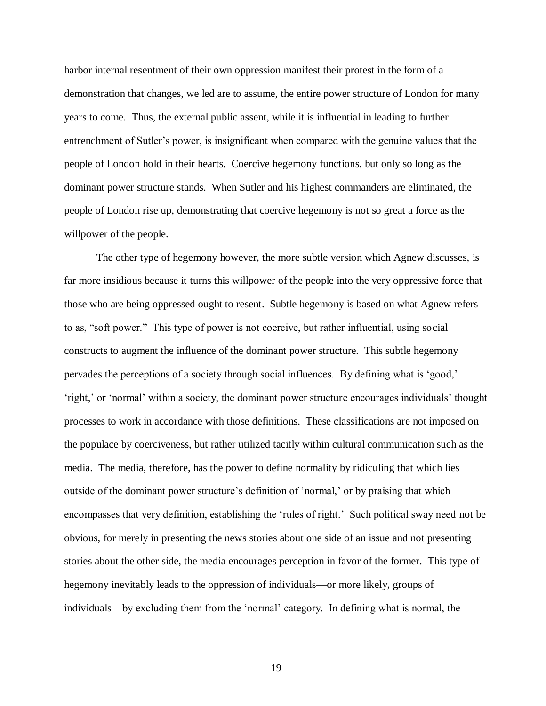harbor internal resentment of their own oppression manifest their protest in the form of a demonstration that changes, we led are to assume, the entire power structure of London for many years to come. Thus, the external public assent, while it is influential in leading to further entrenchment of Sutler's power, is insignificant when compared with the genuine values that the people of London hold in their hearts. Coercive hegemony functions, but only so long as the dominant power structure stands. When Sutler and his highest commanders are eliminated, the people of London rise up, demonstrating that coercive hegemony is not so great a force as the willpower of the people.

The other type of hegemony however, the more subtle version which Agnew discusses, is far more insidious because it turns this willpower of the people into the very oppressive force that those who are being oppressed ought to resent. Subtle hegemony is based on what Agnew refers to as, "soft power." This type of power is not coercive, but rather influential, using social constructs to augment the influence of the dominant power structure. This subtle hegemony pervades the perceptions of a society through social influences. By defining what is 'good,' "right," or "normal" within a society, the dominant power structure encourages individuals" thought processes to work in accordance with those definitions. These classifications are not imposed on the populace by coerciveness, but rather utilized tacitly within cultural communication such as the media. The media, therefore, has the power to define normality by ridiculing that which lies outside of the dominant power structure"s definition of "normal," or by praising that which encompasses that very definition, establishing the 'rules of right.' Such political sway need not be obvious, for merely in presenting the news stories about one side of an issue and not presenting stories about the other side, the media encourages perception in favor of the former. This type of hegemony inevitably leads to the oppression of individuals—or more likely, groups of individuals—by excluding them from the "normal" category. In defining what is normal, the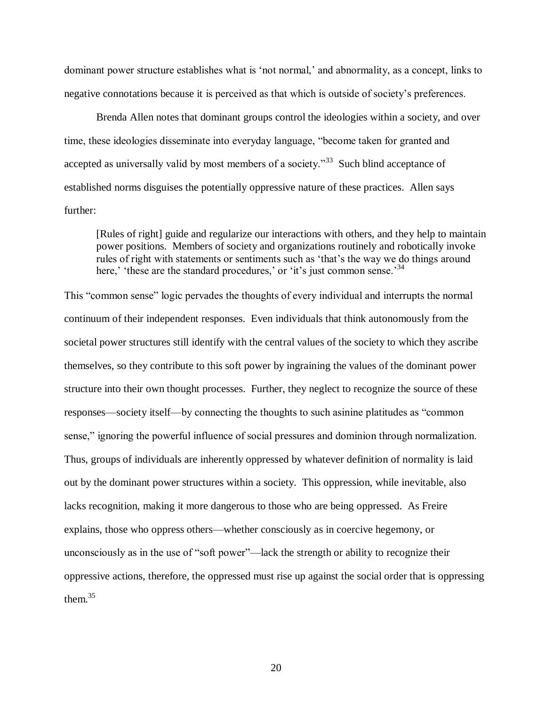dominant power structure establishes what is "not normal," and abnormality, as a concept, links to negative connotations because it is perceived as that which is outside of society"s preferences.

Brenda Allen notes that dominant groups control the ideologies within a society, and over time, these ideologies disseminate into everyday language, "become taken for granted and accepted as universally valid by most members of a society.<sup>33</sup> Such blind acceptance of established norms disguises the potentially oppressive nature of these practices. Allen says further:

[Rules of right] guide and regularize our interactions with others, and they help to maintain power positions. Members of society and organizations routinely and robotically invoke rules of right with statements or sentiments such as 'that's the way we do things around here," these are the standard procedures," or "it"s just common sense.<sup>34</sup>

This "common sense" logic pervades the thoughts of every individual and interrupts the normal continuum of their independent responses. Even individuals that think autonomously from the societal power structures still identify with the central values of the society to which they ascribe themselves, so they contribute to this soft power by ingraining the values of the dominant power structure into their own thought processes. Further, they neglect to recognize the source of these responses—society itself—by connecting the thoughts to such asinine platitudes as "common sense," ignoring the powerful influence of social pressures and dominion through normalization. Thus, groups of individuals are inherently oppressed by whatever definition of normality is laid out by the dominant power structures within a society. This oppression, while inevitable, also lacks recognition, making it more dangerous to those who are being oppressed. As Freire explains, those who oppress others—whether consciously as in coercive hegemony, or unconsciously as in the use of "soft power"—lack the strength or ability to recognize their oppressive actions, therefore, the oppressed must rise up against the social order that is oppressing them. $35$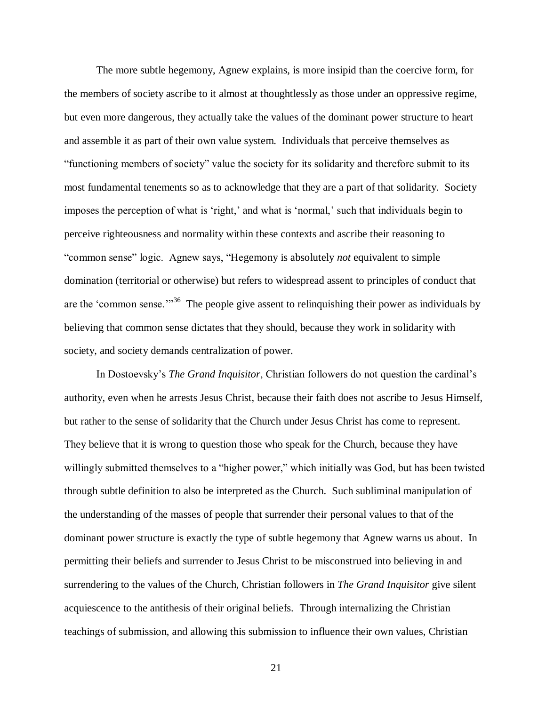The more subtle hegemony, Agnew explains, is more insipid than the coercive form, for the members of society ascribe to it almost at thoughtlessly as those under an oppressive regime, but even more dangerous, they actually take the values of the dominant power structure to heart and assemble it as part of their own value system. Individuals that perceive themselves as "functioning members of society" value the society for its solidarity and therefore submit to its most fundamental tenements so as to acknowledge that they are a part of that solidarity. Society imposes the perception of what is 'right,' and what is 'normal,' such that individuals begin to perceive righteousness and normality within these contexts and ascribe their reasoning to "common sense" logic. Agnew says, "Hegemony is absolutely *not* equivalent to simple domination (territorial or otherwise) but refers to widespread assent to principles of conduct that are the 'common sense."<sup>36</sup> The people give assent to relinquishing their power as individuals by believing that common sense dictates that they should, because they work in solidarity with society, and society demands centralization of power.

In Dostoevsky"s *The Grand Inquisitor*, Christian followers do not question the cardinal"s authority, even when he arrests Jesus Christ, because their faith does not ascribe to Jesus Himself, but rather to the sense of solidarity that the Church under Jesus Christ has come to represent. They believe that it is wrong to question those who speak for the Church, because they have willingly submitted themselves to a "higher power," which initially was God, but has been twisted through subtle definition to also be interpreted as the Church. Such subliminal manipulation of the understanding of the masses of people that surrender their personal values to that of the dominant power structure is exactly the type of subtle hegemony that Agnew warns us about. In permitting their beliefs and surrender to Jesus Christ to be misconstrued into believing in and surrendering to the values of the Church, Christian followers in *The Grand Inquisitor* give silent acquiescence to the antithesis of their original beliefs. Through internalizing the Christian teachings of submission, and allowing this submission to influence their own values, Christian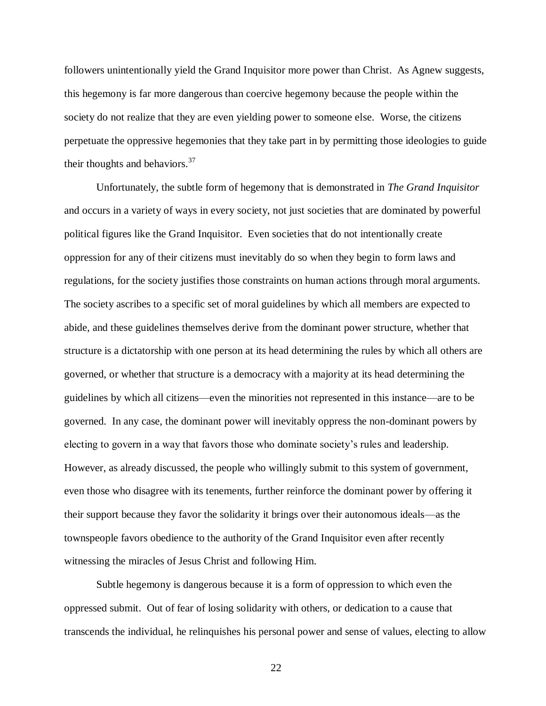followers unintentionally yield the Grand Inquisitor more power than Christ. As Agnew suggests, this hegemony is far more dangerous than coercive hegemony because the people within the society do not realize that they are even yielding power to someone else. Worse, the citizens perpetuate the oppressive hegemonies that they take part in by permitting those ideologies to guide their thoughts and behaviors. $37$ 

Unfortunately, the subtle form of hegemony that is demonstrated in *The Grand Inquisitor* and occurs in a variety of ways in every society, not just societies that are dominated by powerful political figures like the Grand Inquisitor. Even societies that do not intentionally create oppression for any of their citizens must inevitably do so when they begin to form laws and regulations, for the society justifies those constraints on human actions through moral arguments. The society ascribes to a specific set of moral guidelines by which all members are expected to abide, and these guidelines themselves derive from the dominant power structure, whether that structure is a dictatorship with one person at its head determining the rules by which all others are governed, or whether that structure is a democracy with a majority at its head determining the guidelines by which all citizens—even the minorities not represented in this instance—are to be governed. In any case, the dominant power will inevitably oppress the non-dominant powers by electing to govern in a way that favors those who dominate society"s rules and leadership. However, as already discussed, the people who willingly submit to this system of government, even those who disagree with its tenements, further reinforce the dominant power by offering it their support because they favor the solidarity it brings over their autonomous ideals—as the townspeople favors obedience to the authority of the Grand Inquisitor even after recently witnessing the miracles of Jesus Christ and following Him.

Subtle hegemony is dangerous because it is a form of oppression to which even the oppressed submit. Out of fear of losing solidarity with others, or dedication to a cause that transcends the individual, he relinquishes his personal power and sense of values, electing to allow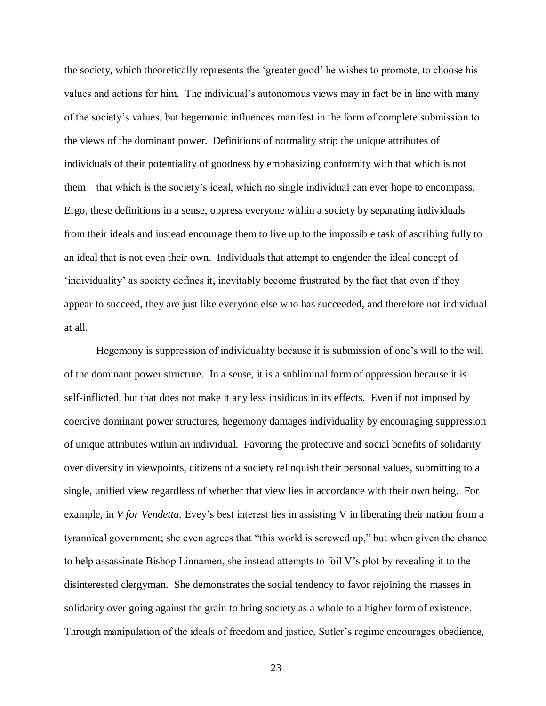the society, which theoretically represents the "greater good" he wishes to promote, to choose his values and actions for him. The individual"s autonomous views may in fact be in line with many of the society"s values, but hegemonic influences manifest in the form of complete submission to the views of the dominant power. Definitions of normality strip the unique attributes of individuals of their potentiality of goodness by emphasizing conformity with that which is not them—that which is the society"s ideal, which no single individual can ever hope to encompass. Ergo, these definitions in a sense, oppress everyone within a society by separating individuals from their ideals and instead encourage them to live up to the impossible task of ascribing fully to an ideal that is not even their own. Individuals that attempt to engender the ideal concept of "individuality" as society defines it, inevitably become frustrated by the fact that even if they appear to succeed, they are just like everyone else who has succeeded, and therefore not individual at all.

Hegemony is suppression of individuality because it is submission of one"s will to the will of the dominant power structure. In a sense, it is a subliminal form of oppression because it is self-inflicted, but that does not make it any less insidious in its effects. Even if not imposed by coercive dominant power structures, hegemony damages individuality by encouraging suppression of unique attributes within an individual. Favoring the protective and social benefits of solidarity over diversity in viewpoints, citizens of a society relinquish their personal values, submitting to a single, unified view regardless of whether that view lies in accordance with their own being. For example, in *V for Vendetta*, Evey's best interest lies in assisting V in liberating their nation from a tyrannical government; she even agrees that "this world is screwed up," but when given the chance to help assassinate Bishop Linnamen, she instead attempts to foil V"s plot by revealing it to the disinterested clergyman. She demonstrates the social tendency to favor rejoining the masses in solidarity over going against the grain to bring society as a whole to a higher form of existence. Through manipulation of the ideals of freedom and justice, Sutler"s regime encourages obedience,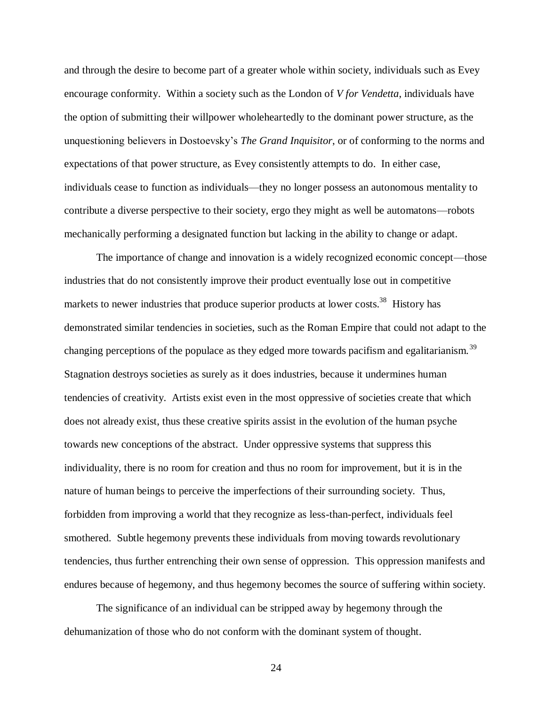and through the desire to become part of a greater whole within society, individuals such as Evey encourage conformity. Within a society such as the London of *V for Vendetta*, individuals have the option of submitting their willpower wholeheartedly to the dominant power structure, as the unquestioning believers in Dostoevsky"s *The Grand Inquisitor*, or of conforming to the norms and expectations of that power structure, as Evey consistently attempts to do. In either case, individuals cease to function as individuals—they no longer possess an autonomous mentality to contribute a diverse perspective to their society, ergo they might as well be automatons—robots mechanically performing a designated function but lacking in the ability to change or adapt.

The importance of change and innovation is a widely recognized economic concept—those industries that do not consistently improve their product eventually lose out in competitive markets to newer industries that produce superior products at lower costs.<sup>38</sup> History has demonstrated similar tendencies in societies, such as the Roman Empire that could not adapt to the changing perceptions of the populace as they edged more towards pacifism and egalitarianism.<sup>39</sup> Stagnation destroys societies as surely as it does industries, because it undermines human tendencies of creativity. Artists exist even in the most oppressive of societies create that which does not already exist, thus these creative spirits assist in the evolution of the human psyche towards new conceptions of the abstract. Under oppressive systems that suppress this individuality, there is no room for creation and thus no room for improvement, but it is in the nature of human beings to perceive the imperfections of their surrounding society. Thus, forbidden from improving a world that they recognize as less-than-perfect, individuals feel smothered. Subtle hegemony prevents these individuals from moving towards revolutionary tendencies, thus further entrenching their own sense of oppression. This oppression manifests and endures because of hegemony, and thus hegemony becomes the source of suffering within society.

The significance of an individual can be stripped away by hegemony through the dehumanization of those who do not conform with the dominant system of thought.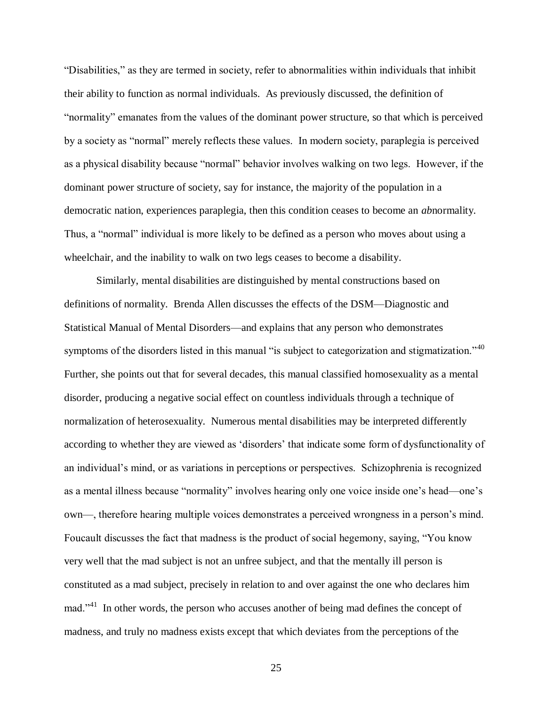"Disabilities," as they are termed in society, refer to abnormalities within individuals that inhibit their ability to function as normal individuals. As previously discussed, the definition of "normality" emanates from the values of the dominant power structure, so that which is perceived by a society as "normal" merely reflects these values. In modern society, paraplegia is perceived as a physical disability because "normal" behavior involves walking on two legs. However, if the dominant power structure of society, say for instance, the majority of the population in a democratic nation, experiences paraplegia, then this condition ceases to become an *ab*normality. Thus, a "normal" individual is more likely to be defined as a person who moves about using a wheelchair, and the inability to walk on two legs ceases to become a disability.

Similarly, mental disabilities are distinguished by mental constructions based on definitions of normality. Brenda Allen discusses the effects of the DSM—Diagnostic and Statistical Manual of Mental Disorders—and explains that any person who demonstrates symptoms of the disorders listed in this manual "is subject to categorization and stigmatization."<sup>40</sup> Further, she points out that for several decades, this manual classified homosexuality as a mental disorder, producing a negative social effect on countless individuals through a technique of normalization of heterosexuality. Numerous mental disabilities may be interpreted differently according to whether they are viewed as "disorders" that indicate some form of dysfunctionality of an individual"s mind, or as variations in perceptions or perspectives. Schizophrenia is recognized as a mental illness because "normality" involves hearing only one voice inside one"s head—one"s own—, therefore hearing multiple voices demonstrates a perceived wrongness in a person"s mind. Foucault discusses the fact that madness is the product of social hegemony, saying, "You know very well that the mad subject is not an unfree subject, and that the mentally ill person is constituted as a mad subject, precisely in relation to and over against the one who declares him mad."<sup>41</sup> In other words, the person who accuses another of being mad defines the concept of madness, and truly no madness exists except that which deviates from the perceptions of the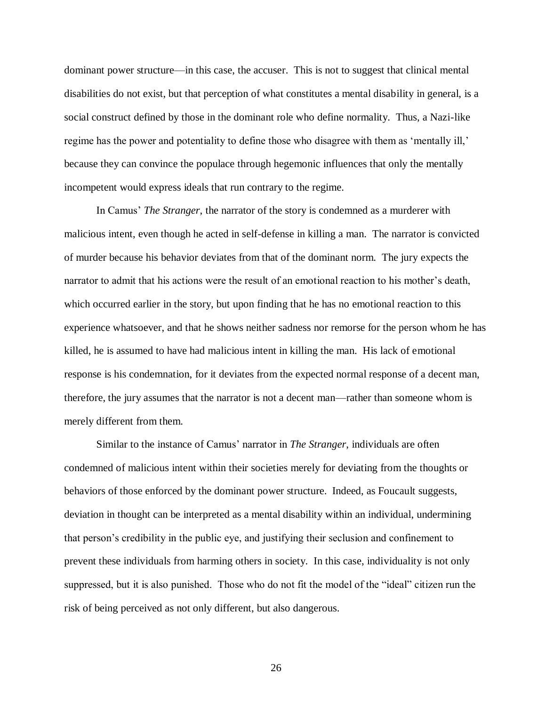dominant power structure—in this case, the accuser. This is not to suggest that clinical mental disabilities do not exist, but that perception of what constitutes a mental disability in general, is a social construct defined by those in the dominant role who define normality. Thus, a Nazi-like regime has the power and potentiality to define those who disagree with them as 'mentally ill,' because they can convince the populace through hegemonic influences that only the mentally incompetent would express ideals that run contrary to the regime.

In Camus' *The Stranger*, the narrator of the story is condemned as a murderer with malicious intent, even though he acted in self-defense in killing a man. The narrator is convicted of murder because his behavior deviates from that of the dominant norm. The jury expects the narrator to admit that his actions were the result of an emotional reaction to his mother"s death, which occurred earlier in the story, but upon finding that he has no emotional reaction to this experience whatsoever, and that he shows neither sadness nor remorse for the person whom he has killed, he is assumed to have had malicious intent in killing the man. His lack of emotional response is his condemnation, for it deviates from the expected normal response of a decent man, therefore, the jury assumes that the narrator is not a decent man—rather than someone whom is merely different from them.

Similar to the instance of Camus" narrator in *The Stranger*, individuals are often condemned of malicious intent within their societies merely for deviating from the thoughts or behaviors of those enforced by the dominant power structure. Indeed, as Foucault suggests, deviation in thought can be interpreted as a mental disability within an individual, undermining that person"s credibility in the public eye, and justifying their seclusion and confinement to prevent these individuals from harming others in society. In this case, individuality is not only suppressed, but it is also punished. Those who do not fit the model of the "ideal" citizen run the risk of being perceived as not only different, but also dangerous.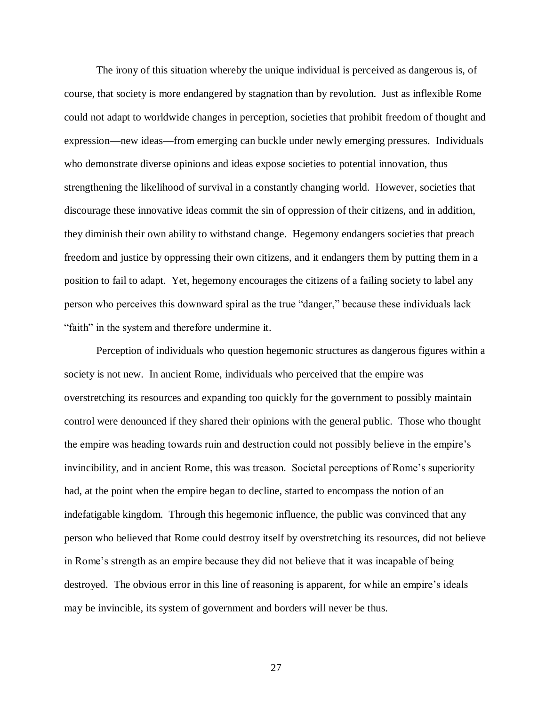The irony of this situation whereby the unique individual is perceived as dangerous is, of course, that society is more endangered by stagnation than by revolution. Just as inflexible Rome could not adapt to worldwide changes in perception, societies that prohibit freedom of thought and expression—new ideas—from emerging can buckle under newly emerging pressures. Individuals who demonstrate diverse opinions and ideas expose societies to potential innovation, thus strengthening the likelihood of survival in a constantly changing world. However, societies that discourage these innovative ideas commit the sin of oppression of their citizens, and in addition, they diminish their own ability to withstand change. Hegemony endangers societies that preach freedom and justice by oppressing their own citizens, and it endangers them by putting them in a position to fail to adapt. Yet, hegemony encourages the citizens of a failing society to label any person who perceives this downward spiral as the true "danger," because these individuals lack "faith" in the system and therefore undermine it.

Perception of individuals who question hegemonic structures as dangerous figures within a society is not new. In ancient Rome, individuals who perceived that the empire was overstretching its resources and expanding too quickly for the government to possibly maintain control were denounced if they shared their opinions with the general public. Those who thought the empire was heading towards ruin and destruction could not possibly believe in the empire"s invincibility, and in ancient Rome, this was treason. Societal perceptions of Rome's superiority had, at the point when the empire began to decline, started to encompass the notion of an indefatigable kingdom. Through this hegemonic influence, the public was convinced that any person who believed that Rome could destroy itself by overstretching its resources, did not believe in Rome"s strength as an empire because they did not believe that it was incapable of being destroyed. The obvious error in this line of reasoning is apparent, for while an empire's ideals may be invincible, its system of government and borders will never be thus.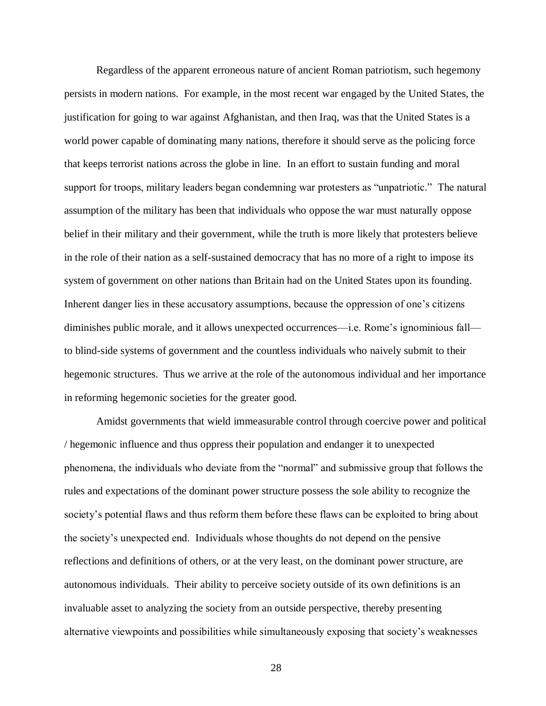Regardless of the apparent erroneous nature of ancient Roman patriotism, such hegemony persists in modern nations. For example, in the most recent war engaged by the United States, the justification for going to war against Afghanistan, and then Iraq, was that the United States is a world power capable of dominating many nations, therefore it should serve as the policing force that keeps terrorist nations across the globe in line. In an effort to sustain funding and moral support for troops, military leaders began condemning war protesters as "unpatriotic." The natural assumption of the military has been that individuals who oppose the war must naturally oppose belief in their military and their government, while the truth is more likely that protesters believe in the role of their nation as a self-sustained democracy that has no more of a right to impose its system of government on other nations than Britain had on the United States upon its founding. Inherent danger lies in these accusatory assumptions, because the oppression of one"s citizens diminishes public morale, and it allows unexpected occurrences—i.e. Rome"s ignominious fall to blind-side systems of government and the countless individuals who naively submit to their hegemonic structures. Thus we arrive at the role of the autonomous individual and her importance in reforming hegemonic societies for the greater good.

Amidst governments that wield immeasurable control through coercive power and political / hegemonic influence and thus oppress their population and endanger it to unexpected phenomena, the individuals who deviate from the "normal" and submissive group that follows the rules and expectations of the dominant power structure possess the sole ability to recognize the society's potential flaws and thus reform them before these flaws can be exploited to bring about the society"s unexpected end. Individuals whose thoughts do not depend on the pensive reflections and definitions of others, or at the very least, on the dominant power structure, are autonomous individuals. Their ability to perceive society outside of its own definitions is an invaluable asset to analyzing the society from an outside perspective, thereby presenting alternative viewpoints and possibilities while simultaneously exposing that society"s weaknesses

<sup>28</sup>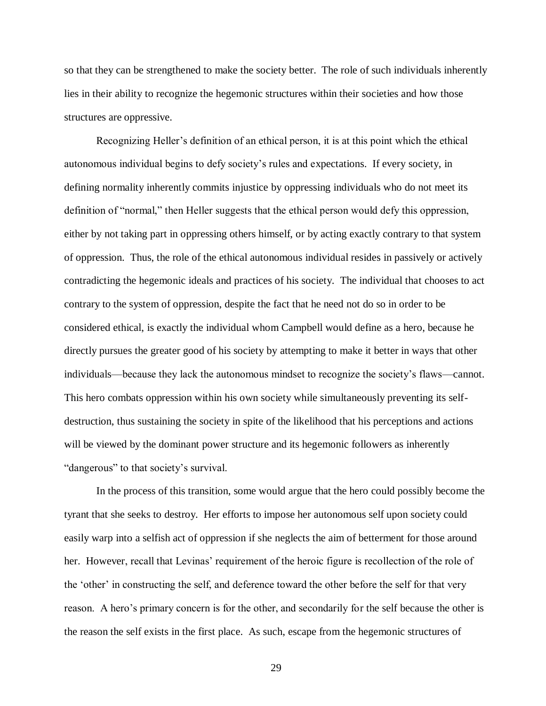so that they can be strengthened to make the society better. The role of such individuals inherently lies in their ability to recognize the hegemonic structures within their societies and how those structures are oppressive.

Recognizing Heller"s definition of an ethical person, it is at this point which the ethical autonomous individual begins to defy society"s rules and expectations. If every society, in defining normality inherently commits injustice by oppressing individuals who do not meet its definition of "normal," then Heller suggests that the ethical person would defy this oppression, either by not taking part in oppressing others himself, or by acting exactly contrary to that system of oppression. Thus, the role of the ethical autonomous individual resides in passively or actively contradicting the hegemonic ideals and practices of his society. The individual that chooses to act contrary to the system of oppression, despite the fact that he need not do so in order to be considered ethical, is exactly the individual whom Campbell would define as a hero, because he directly pursues the greater good of his society by attempting to make it better in ways that other individuals—because they lack the autonomous mindset to recognize the society"s flaws—cannot. This hero combats oppression within his own society while simultaneously preventing its selfdestruction, thus sustaining the society in spite of the likelihood that his perceptions and actions will be viewed by the dominant power structure and its hegemonic followers as inherently "dangerous" to that society's survival.

In the process of this transition, some would argue that the hero could possibly become the tyrant that she seeks to destroy. Her efforts to impose her autonomous self upon society could easily warp into a selfish act of oppression if she neglects the aim of betterment for those around her. However, recall that Levinas' requirement of the heroic figure is recollection of the role of the "other" in constructing the self, and deference toward the other before the self for that very reason. A hero's primary concern is for the other, and secondarily for the self because the other is the reason the self exists in the first place. As such, escape from the hegemonic structures of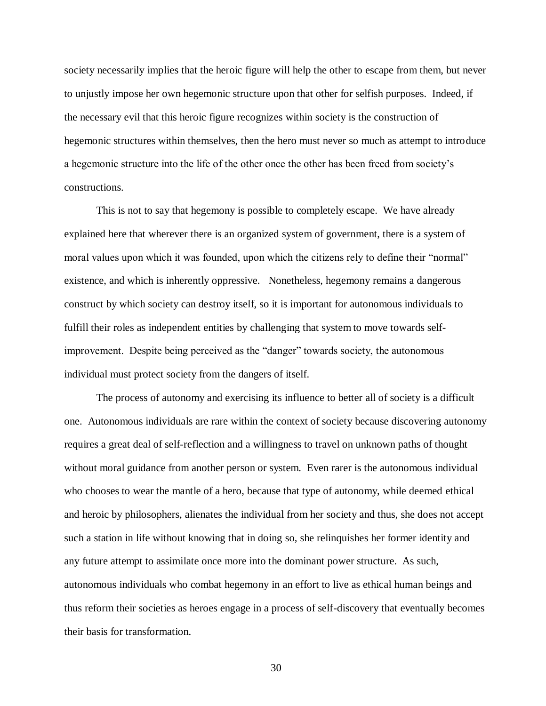society necessarily implies that the heroic figure will help the other to escape from them, but never to unjustly impose her own hegemonic structure upon that other for selfish purposes. Indeed, if the necessary evil that this heroic figure recognizes within society is the construction of hegemonic structures within themselves, then the hero must never so much as attempt to introduce a hegemonic structure into the life of the other once the other has been freed from society"s constructions.

This is not to say that hegemony is possible to completely escape. We have already explained here that wherever there is an organized system of government, there is a system of moral values upon which it was founded, upon which the citizens rely to define their "normal" existence, and which is inherently oppressive. Nonetheless, hegemony remains a dangerous construct by which society can destroy itself, so it is important for autonomous individuals to fulfill their roles as independent entities by challenging that system to move towards selfimprovement. Despite being perceived as the "danger" towards society, the autonomous individual must protect society from the dangers of itself.

The process of autonomy and exercising its influence to better all of society is a difficult one. Autonomous individuals are rare within the context of society because discovering autonomy requires a great deal of self-reflection and a willingness to travel on unknown paths of thought without moral guidance from another person or system. Even rarer is the autonomous individual who chooses to wear the mantle of a hero, because that type of autonomy, while deemed ethical and heroic by philosophers, alienates the individual from her society and thus, she does not accept such a station in life without knowing that in doing so, she relinquishes her former identity and any future attempt to assimilate once more into the dominant power structure. As such, autonomous individuals who combat hegemony in an effort to live as ethical human beings and thus reform their societies as heroes engage in a process of self-discovery that eventually becomes their basis for transformation.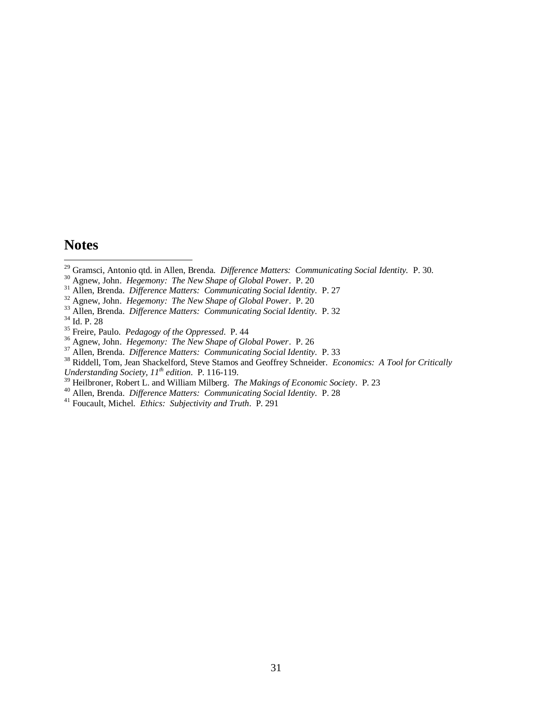## **Notes**

 $\overline{a}$ 

- Gramsci, Antonio qtd. in Allen, Brenda. *Difference Matters: Communicating Social Identity.* P. 30.
- Agnew, John. *Hegemony: The New Shape of Global Power*. P. 20
- Allen, Brenda. *Difference Matters: Communicating Social Identity.* P. 27
- Agnew, John. *Hegemony: The New Shape of Global Power*. P. 20
- Allen, Brenda. *Difference Matters: Communicating Social Identity.* P. 32

Id. P. 28

- Agnew, John. *Hegemony: The New Shape of Global Power*. P. 26
- Allen, Brenda. *Difference Matters: Communicating Social Identity.* P. 33
- Riddell, Tom, Jean Shackelford, Steve Stamos and Geoffrey Schneider. *Economics: A Tool for Critically Understanding Society, 11th edition*. P. 116-119.
- Heilbroner, Robert L. and William Milberg. *The Makings of Economic Society*. P. 23
- Allen, Brenda. *Difference Matters: Communicating Social Identity.* P. 28
- Foucault, Michel. *Ethics: Subjectivity and Truth*. P. 291

Freire, Paulo. *Pedagogy of the Oppressed*. P. 44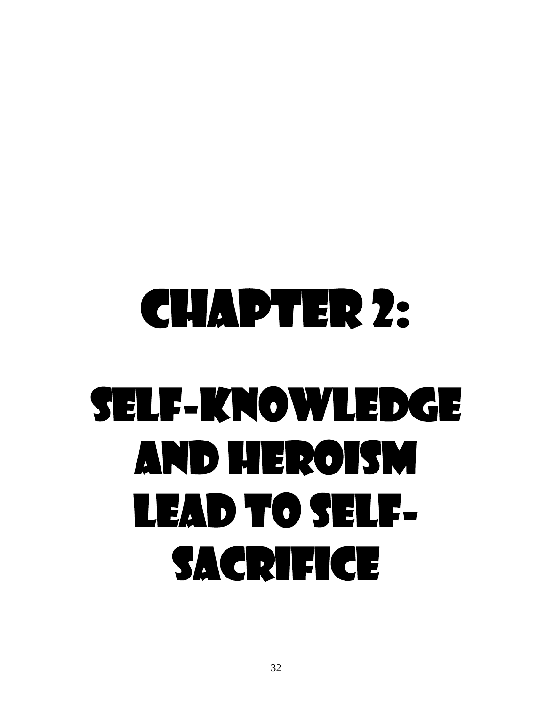## Chapter 2: Self-Knowledge and Heroism Lead to Self-SACRIFICE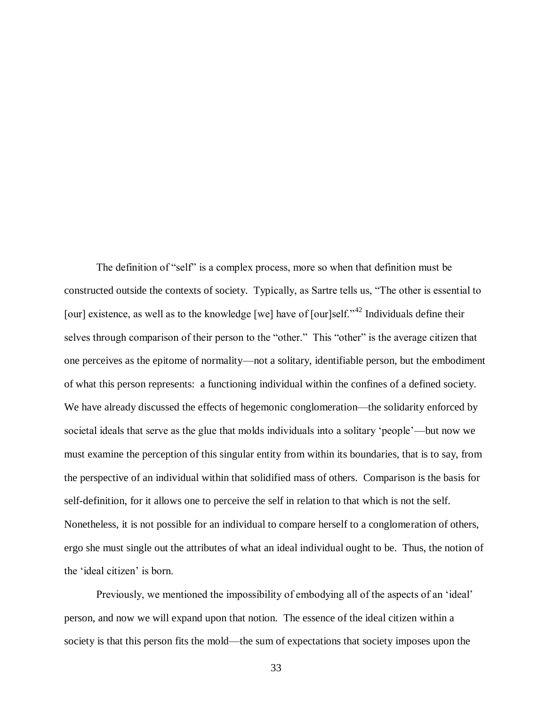The definition of "self" is a complex process, more so when that definition must be constructed outside the contexts of society. Typically, as Sartre tells us, "The other is essential to [our] existence, as well as to the knowledge [we] have of [our]self."<sup>42</sup> Individuals define their selves through comparison of their person to the "other." This "other" is the average citizen that one perceives as the epitome of normality—not a solitary, identifiable person, but the embodiment of what this person represents: a functioning individual within the confines of a defined society. We have already discussed the effects of hegemonic conglomeration—the solidarity enforced by societal ideals that serve as the glue that molds individuals into a solitary "people"—but now we must examine the perception of this singular entity from within its boundaries, that is to say, from the perspective of an individual within that solidified mass of others. Comparison is the basis for self-definition, for it allows one to perceive the self in relation to that which is not the self. Nonetheless, it is not possible for an individual to compare herself to a conglomeration of others, ergo she must single out the attributes of what an ideal individual ought to be. Thus, the notion of the 'ideal citizen' is born.

Previously, we mentioned the impossibility of embodying all of the aspects of an "ideal" person, and now we will expand upon that notion. The essence of the ideal citizen within a society is that this person fits the mold—the sum of expectations that society imposes upon the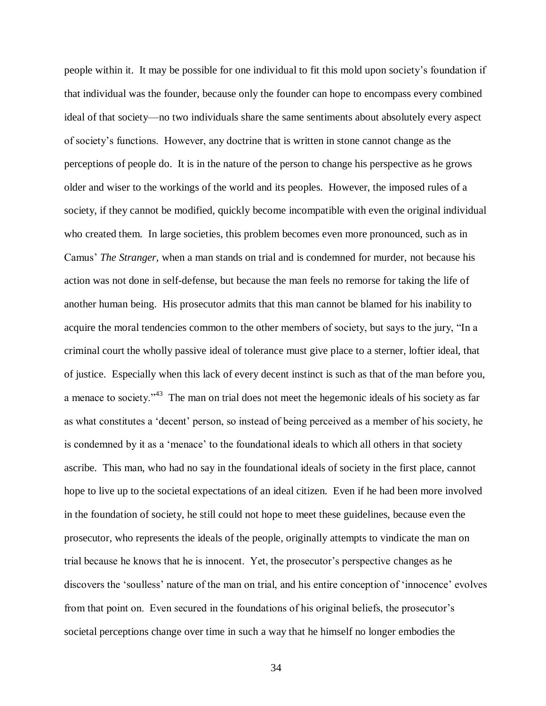people within it. It may be possible for one individual to fit this mold upon society"s foundation if that individual was the founder, because only the founder can hope to encompass every combined ideal of that society—no two individuals share the same sentiments about absolutely every aspect of society"s functions. However, any doctrine that is written in stone cannot change as the perceptions of people do. It is in the nature of the person to change his perspective as he grows older and wiser to the workings of the world and its peoples. However, the imposed rules of a society, if they cannot be modified, quickly become incompatible with even the original individual who created them. In large societies, this problem becomes even more pronounced, such as in Camus" *The Stranger,* when a man stands on trial and is condemned for murder, not because his action was not done in self-defense, but because the man feels no remorse for taking the life of another human being. His prosecutor admits that this man cannot be blamed for his inability to acquire the moral tendencies common to the other members of society, but says to the jury, "In a criminal court the wholly passive ideal of tolerance must give place to a sterner, loftier ideal, that of justice. Especially when this lack of every decent instinct is such as that of the man before you, a menace to society."<sup>43</sup> The man on trial does not meet the hegemonic ideals of his society as far as what constitutes a 'decent' person, so instead of being perceived as a member of his society, he is condemned by it as a "menace" to the foundational ideals to which all others in that society ascribe. This man, who had no say in the foundational ideals of society in the first place, cannot hope to live up to the societal expectations of an ideal citizen. Even if he had been more involved in the foundation of society, he still could not hope to meet these guidelines, because even the prosecutor, who represents the ideals of the people, originally attempts to vindicate the man on trial because he knows that he is innocent. Yet, the prosecutor"s perspective changes as he discovers the 'soulless' nature of the man on trial, and his entire conception of 'innocence' evolves from that point on. Even secured in the foundations of his original beliefs, the prosecutor's societal perceptions change over time in such a way that he himself no longer embodies the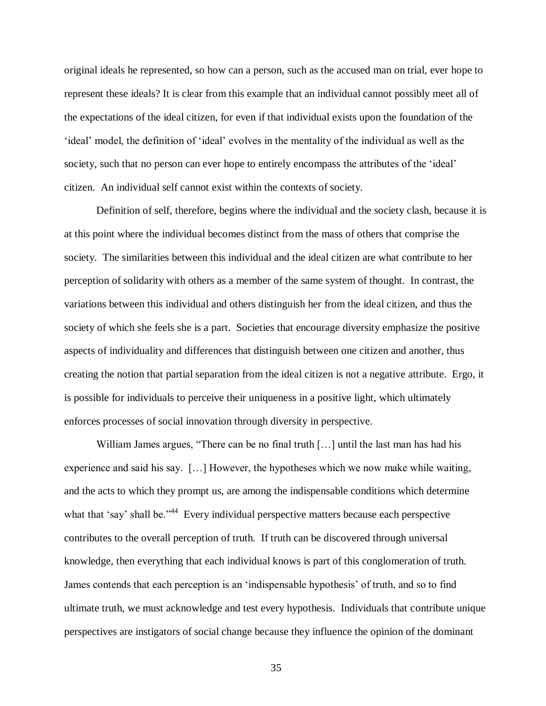original ideals he represented, so how can a person, such as the accused man on trial, ever hope to represent these ideals? It is clear from this example that an individual cannot possibly meet all of the expectations of the ideal citizen, for even if that individual exists upon the foundation of the "ideal" model, the definition of "ideal" evolves in the mentality of the individual as well as the society, such that no person can ever hope to entirely encompass the attributes of the 'ideal' citizen. An individual self cannot exist within the contexts of society.

Definition of self, therefore, begins where the individual and the society clash, because it is at this point where the individual becomes distinct from the mass of others that comprise the society. The similarities between this individual and the ideal citizen are what contribute to her perception of solidarity with others as a member of the same system of thought. In contrast, the variations between this individual and others distinguish her from the ideal citizen, and thus the society of which she feels she is a part. Societies that encourage diversity emphasize the positive aspects of individuality and differences that distinguish between one citizen and another, thus creating the notion that partial separation from the ideal citizen is not a negative attribute. Ergo, it is possible for individuals to perceive their uniqueness in a positive light, which ultimately enforces processes of social innovation through diversity in perspective.

William James argues, "There can be no final truth [...] until the last man has had his experience and said his say. […] However, the hypotheses which we now make while waiting, and the acts to which they prompt us, are among the indispensable conditions which determine what that 'say' shall be."<sup>44</sup> Every individual perspective matters because each perspective contributes to the overall perception of truth. If truth can be discovered through universal knowledge, then everything that each individual knows is part of this conglomeration of truth. James contends that each perception is an "indispensable hypothesis" of truth, and so to find ultimate truth, we must acknowledge and test every hypothesis. Individuals that contribute unique perspectives are instigators of social change because they influence the opinion of the dominant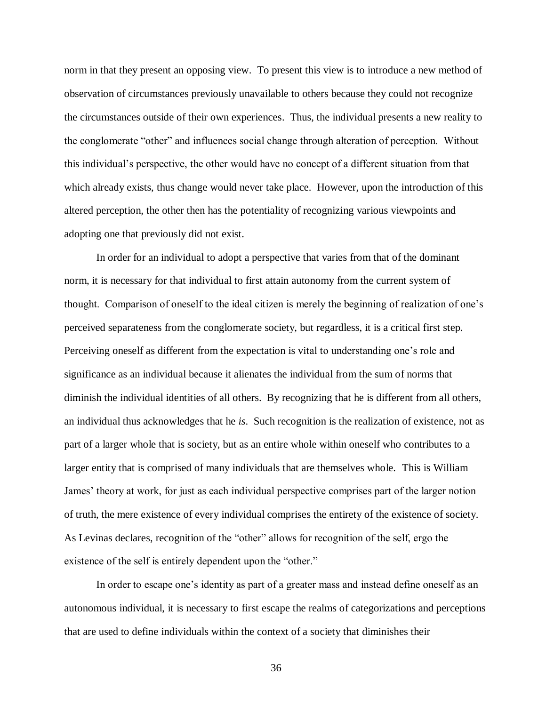norm in that they present an opposing view. To present this view is to introduce a new method of observation of circumstances previously unavailable to others because they could not recognize the circumstances outside of their own experiences. Thus, the individual presents a new reality to the conglomerate "other" and influences social change through alteration of perception. Without this individual"s perspective, the other would have no concept of a different situation from that which already exists, thus change would never take place. However, upon the introduction of this altered perception, the other then has the potentiality of recognizing various viewpoints and adopting one that previously did not exist.

In order for an individual to adopt a perspective that varies from that of the dominant norm, it is necessary for that individual to first attain autonomy from the current system of thought. Comparison of oneself to the ideal citizen is merely the beginning of realization of one"s perceived separateness from the conglomerate society, but regardless, it is a critical first step. Perceiving oneself as different from the expectation is vital to understanding one's role and significance as an individual because it alienates the individual from the sum of norms that diminish the individual identities of all others. By recognizing that he is different from all others, an individual thus acknowledges that he *is*. Such recognition is the realization of existence, not as part of a larger whole that is society, but as an entire whole within oneself who contributes to a larger entity that is comprised of many individuals that are themselves whole. This is William James' theory at work, for just as each individual perspective comprises part of the larger notion of truth, the mere existence of every individual comprises the entirety of the existence of society. As Levinas declares, recognition of the "other" allows for recognition of the self, ergo the existence of the self is entirely dependent upon the "other."

In order to escape one's identity as part of a greater mass and instead define oneself as an autonomous individual, it is necessary to first escape the realms of categorizations and perceptions that are used to define individuals within the context of a society that diminishes their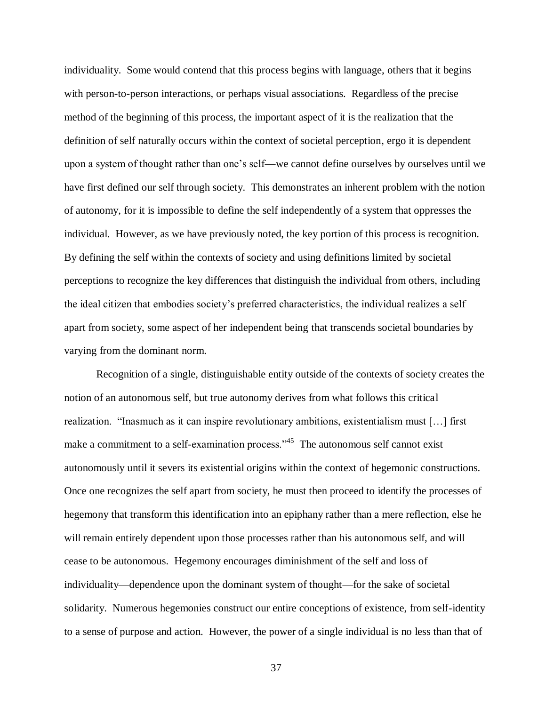individuality. Some would contend that this process begins with language, others that it begins with person-to-person interactions, or perhaps visual associations. Regardless of the precise method of the beginning of this process, the important aspect of it is the realization that the definition of self naturally occurs within the context of societal perception, ergo it is dependent upon a system of thought rather than one"s self—we cannot define ourselves by ourselves until we have first defined our self through society. This demonstrates an inherent problem with the notion of autonomy, for it is impossible to define the self independently of a system that oppresses the individual. However, as we have previously noted, the key portion of this process is recognition. By defining the self within the contexts of society and using definitions limited by societal perceptions to recognize the key differences that distinguish the individual from others, including the ideal citizen that embodies society"s preferred characteristics, the individual realizes a self apart from society, some aspect of her independent being that transcends societal boundaries by varying from the dominant norm.

Recognition of a single, distinguishable entity outside of the contexts of society creates the notion of an autonomous self, but true autonomy derives from what follows this critical realization. "Inasmuch as it can inspire revolutionary ambitions, existentialism must […] first make a commitment to a self-examination process."<sup>45</sup> The autonomous self cannot exist autonomously until it severs its existential origins within the context of hegemonic constructions. Once one recognizes the self apart from society, he must then proceed to identify the processes of hegemony that transform this identification into an epiphany rather than a mere reflection, else he will remain entirely dependent upon those processes rather than his autonomous self, and will cease to be autonomous. Hegemony encourages diminishment of the self and loss of individuality—dependence upon the dominant system of thought—for the sake of societal solidarity. Numerous hegemonies construct our entire conceptions of existence, from self-identity to a sense of purpose and action. However, the power of a single individual is no less than that of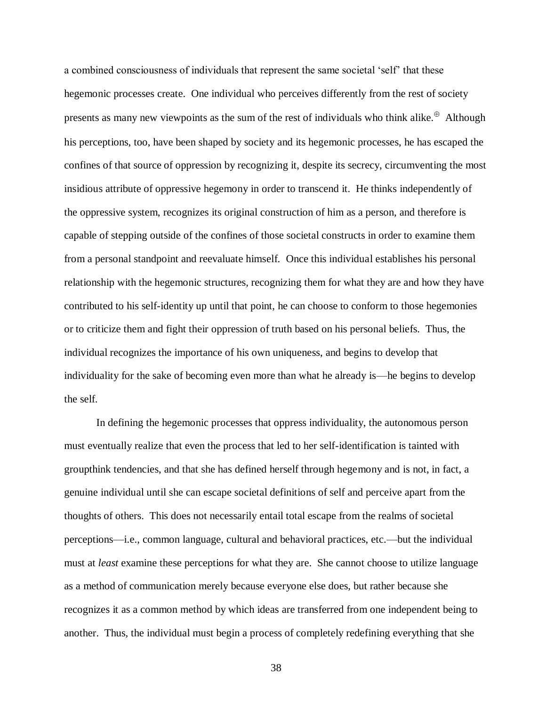a combined consciousness of individuals that represent the same societal "self" that these hegemonic processes create. One individual who perceives differently from the rest of society presents as many new viewpoints as the sum of the rest of individuals who think alike. $\oplus$  Although his perceptions, too, have been shaped by society and its hegemonic processes, he has escaped the confines of that source of oppression by recognizing it, despite its secrecy, circumventing the most insidious attribute of oppressive hegemony in order to transcend it. He thinks independently of the oppressive system, recognizes its original construction of him as a person, and therefore is capable of stepping outside of the confines of those societal constructs in order to examine them from a personal standpoint and reevaluate himself. Once this individual establishes his personal relationship with the hegemonic structures, recognizing them for what they are and how they have contributed to his self-identity up until that point, he can choose to conform to those hegemonies or to criticize them and fight their oppression of truth based on his personal beliefs. Thus, the individual recognizes the importance of his own uniqueness, and begins to develop that individuality for the sake of becoming even more than what he already is—he begins to develop the self.

In defining the hegemonic processes that oppress individuality, the autonomous person must eventually realize that even the process that led to her self-identification is tainted with groupthink tendencies, and that she has defined herself through hegemony and is not, in fact, a genuine individual until she can escape societal definitions of self and perceive apart from the thoughts of others. This does not necessarily entail total escape from the realms of societal perceptions—i.e., common language, cultural and behavioral practices, etc.—but the individual must at *least* examine these perceptions for what they are. She cannot choose to utilize language as a method of communication merely because everyone else does, but rather because she recognizes it as a common method by which ideas are transferred from one independent being to another. Thus, the individual must begin a process of completely redefining everything that she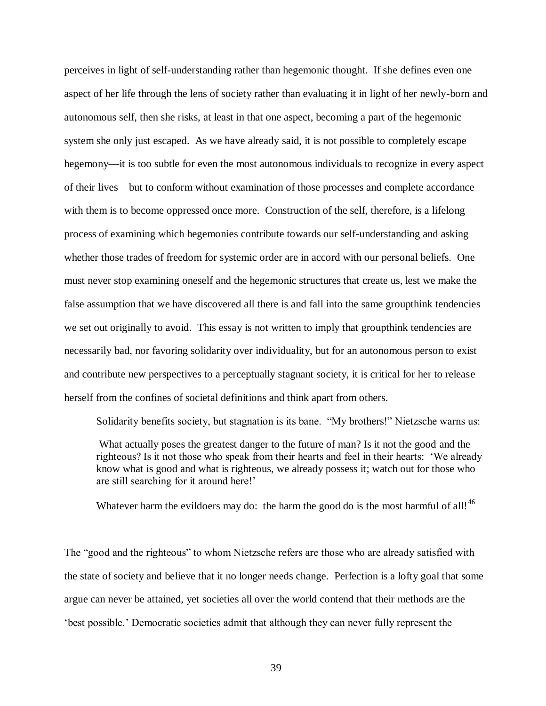perceives in light of self-understanding rather than hegemonic thought. If she defines even one aspect of her life through the lens of society rather than evaluating it in light of her newly-born and autonomous self, then she risks, at least in that one aspect, becoming a part of the hegemonic system she only just escaped. As we have already said, it is not possible to completely escape hegemony—it is too subtle for even the most autonomous individuals to recognize in every aspect of their lives—but to conform without examination of those processes and complete accordance with them is to become oppressed once more. Construction of the self, therefore, is a lifelong process of examining which hegemonies contribute towards our self-understanding and asking whether those trades of freedom for systemic order are in accord with our personal beliefs. One must never stop examining oneself and the hegemonic structures that create us, lest we make the false assumption that we have discovered all there is and fall into the same groupthink tendencies we set out originally to avoid. This essay is not written to imply that groupthink tendencies are necessarily bad, nor favoring solidarity over individuality, but for an autonomous person to exist and contribute new perspectives to a perceptually stagnant society, it is critical for her to release herself from the confines of societal definitions and think apart from others.

Solidarity benefits society, but stagnation is its bane. "My brothers!" Nietzsche warns us:

What actually poses the greatest danger to the future of man? Is it not the good and the righteous? Is it not those who speak from their hearts and feel in their hearts: "We already know what is good and what is righteous, we already possess it; watch out for those who are still searching for it around here!'

Whatever harm the evildoers may do: the harm the good do is the most harmful of all!<sup>46</sup>

The "good and the righteous" to whom Nietzsche refers are those who are already satisfied with the state of society and believe that it no longer needs change. Perfection is a lofty goal that some argue can never be attained, yet societies all over the world contend that their methods are the "best possible." Democratic societies admit that although they can never fully represent the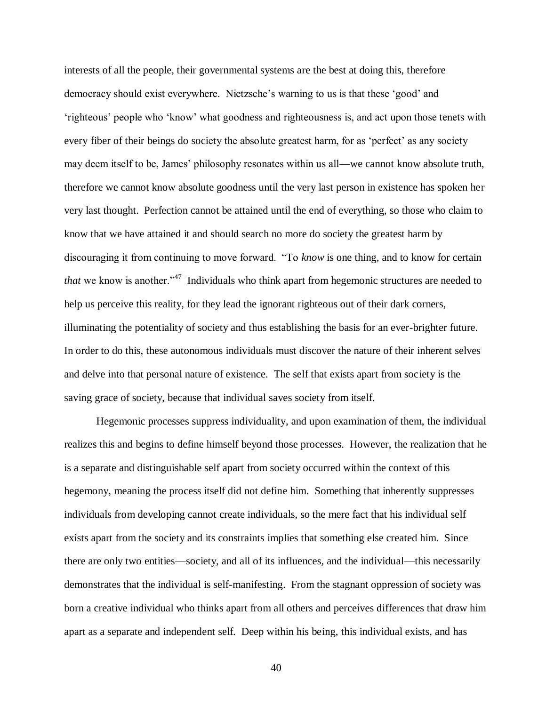interests of all the people, their governmental systems are the best at doing this, therefore democracy should exist everywhere. Nietzsche"s warning to us is that these "good" and "righteous" people who "know" what goodness and righteousness is, and act upon those tenets with every fiber of their beings do society the absolute greatest harm, for as 'perfect' as any society may deem itself to be, James" philosophy resonates within us all—we cannot know absolute truth, therefore we cannot know absolute goodness until the very last person in existence has spoken her very last thought. Perfection cannot be attained until the end of everything, so those who claim to know that we have attained it and should search no more do society the greatest harm by discouraging it from continuing to move forward. "To *know* is one thing, and to know for certain *that* we know is another.<sup>347</sup> Individuals who think apart from hegemonic structures are needed to help us perceive this reality, for they lead the ignorant righteous out of their dark corners, illuminating the potentiality of society and thus establishing the basis for an ever-brighter future. In order to do this, these autonomous individuals must discover the nature of their inherent selves and delve into that personal nature of existence. The self that exists apart from society is the saving grace of society, because that individual saves society from itself.

Hegemonic processes suppress individuality, and upon examination of them, the individual realizes this and begins to define himself beyond those processes. However, the realization that he is a separate and distinguishable self apart from society occurred within the context of this hegemony, meaning the process itself did not define him. Something that inherently suppresses individuals from developing cannot create individuals, so the mere fact that his individual self exists apart from the society and its constraints implies that something else created him. Since there are only two entities—society, and all of its influences, and the individual—this necessarily demonstrates that the individual is self-manifesting. From the stagnant oppression of society was born a creative individual who thinks apart from all others and perceives differences that draw him apart as a separate and independent self. Deep within his being, this individual exists, and has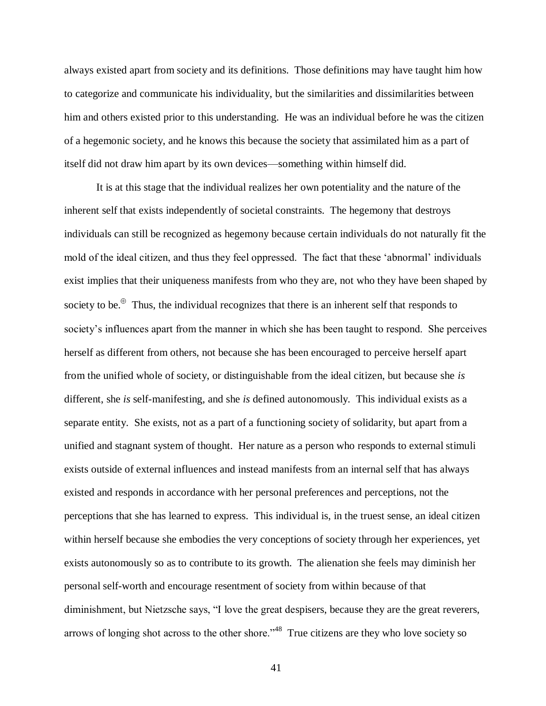always existed apart from society and its definitions. Those definitions may have taught him how to categorize and communicate his individuality, but the similarities and dissimilarities between him and others existed prior to this understanding. He was an individual before he was the citizen of a hegemonic society, and he knows this because the society that assimilated him as a part of itself did not draw him apart by its own devices—something within himself did.

It is at this stage that the individual realizes her own potentiality and the nature of the inherent self that exists independently of societal constraints. The hegemony that destroys individuals can still be recognized as hegemony because certain individuals do not naturally fit the mold of the ideal citizen, and thus they feel oppressed. The fact that these "abnormal" individuals exist implies that their uniqueness manifests from who they are, not who they have been shaped by society to be. $\theta$  Thus, the individual recognizes that there is an inherent self that responds to society"s influences apart from the manner in which she has been taught to respond. She perceives herself as different from others, not because she has been encouraged to perceive herself apart from the unified whole of society, or distinguishable from the ideal citizen, but because she *is* different, she *is* self-manifesting, and she *is* defined autonomously. This individual exists as a separate entity. She exists, not as a part of a functioning society of solidarity, but apart from a unified and stagnant system of thought. Her nature as a person who responds to external stimuli exists outside of external influences and instead manifests from an internal self that has always existed and responds in accordance with her personal preferences and perceptions, not the perceptions that she has learned to express. This individual is, in the truest sense, an ideal citizen within herself because she embodies the very conceptions of society through her experiences, yet exists autonomously so as to contribute to its growth. The alienation she feels may diminish her personal self-worth and encourage resentment of society from within because of that diminishment, but Nietzsche says, "I love the great despisers, because they are the great reverers, arrows of longing shot across to the other shore.<sup>348</sup> True citizens are they who love society so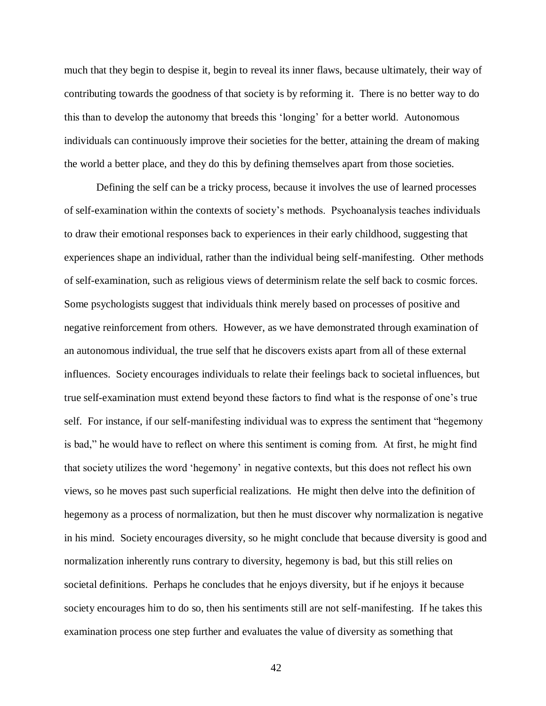much that they begin to despise it, begin to reveal its inner flaws, because ultimately, their way of contributing towards the goodness of that society is by reforming it. There is no better way to do this than to develop the autonomy that breeds this "longing" for a better world. Autonomous individuals can continuously improve their societies for the better, attaining the dream of making the world a better place, and they do this by defining themselves apart from those societies.

Defining the self can be a tricky process, because it involves the use of learned processes of self-examination within the contexts of society"s methods. Psychoanalysis teaches individuals to draw their emotional responses back to experiences in their early childhood, suggesting that experiences shape an individual, rather than the individual being self-manifesting. Other methods of self-examination, such as religious views of determinism relate the self back to cosmic forces. Some psychologists suggest that individuals think merely based on processes of positive and negative reinforcement from others. However, as we have demonstrated through examination of an autonomous individual, the true self that he discovers exists apart from all of these external influences. Society encourages individuals to relate their feelings back to societal influences, but true self-examination must extend beyond these factors to find what is the response of one"s true self. For instance, if our self-manifesting individual was to express the sentiment that "hegemony is bad," he would have to reflect on where this sentiment is coming from. At first, he might find that society utilizes the word "hegemony" in negative contexts, but this does not reflect his own views, so he moves past such superficial realizations. He might then delve into the definition of hegemony as a process of normalization, but then he must discover why normalization is negative in his mind. Society encourages diversity, so he might conclude that because diversity is good and normalization inherently runs contrary to diversity, hegemony is bad, but this still relies on societal definitions. Perhaps he concludes that he enjoys diversity, but if he enjoys it because society encourages him to do so, then his sentiments still are not self-manifesting. If he takes this examination process one step further and evaluates the value of diversity as something that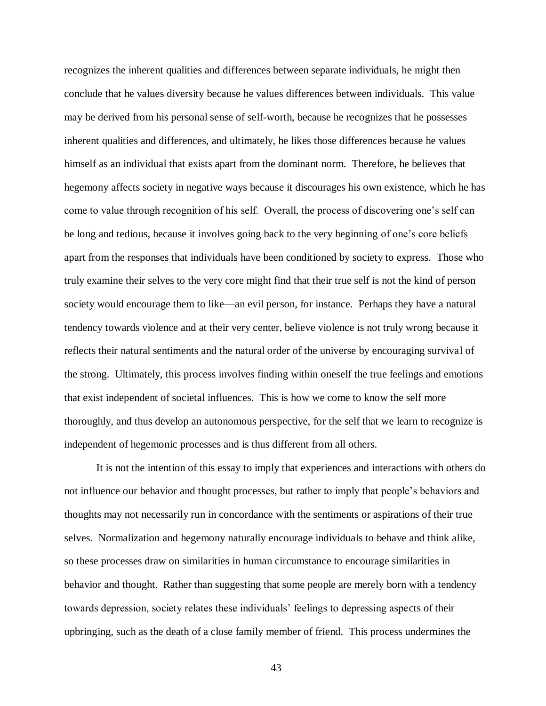recognizes the inherent qualities and differences between separate individuals, he might then conclude that he values diversity because he values differences between individuals. This value may be derived from his personal sense of self-worth, because he recognizes that he possesses inherent qualities and differences, and ultimately, he likes those differences because he values himself as an individual that exists apart from the dominant norm. Therefore, he believes that hegemony affects society in negative ways because it discourages his own existence, which he has come to value through recognition of his self. Overall, the process of discovering one"s self can be long and tedious, because it involves going back to the very beginning of one"s core beliefs apart from the responses that individuals have been conditioned by society to express. Those who truly examine their selves to the very core might find that their true self is not the kind of person society would encourage them to like—an evil person, for instance. Perhaps they have a natural tendency towards violence and at their very center, believe violence is not truly wrong because it reflects their natural sentiments and the natural order of the universe by encouraging survival of the strong. Ultimately, this process involves finding within oneself the true feelings and emotions that exist independent of societal influences. This is how we come to know the self more thoroughly, and thus develop an autonomous perspective, for the self that we learn to recognize is independent of hegemonic processes and is thus different from all others.

It is not the intention of this essay to imply that experiences and interactions with others do not influence our behavior and thought processes, but rather to imply that people"s behaviors and thoughts may not necessarily run in concordance with the sentiments or aspirations of their true selves. Normalization and hegemony naturally encourage individuals to behave and think alike, so these processes draw on similarities in human circumstance to encourage similarities in behavior and thought. Rather than suggesting that some people are merely born with a tendency towards depression, society relates these individuals" feelings to depressing aspects of their upbringing, such as the death of a close family member of friend. This process undermines the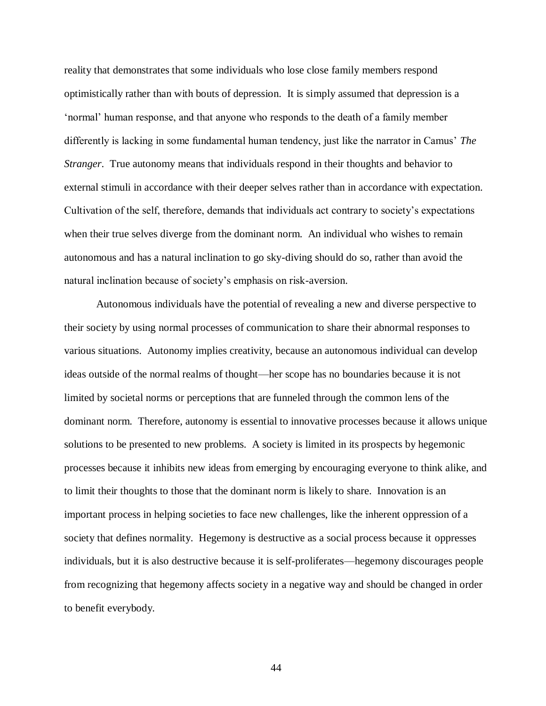reality that demonstrates that some individuals who lose close family members respond optimistically rather than with bouts of depression. It is simply assumed that depression is a "normal" human response, and that anyone who responds to the death of a family member differently is lacking in some fundamental human tendency, just like the narrator in Camus" *The Stranger*. True autonomy means that individuals respond in their thoughts and behavior to external stimuli in accordance with their deeper selves rather than in accordance with expectation. Cultivation of the self, therefore, demands that individuals act contrary to society"s expectations when their true selves diverge from the dominant norm. An individual who wishes to remain autonomous and has a natural inclination to go sky-diving should do so, rather than avoid the natural inclination because of society"s emphasis on risk-aversion.

Autonomous individuals have the potential of revealing a new and diverse perspective to their society by using normal processes of communication to share their abnormal responses to various situations. Autonomy implies creativity, because an autonomous individual can develop ideas outside of the normal realms of thought—her scope has no boundaries because it is not limited by societal norms or perceptions that are funneled through the common lens of the dominant norm. Therefore, autonomy is essential to innovative processes because it allows unique solutions to be presented to new problems. A society is limited in its prospects by hegemonic processes because it inhibits new ideas from emerging by encouraging everyone to think alike, and to limit their thoughts to those that the dominant norm is likely to share. Innovation is an important process in helping societies to face new challenges, like the inherent oppression of a society that defines normality. Hegemony is destructive as a social process because it oppresses individuals, but it is also destructive because it is self-proliferates—hegemony discourages people from recognizing that hegemony affects society in a negative way and should be changed in order to benefit everybody.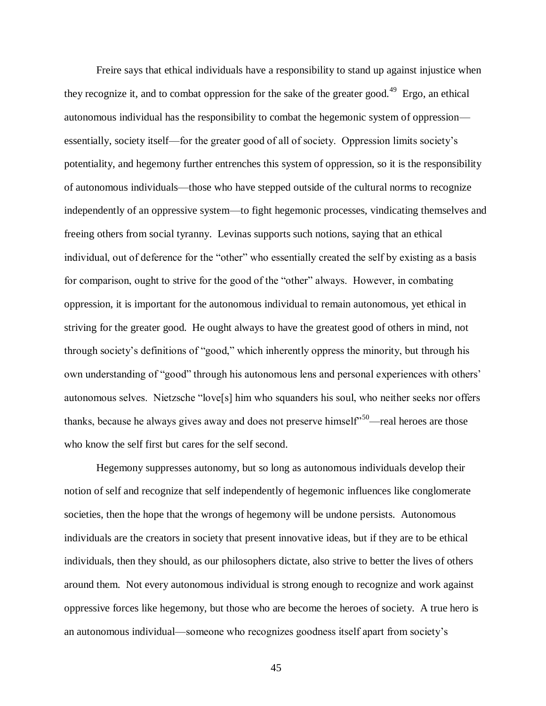Freire says that ethical individuals have a responsibility to stand up against injustice when they recognize it, and to combat oppression for the sake of the greater good.<sup>49</sup> Ergo, an ethical autonomous individual has the responsibility to combat the hegemonic system of oppression essentially, society itself—for the greater good of all of society. Oppression limits society"s potentiality, and hegemony further entrenches this system of oppression, so it is the responsibility of autonomous individuals—those who have stepped outside of the cultural norms to recognize independently of an oppressive system—to fight hegemonic processes, vindicating themselves and freeing others from social tyranny. Levinas supports such notions, saying that an ethical individual, out of deference for the "other" who essentially created the self by existing as a basis for comparison, ought to strive for the good of the "other" always. However, in combating oppression, it is important for the autonomous individual to remain autonomous, yet ethical in striving for the greater good. He ought always to have the greatest good of others in mind, not through society"s definitions of "good," which inherently oppress the minority, but through his own understanding of "good" through his autonomous lens and personal experiences with others" autonomous selves. Nietzsche "love[s] him who squanders his soul, who neither seeks nor offers thanks, because he always gives away and does not preserve himself<sup> $50$ </sup>—real heroes are those who know the self first but cares for the self second.

Hegemony suppresses autonomy, but so long as autonomous individuals develop their notion of self and recognize that self independently of hegemonic influences like conglomerate societies, then the hope that the wrongs of hegemony will be undone persists. Autonomous individuals are the creators in society that present innovative ideas, but if they are to be ethical individuals, then they should, as our philosophers dictate, also strive to better the lives of others around them. Not every autonomous individual is strong enough to recognize and work against oppressive forces like hegemony, but those who are become the heroes of society. A true hero is an autonomous individual—someone who recognizes goodness itself apart from society"s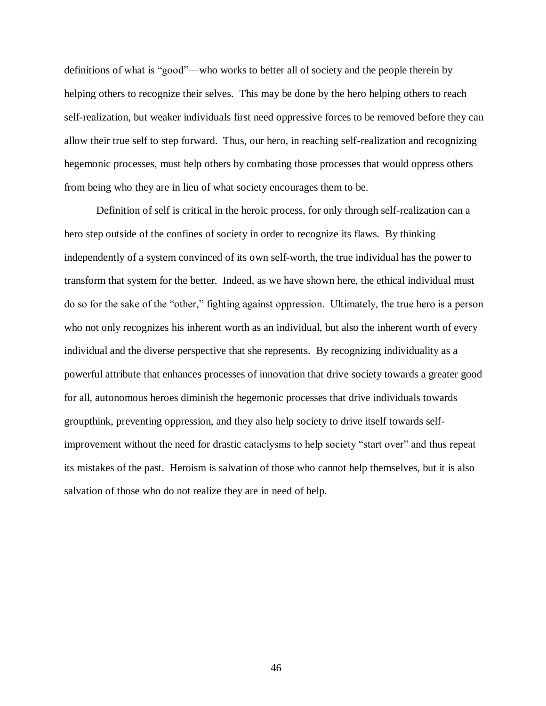definitions of what is "good"—who works to better all of society and the people therein by helping others to recognize their selves. This may be done by the hero helping others to reach self-realization, but weaker individuals first need oppressive forces to be removed before they can allow their true self to step forward. Thus, our hero, in reaching self-realization and recognizing hegemonic processes, must help others by combating those processes that would oppress others from being who they are in lieu of what society encourages them to be.

Definition of self is critical in the heroic process, for only through self-realization can a hero step outside of the confines of society in order to recognize its flaws. By thinking independently of a system convinced of its own self-worth, the true individual has the power to transform that system for the better. Indeed, as we have shown here, the ethical individual must do so for the sake of the "other," fighting against oppression. Ultimately, the true hero is a person who not only recognizes his inherent worth as an individual, but also the inherent worth of every individual and the diverse perspective that she represents. By recognizing individuality as a powerful attribute that enhances processes of innovation that drive society towards a greater good for all, autonomous heroes diminish the hegemonic processes that drive individuals towards groupthink, preventing oppression, and they also help society to drive itself towards selfimprovement without the need for drastic cataclysms to help society "start over" and thus repeat its mistakes of the past. Heroism is salvation of those who cannot help themselves, but it is also salvation of those who do not realize they are in need of help.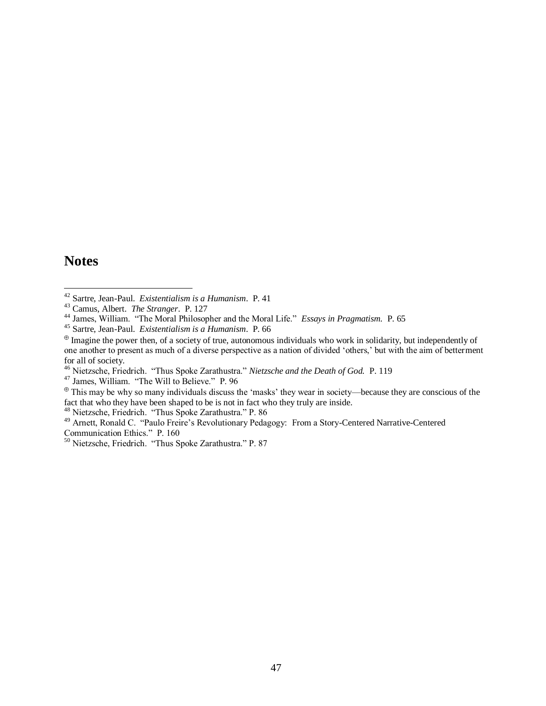## **Notes**

 $\overline{a}$ 

<sup>46</sup> Nietzsche, Friedrich. "Thus Spoke Zarathustra." *Nietzsche and the Death of God.* P. 119

<sup>47</sup> James, William. "The Will to Believe." P. 96

 $\Phi$  This may be why so many individuals discuss the 'masks' they wear in society—because they are conscious of the fact that who they have been shaped to be is not in fact who they truly are inside.

<sup>48</sup> Nietzsche, Friedrich. "Thus Spoke Zarathustra." P. 86

<sup>49</sup> Arnett, Ronald C. "Paulo Freire's Revolutionary Pedagogy: From a Story-Centered Narrative-Centered Communication Ethics." P. 160

<sup>42</sup> Sartre, Jean-Paul. *Existentialism is a Humanism*. P. 41

<sup>43</sup> Camus, Albert. *The Stranger*. P. 127

<sup>44</sup> James, William. "The Moral Philosopher and the Moral Life." *Essays in Pragmatism.* P. 65

<sup>45</sup> Sartre, Jean-Paul. *Existentialism is a Humanism*. P. 66

 $\Phi$  Imagine the power then, of a society of true, autonomous individuals who work in solidarity, but independently of one another to present as much of a diverse perspective as a nation of divided "others," but with the aim of betterment for all of society.

<sup>&</sup>lt;sup>50</sup> Nietzsche, Friedrich. "Thus Spoke Zarathustra." P. 87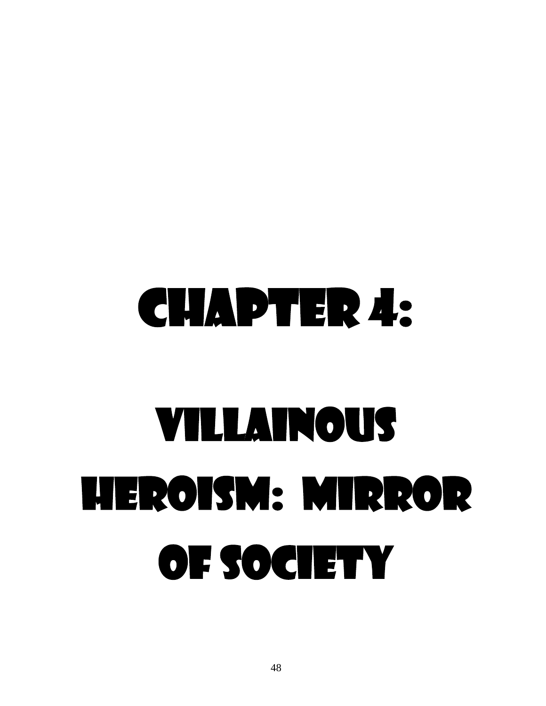## Chapter 4: Villainous Heroism: Mirror of Society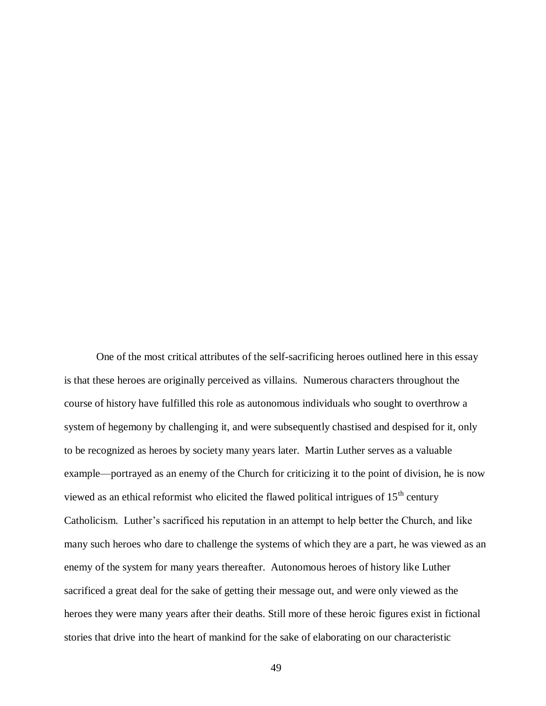One of the most critical attributes of the self-sacrificing heroes outlined here in this essay is that these heroes are originally perceived as villains. Numerous characters throughout the course of history have fulfilled this role as autonomous individuals who sought to overthrow a system of hegemony by challenging it, and were subsequently chastised and despised for it, only to be recognized as heroes by society many years later. Martin Luther serves as a valuable example—portrayed as an enemy of the Church for criticizing it to the point of division, he is now viewed as an ethical reformist who elicited the flawed political intrigues of  $15<sup>th</sup>$  century Catholicism. Luther"s sacrificed his reputation in an attempt to help better the Church, and like many such heroes who dare to challenge the systems of which they are a part, he was viewed as an enemy of the system for many years thereafter. Autonomous heroes of history like Luther sacrificed a great deal for the sake of getting their message out, and were only viewed as the heroes they were many years after their deaths. Still more of these heroic figures exist in fictional stories that drive into the heart of mankind for the sake of elaborating on our characteristic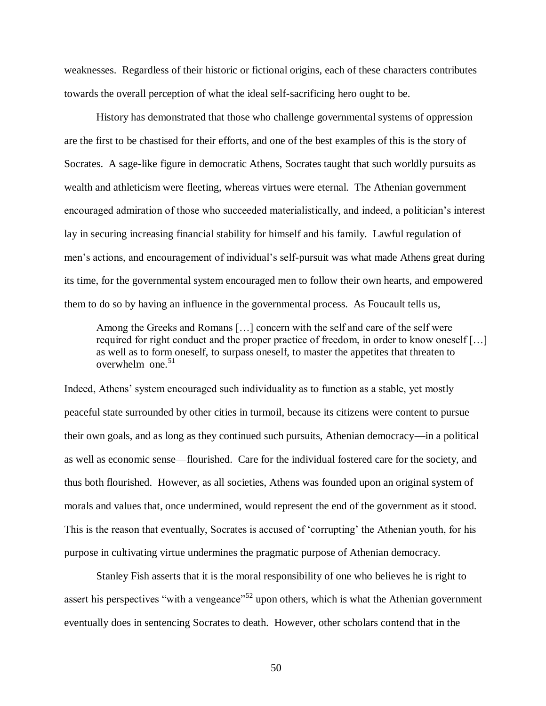weaknesses. Regardless of their historic or fictional origins, each of these characters contributes towards the overall perception of what the ideal self-sacrificing hero ought to be.

History has demonstrated that those who challenge governmental systems of oppression are the first to be chastised for their efforts, and one of the best examples of this is the story of Socrates. A sage-like figure in democratic Athens, Socrates taught that such worldly pursuits as wealth and athleticism were fleeting, whereas virtues were eternal. The Athenian government encouraged admiration of those who succeeded materialistically, and indeed, a politician"s interest lay in securing increasing financial stability for himself and his family. Lawful regulation of men's actions, and encouragement of individual's self-pursuit was what made Athens great during its time, for the governmental system encouraged men to follow their own hearts, and empowered them to do so by having an influence in the governmental process. As Foucault tells us,

Among the Greeks and Romans […] concern with the self and care of the self were required for right conduct and the proper practice of freedom, in order to know oneself […] as well as to form oneself, to surpass oneself, to master the appetites that threaten to overwhelm one.<sup>51</sup>

Indeed, Athens" system encouraged such individuality as to function as a stable, yet mostly peaceful state surrounded by other cities in turmoil, because its citizens were content to pursue their own goals, and as long as they continued such pursuits, Athenian democracy—in a political as well as economic sense—flourished. Care for the individual fostered care for the society, and thus both flourished. However, as all societies, Athens was founded upon an original system of morals and values that, once undermined, would represent the end of the government as it stood. This is the reason that eventually, Socrates is accused of "corrupting" the Athenian youth, for his purpose in cultivating virtue undermines the pragmatic purpose of Athenian democracy.

Stanley Fish asserts that it is the moral responsibility of one who believes he is right to assert his perspectives "with a vengeance"<sup>52</sup> upon others, which is what the Athenian government eventually does in sentencing Socrates to death. However, other scholars contend that in the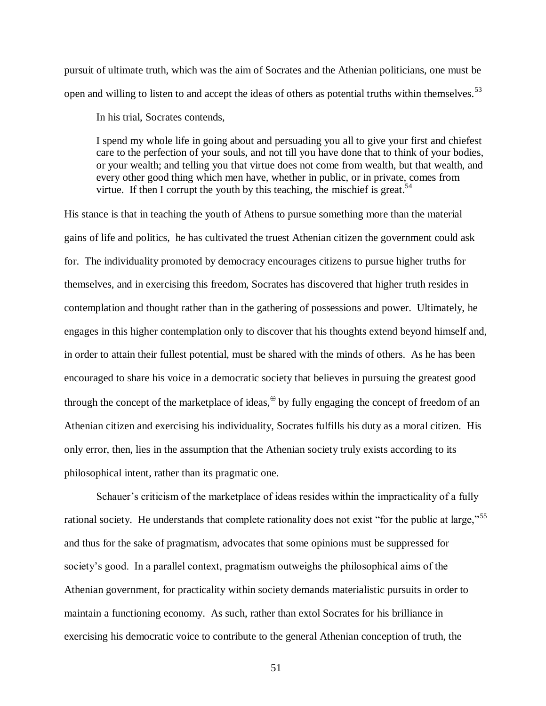pursuit of ultimate truth, which was the aim of Socrates and the Athenian politicians, one must be open and willing to listen to and accept the ideas of others as potential truths within themselves.<sup>53</sup>

In his trial, Socrates contends,

I spend my whole life in going about and persuading you all to give your first and chiefest care to the perfection of your souls, and not till you have done that to think of your bodies, or your wealth; and telling you that virtue does not come from wealth, but that wealth, and every other good thing which men have, whether in public, or in private, comes from virtue. If then I corrupt the youth by this teaching, the mischief is great.<sup>54</sup>

His stance is that in teaching the youth of Athens to pursue something more than the material gains of life and politics, he has cultivated the truest Athenian citizen the government could ask for. The individuality promoted by democracy encourages citizens to pursue higher truths for themselves, and in exercising this freedom, Socrates has discovered that higher truth resides in contemplation and thought rather than in the gathering of possessions and power. Ultimately, he engages in this higher contemplation only to discover that his thoughts extend beyond himself and, in order to attain their fullest potential, must be shared with the minds of others. As he has been encouraged to share his voice in a democratic society that believes in pursuing the greatest good through the concept of the marketplace of ideas,  $\theta$  by fully engaging the concept of freedom of an Athenian citizen and exercising his individuality, Socrates fulfills his duty as a moral citizen. His only error, then, lies in the assumption that the Athenian society truly exists according to its philosophical intent, rather than its pragmatic one.

Schauer's criticism of the marketplace of ideas resides within the impracticality of a fully rational society. He understands that complete rationality does not exist "for the public at large,"<sup>55</sup> and thus for the sake of pragmatism, advocates that some opinions must be suppressed for society's good. In a parallel context, pragmatism outweighs the philosophical aims of the Athenian government, for practicality within society demands materialistic pursuits in order to maintain a functioning economy. As such, rather than extol Socrates for his brilliance in exercising his democratic voice to contribute to the general Athenian conception of truth, the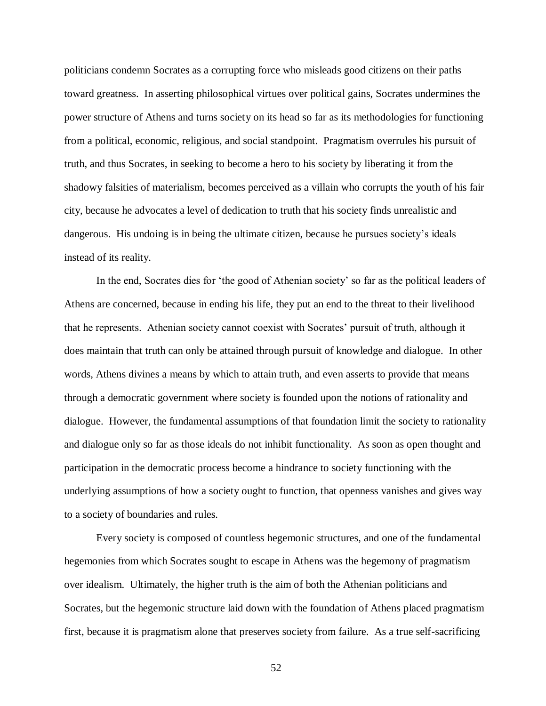politicians condemn Socrates as a corrupting force who misleads good citizens on their paths toward greatness. In asserting philosophical virtues over political gains, Socrates undermines the power structure of Athens and turns society on its head so far as its methodologies for functioning from a political, economic, religious, and social standpoint. Pragmatism overrules his pursuit of truth, and thus Socrates, in seeking to become a hero to his society by liberating it from the shadowy falsities of materialism, becomes perceived as a villain who corrupts the youth of his fair city, because he advocates a level of dedication to truth that his society finds unrealistic and dangerous. His undoing is in being the ultimate citizen, because he pursues society"s ideals instead of its reality.

In the end, Socrates dies for "the good of Athenian society" so far as the political leaders of Athens are concerned, because in ending his life, they put an end to the threat to their livelihood that he represents. Athenian society cannot coexist with Socrates" pursuit of truth, although it does maintain that truth can only be attained through pursuit of knowledge and dialogue. In other words, Athens divines a means by which to attain truth, and even asserts to provide that means through a democratic government where society is founded upon the notions of rationality and dialogue. However, the fundamental assumptions of that foundation limit the society to rationality and dialogue only so far as those ideals do not inhibit functionality. As soon as open thought and participation in the democratic process become a hindrance to society functioning with the underlying assumptions of how a society ought to function, that openness vanishes and gives way to a society of boundaries and rules.

Every society is composed of countless hegemonic structures, and one of the fundamental hegemonies from which Socrates sought to escape in Athens was the hegemony of pragmatism over idealism. Ultimately, the higher truth is the aim of both the Athenian politicians and Socrates, but the hegemonic structure laid down with the foundation of Athens placed pragmatism first, because it is pragmatism alone that preserves society from failure. As a true self-sacrificing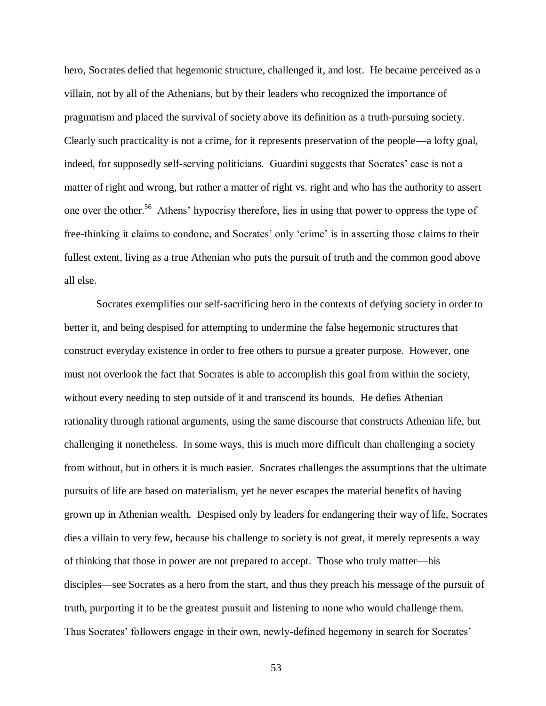hero, Socrates defied that hegemonic structure, challenged it, and lost. He became perceived as a villain, not by all of the Athenians, but by their leaders who recognized the importance of pragmatism and placed the survival of society above its definition as a truth-pursuing society. Clearly such practicality is not a crime, for it represents preservation of the people—a lofty goal, indeed, for supposedly self-serving politicians. Guardini suggests that Socrates' case is not a matter of right and wrong, but rather a matter of right vs. right and who has the authority to assert one over the other.<sup>56</sup> Athens' hypocrisy therefore, lies in using that power to oppress the type of free-thinking it claims to condone, and Socrates' only 'crime' is in asserting those claims to their fullest extent, living as a true Athenian who puts the pursuit of truth and the common good above all else.

Socrates exemplifies our self-sacrificing hero in the contexts of defying society in order to better it, and being despised for attempting to undermine the false hegemonic structures that construct everyday existence in order to free others to pursue a greater purpose. However, one must not overlook the fact that Socrates is able to accomplish this goal from within the society, without every needing to step outside of it and transcend its bounds. He defies Athenian rationality through rational arguments, using the same discourse that constructs Athenian life, but challenging it nonetheless. In some ways, this is much more difficult than challenging a society from without, but in others it is much easier. Socrates challenges the assumptions that the ultimate pursuits of life are based on materialism, yet he never escapes the material benefits of having grown up in Athenian wealth. Despised only by leaders for endangering their way of life, Socrates dies a villain to very few, because his challenge to society is not great, it merely represents a way of thinking that those in power are not prepared to accept. Those who truly matter—his disciples—see Socrates as a hero from the start, and thus they preach his message of the pursuit of truth, purporting it to be the greatest pursuit and listening to none who would challenge them. Thus Socrates' followers engage in their own, newly-defined hegemony in search for Socrates'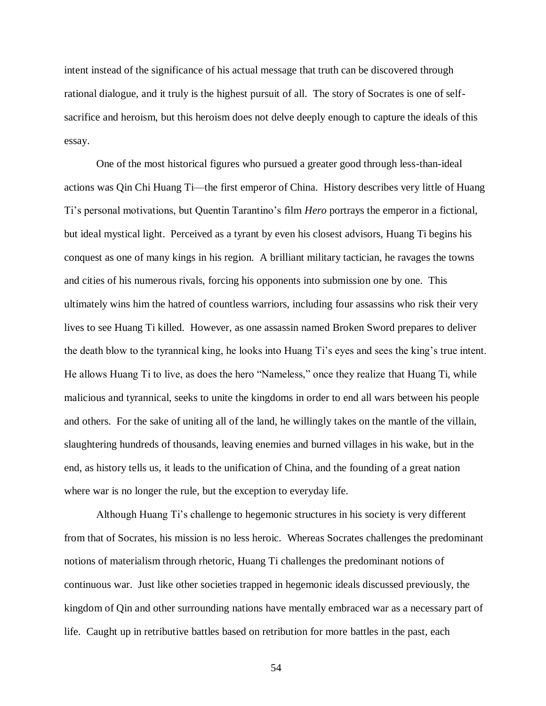intent instead of the significance of his actual message that truth can be discovered through rational dialogue, and it truly is the highest pursuit of all. The story of Socrates is one of selfsacrifice and heroism, but this heroism does not delve deeply enough to capture the ideals of this essay.

One of the most historical figures who pursued a greater good through less-than-ideal actions was Qin Chi Huang Ti—the first emperor of China. History describes very little of Huang Ti"s personal motivations, but Quentin Tarantino"s film *Hero* portrays the emperor in a fictional, but ideal mystical light. Perceived as a tyrant by even his closest advisors, Huang Ti begins his conquest as one of many kings in his region. A brilliant military tactician, he ravages the towns and cities of his numerous rivals, forcing his opponents into submission one by one. This ultimately wins him the hatred of countless warriors, including four assassins who risk their very lives to see Huang Ti killed. However, as one assassin named Broken Sword prepares to deliver the death blow to the tyrannical king, he looks into Huang Ti"s eyes and sees the king"s true intent. He allows Huang Ti to live, as does the hero "Nameless," once they realize that Huang Ti, while malicious and tyrannical, seeks to unite the kingdoms in order to end all wars between his people and others. For the sake of uniting all of the land, he willingly takes on the mantle of the villain, slaughtering hundreds of thousands, leaving enemies and burned villages in his wake, but in the end, as history tells us, it leads to the unification of China, and the founding of a great nation where war is no longer the rule, but the exception to everyday life.

Although Huang Ti"s challenge to hegemonic structures in his society is very different from that of Socrates, his mission is no less heroic. Whereas Socrates challenges the predominant notions of materialism through rhetoric, Huang Ti challenges the predominant notions of continuous war. Just like other societies trapped in hegemonic ideals discussed previously, the kingdom of Qin and other surrounding nations have mentally embraced war as a necessary part of life. Caught up in retributive battles based on retribution for more battles in the past, each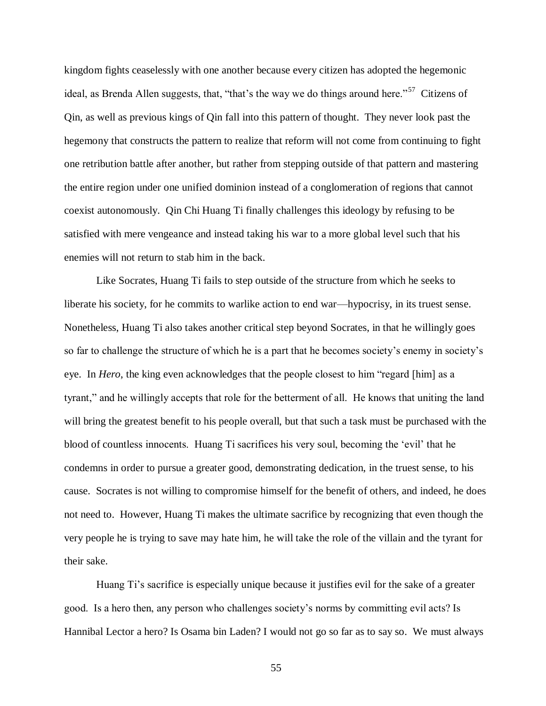kingdom fights ceaselessly with one another because every citizen has adopted the hegemonic ideal, as Brenda Allen suggests, that, "that's the way we do things around here."<sup>57</sup> Citizens of Qin, as well as previous kings of Qin fall into this pattern of thought. They never look past the hegemony that constructs the pattern to realize that reform will not come from continuing to fight one retribution battle after another, but rather from stepping outside of that pattern and mastering the entire region under one unified dominion instead of a conglomeration of regions that cannot coexist autonomously. Qin Chi Huang Ti finally challenges this ideology by refusing to be satisfied with mere vengeance and instead taking his war to a more global level such that his enemies will not return to stab him in the back.

Like Socrates, Huang Ti fails to step outside of the structure from which he seeks to liberate his society, for he commits to warlike action to end war—hypocrisy, in its truest sense. Nonetheless, Huang Ti also takes another critical step beyond Socrates, in that he willingly goes so far to challenge the structure of which he is a part that he becomes society"s enemy in society"s eye. In *Hero*, the king even acknowledges that the people closest to him "regard [him] as a tyrant," and he willingly accepts that role for the betterment of all. He knows that uniting the land will bring the greatest benefit to his people overall, but that such a task must be purchased with the blood of countless innocents. Huang Ti sacrifices his very soul, becoming the "evil" that he condemns in order to pursue a greater good, demonstrating dedication, in the truest sense, to his cause. Socrates is not willing to compromise himself for the benefit of others, and indeed, he does not need to. However, Huang Ti makes the ultimate sacrifice by recognizing that even though the very people he is trying to save may hate him, he will take the role of the villain and the tyrant for their sake.

Huang Ti's sacrifice is especially unique because it justifies evil for the sake of a greater good. Is a hero then, any person who challenges society"s norms by committing evil acts? Is Hannibal Lector a hero? Is Osama bin Laden? I would not go so far as to say so. We must always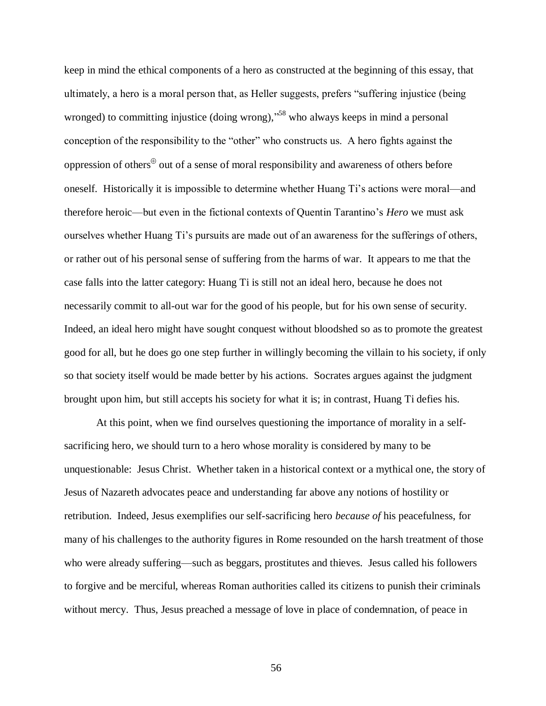keep in mind the ethical components of a hero as constructed at the beginning of this essay, that ultimately, a hero is a moral person that, as Heller suggests, prefers "suffering injustice (being wronged) to committing injustice (doing wrong),"<sup>58</sup> who always keeps in mind a personal conception of the responsibility to the "other" who constructs us. A hero fights against the oppression of others $\theta$  out of a sense of moral responsibility and awareness of others before oneself. Historically it is impossible to determine whether Huang Ti"s actions were moral—and therefore heroic—but even in the fictional contexts of Quentin Tarantino"s *Hero* we must ask ourselves whether Huang Ti"s pursuits are made out of an awareness for the sufferings of others, or rather out of his personal sense of suffering from the harms of war. It appears to me that the case falls into the latter category: Huang Ti is still not an ideal hero, because he does not necessarily commit to all-out war for the good of his people, but for his own sense of security. Indeed, an ideal hero might have sought conquest without bloodshed so as to promote the greatest good for all, but he does go one step further in willingly becoming the villain to his society, if only so that society itself would be made better by his actions. Socrates argues against the judgment brought upon him, but still accepts his society for what it is; in contrast, Huang Ti defies his.

At this point, when we find ourselves questioning the importance of morality in a selfsacrificing hero, we should turn to a hero whose morality is considered by many to be unquestionable: Jesus Christ. Whether taken in a historical context or a mythical one, the story of Jesus of Nazareth advocates peace and understanding far above any notions of hostility or retribution. Indeed, Jesus exemplifies our self-sacrificing hero *because of* his peacefulness, for many of his challenges to the authority figures in Rome resounded on the harsh treatment of those who were already suffering—such as beggars, prostitutes and thieves. Jesus called his followers to forgive and be merciful, whereas Roman authorities called its citizens to punish their criminals without mercy. Thus, Jesus preached a message of love in place of condemnation, of peace in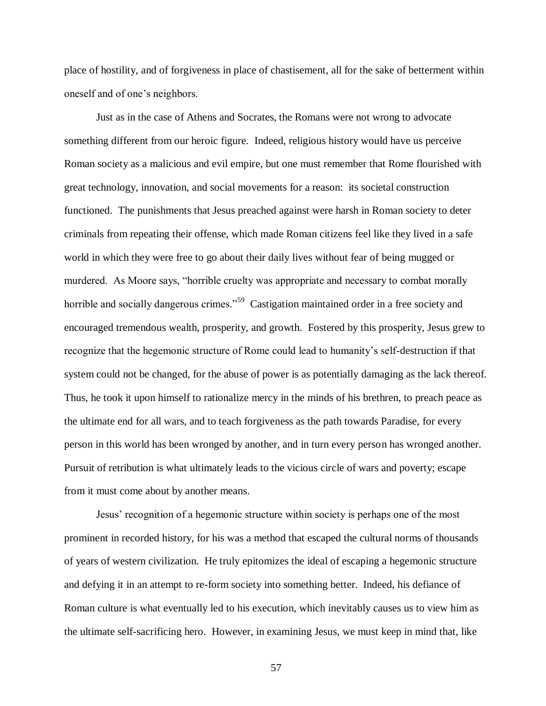place of hostility, and of forgiveness in place of chastisement, all for the sake of betterment within oneself and of one"s neighbors.

Just as in the case of Athens and Socrates, the Romans were not wrong to advocate something different from our heroic figure. Indeed, religious history would have us perceive Roman society as a malicious and evil empire, but one must remember that Rome flourished with great technology, innovation, and social movements for a reason: its societal construction functioned. The punishments that Jesus preached against were harsh in Roman society to deter criminals from repeating their offense, which made Roman citizens feel like they lived in a safe world in which they were free to go about their daily lives without fear of being mugged or murdered. As Moore says, "horrible cruelty was appropriate and necessary to combat morally horrible and socially dangerous crimes."<sup>59</sup> Castigation maintained order in a free society and encouraged tremendous wealth, prosperity, and growth. Fostered by this prosperity, Jesus grew to recognize that the hegemonic structure of Rome could lead to humanity"s self-destruction if that system could not be changed, for the abuse of power is as potentially damaging as the lack thereof. Thus, he took it upon himself to rationalize mercy in the minds of his brethren, to preach peace as the ultimate end for all wars, and to teach forgiveness as the path towards Paradise, for every person in this world has been wronged by another, and in turn every person has wronged another. Pursuit of retribution is what ultimately leads to the vicious circle of wars and poverty; escape from it must come about by another means.

Jesus" recognition of a hegemonic structure within society is perhaps one of the most prominent in recorded history, for his was a method that escaped the cultural norms of thousands of years of western civilization. He truly epitomizes the ideal of escaping a hegemonic structure and defying it in an attempt to re-form society into something better. Indeed, his defiance of Roman culture is what eventually led to his execution, which inevitably causes us to view him as the ultimate self-sacrificing hero. However, in examining Jesus, we must keep in mind that, like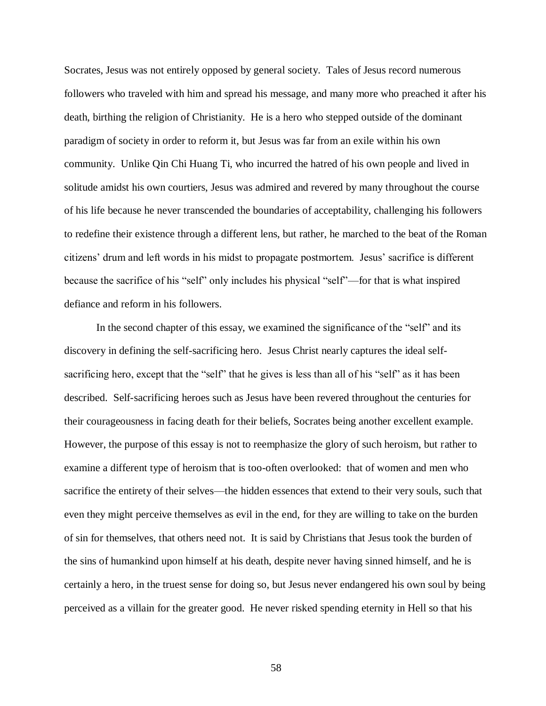Socrates, Jesus was not entirely opposed by general society. Tales of Jesus record numerous followers who traveled with him and spread his message, and many more who preached it after his death, birthing the religion of Christianity. He is a hero who stepped outside of the dominant paradigm of society in order to reform it, but Jesus was far from an exile within his own community. Unlike Qin Chi Huang Ti, who incurred the hatred of his own people and lived in solitude amidst his own courtiers, Jesus was admired and revered by many throughout the course of his life because he never transcended the boundaries of acceptability, challenging his followers to redefine their existence through a different lens, but rather, he marched to the beat of the Roman citizens" drum and left words in his midst to propagate postmortem. Jesus" sacrifice is different because the sacrifice of his "self" only includes his physical "self"—for that is what inspired defiance and reform in his followers.

In the second chapter of this essay, we examined the significance of the "self" and its discovery in defining the self-sacrificing hero. Jesus Christ nearly captures the ideal selfsacrificing hero, except that the "self" that he gives is less than all of his "self" as it has been described. Self-sacrificing heroes such as Jesus have been revered throughout the centuries for their courageousness in facing death for their beliefs, Socrates being another excellent example. However, the purpose of this essay is not to reemphasize the glory of such heroism, but rather to examine a different type of heroism that is too-often overlooked: that of women and men who sacrifice the entirety of their selves—the hidden essences that extend to their very souls, such that even they might perceive themselves as evil in the end, for they are willing to take on the burden of sin for themselves, that others need not. It is said by Christians that Jesus took the burden of the sins of humankind upon himself at his death, despite never having sinned himself, and he is certainly a hero, in the truest sense for doing so, but Jesus never endangered his own soul by being perceived as a villain for the greater good. He never risked spending eternity in Hell so that his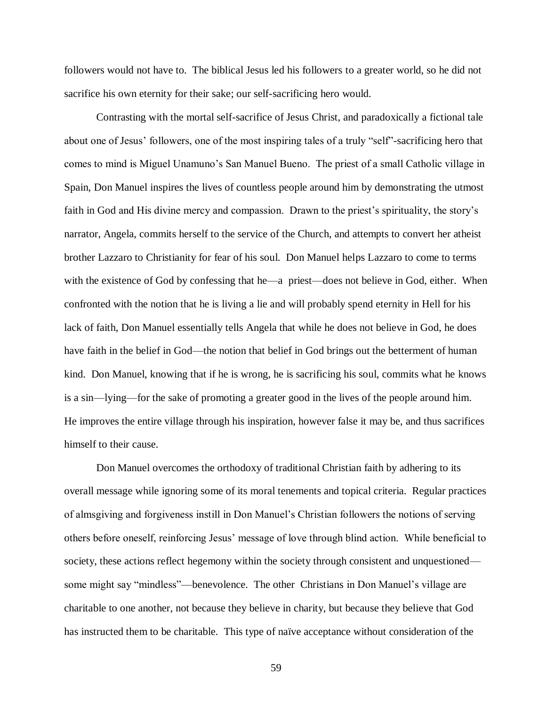followers would not have to. The biblical Jesus led his followers to a greater world, so he did not sacrifice his own eternity for their sake; our self-sacrificing hero would.

Contrasting with the mortal self-sacrifice of Jesus Christ, and paradoxically a fictional tale about one of Jesus" followers, one of the most inspiring tales of a truly "self"-sacrificing hero that comes to mind is Miguel Unamuno"s San Manuel Bueno. The priest of a small Catholic village in Spain, Don Manuel inspires the lives of countless people around him by demonstrating the utmost faith in God and His divine mercy and compassion. Drawn to the priest's spirituality, the story's narrator, Angela, commits herself to the service of the Church, and attempts to convert her atheist brother Lazzaro to Christianity for fear of his soul. Don Manuel helps Lazzaro to come to terms with the existence of God by confessing that he—a priest—does not believe in God, either. When confronted with the notion that he is living a lie and will probably spend eternity in Hell for his lack of faith, Don Manuel essentially tells Angela that while he does not believe in God, he does have faith in the belief in God—the notion that belief in God brings out the betterment of human kind. Don Manuel, knowing that if he is wrong, he is sacrificing his soul, commits what he knows is a sin—lying—for the sake of promoting a greater good in the lives of the people around him. He improves the entire village through his inspiration, however false it may be, and thus sacrifices himself to their cause.

Don Manuel overcomes the orthodoxy of traditional Christian faith by adhering to its overall message while ignoring some of its moral tenements and topical criteria. Regular practices of almsgiving and forgiveness instill in Don Manuel"s Christian followers the notions of serving others before oneself, reinforcing Jesus" message of love through blind action. While beneficial to society, these actions reflect hegemony within the society through consistent and unquestioned some might say "mindless"—benevolence. The other Christians in Don Manuel's village are charitable to one another, not because they believe in charity, but because they believe that God has instructed them to be charitable. This type of naïve acceptance without consideration of the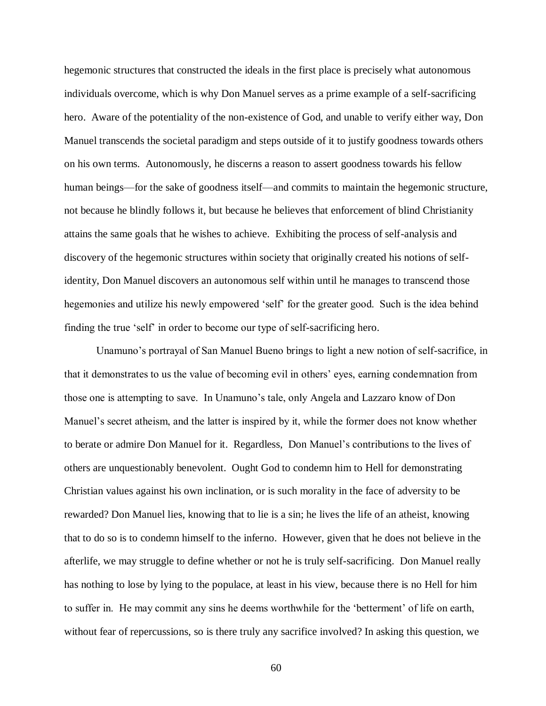hegemonic structures that constructed the ideals in the first place is precisely what autonomous individuals overcome, which is why Don Manuel serves as a prime example of a self-sacrificing hero. Aware of the potentiality of the non-existence of God, and unable to verify either way, Don Manuel transcends the societal paradigm and steps outside of it to justify goodness towards others on his own terms. Autonomously, he discerns a reason to assert goodness towards his fellow human beings—for the sake of goodness itself—and commits to maintain the hegemonic structure, not because he blindly follows it, but because he believes that enforcement of blind Christianity attains the same goals that he wishes to achieve. Exhibiting the process of self-analysis and discovery of the hegemonic structures within society that originally created his notions of selfidentity, Don Manuel discovers an autonomous self within until he manages to transcend those hegemonies and utilize his newly empowered 'self' for the greater good. Such is the idea behind finding the true "self" in order to become our type of self-sacrificing hero.

Unamuno"s portrayal of San Manuel Bueno brings to light a new notion of self-sacrifice, in that it demonstrates to us the value of becoming evil in others" eyes, earning condemnation from those one is attempting to save. In Unamuno"s tale, only Angela and Lazzaro know of Don Manuel's secret atheism, and the latter is inspired by it, while the former does not know whether to berate or admire Don Manuel for it. Regardless, Don Manuel"s contributions to the lives of others are unquestionably benevolent. Ought God to condemn him to Hell for demonstrating Christian values against his own inclination, or is such morality in the face of adversity to be rewarded? Don Manuel lies, knowing that to lie is a sin; he lives the life of an atheist, knowing that to do so is to condemn himself to the inferno. However, given that he does not believe in the afterlife, we may struggle to define whether or not he is truly self-sacrificing. Don Manuel really has nothing to lose by lying to the populace, at least in his view, because there is no Hell for him to suffer in. He may commit any sins he deems worthwhile for the "betterment" of life on earth, without fear of repercussions, so is there truly any sacrifice involved? In asking this question, we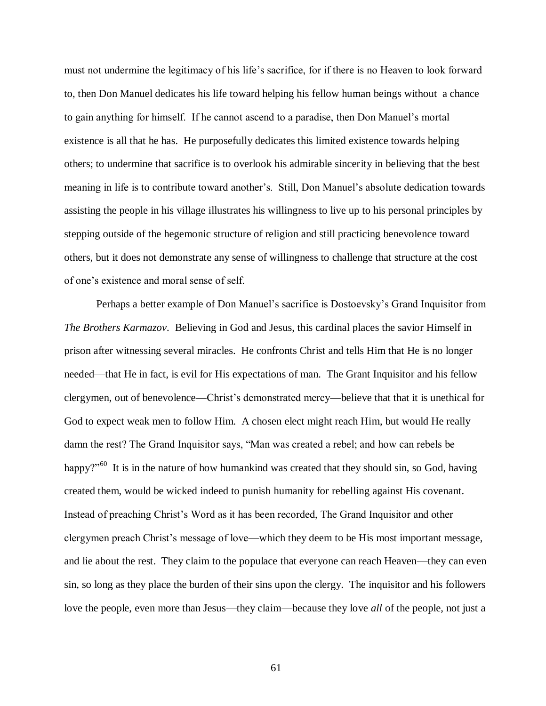must not undermine the legitimacy of his life"s sacrifice, for if there is no Heaven to look forward to, then Don Manuel dedicates his life toward helping his fellow human beings without a chance to gain anything for himself. If he cannot ascend to a paradise, then Don Manuel"s mortal existence is all that he has. He purposefully dedicates this limited existence towards helping others; to undermine that sacrifice is to overlook his admirable sincerity in believing that the best meaning in life is to contribute toward another"s. Still, Don Manuel"s absolute dedication towards assisting the people in his village illustrates his willingness to live up to his personal principles by stepping outside of the hegemonic structure of religion and still practicing benevolence toward others, but it does not demonstrate any sense of willingness to challenge that structure at the cost of one"s existence and moral sense of self.

Perhaps a better example of Don Manuel's sacrifice is Dostoevsky's Grand Inquisitor from *The Brothers Karmazov*. Believing in God and Jesus, this cardinal places the savior Himself in prison after witnessing several miracles. He confronts Christ and tells Him that He is no longer needed—that He in fact, is evil for His expectations of man. The Grant Inquisitor and his fellow clergymen, out of benevolence—Christ"s demonstrated mercy—believe that that it is unethical for God to expect weak men to follow Him. A chosen elect might reach Him, but would He really damn the rest? The Grand Inquisitor says, "Man was created a rebel; and how can rebels be happy?"<sup>60</sup> It is in the nature of how humankind was created that they should sin, so God, having created them, would be wicked indeed to punish humanity for rebelling against His covenant. Instead of preaching Christ"s Word as it has been recorded, The Grand Inquisitor and other clergymen preach Christ"s message of love—which they deem to be His most important message, and lie about the rest. They claim to the populace that everyone can reach Heaven—they can even sin, so long as they place the burden of their sins upon the clergy. The inquisitor and his followers love the people, even more than Jesus—they claim—because they love *all* of the people, not just a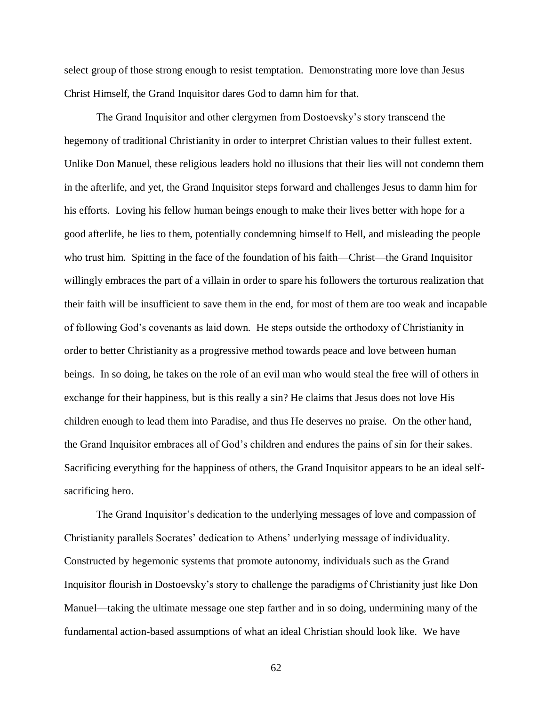select group of those strong enough to resist temptation. Demonstrating more love than Jesus Christ Himself, the Grand Inquisitor dares God to damn him for that.

The Grand Inquisitor and other clergymen from Dostoevsky"s story transcend the hegemony of traditional Christianity in order to interpret Christian values to their fullest extent. Unlike Don Manuel, these religious leaders hold no illusions that their lies will not condemn them in the afterlife, and yet, the Grand Inquisitor steps forward and challenges Jesus to damn him for his efforts. Loving his fellow human beings enough to make their lives better with hope for a good afterlife, he lies to them, potentially condemning himself to Hell, and misleading the people who trust him. Spitting in the face of the foundation of his faith—Christ—the Grand Inquisitor willingly embraces the part of a villain in order to spare his followers the torturous realization that their faith will be insufficient to save them in the end, for most of them are too weak and incapable of following God"s covenants as laid down. He steps outside the orthodoxy of Christianity in order to better Christianity as a progressive method towards peace and love between human beings. In so doing, he takes on the role of an evil man who would steal the free will of others in exchange for their happiness, but is this really a sin? He claims that Jesus does not love His children enough to lead them into Paradise, and thus He deserves no praise. On the other hand, the Grand Inquisitor embraces all of God"s children and endures the pains of sin for their sakes. Sacrificing everything for the happiness of others, the Grand Inquisitor appears to be an ideal selfsacrificing hero.

The Grand Inquisitor's dedication to the underlying messages of love and compassion of Christianity parallels Socrates" dedication to Athens" underlying message of individuality. Constructed by hegemonic systems that promote autonomy, individuals such as the Grand Inquisitor flourish in Dostoevsky"s story to challenge the paradigms of Christianity just like Don Manuel—taking the ultimate message one step farther and in so doing, undermining many of the fundamental action-based assumptions of what an ideal Christian should look like. We have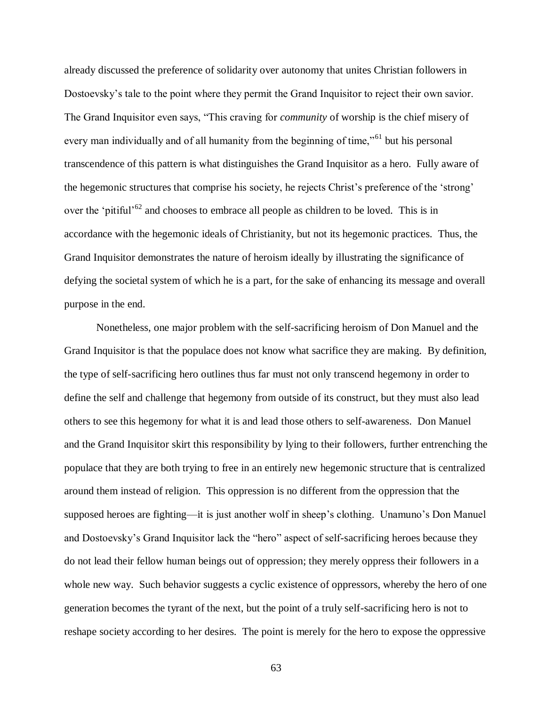already discussed the preference of solidarity over autonomy that unites Christian followers in Dostoevsky"s tale to the point where they permit the Grand Inquisitor to reject their own savior. The Grand Inquisitor even says, "This craving for *community* of worship is the chief misery of every man individually and of all humanity from the beginning of time,"<sup>61</sup> but his personal transcendence of this pattern is what distinguishes the Grand Inquisitor as a hero. Fully aware of the hegemonic structures that comprise his society, he rejects Christ"s preference of the "strong" over the 'pitiful<sup> $62$ </sup> and chooses to embrace all people as children to be loved. This is in accordance with the hegemonic ideals of Christianity, but not its hegemonic practices. Thus, the Grand Inquisitor demonstrates the nature of heroism ideally by illustrating the significance of defying the societal system of which he is a part, for the sake of enhancing its message and overall purpose in the end.

Nonetheless, one major problem with the self-sacrificing heroism of Don Manuel and the Grand Inquisitor is that the populace does not know what sacrifice they are making. By definition, the type of self-sacrificing hero outlines thus far must not only transcend hegemony in order to define the self and challenge that hegemony from outside of its construct, but they must also lead others to see this hegemony for what it is and lead those others to self-awareness. Don Manuel and the Grand Inquisitor skirt this responsibility by lying to their followers, further entrenching the populace that they are both trying to free in an entirely new hegemonic structure that is centralized around them instead of religion. This oppression is no different from the oppression that the supposed heroes are fighting—it is just another wolf in sheep's clothing. Unamuno's Don Manuel and Dostoevsky"s Grand Inquisitor lack the "hero" aspect of self-sacrificing heroes because they do not lead their fellow human beings out of oppression; they merely oppress their followers in a whole new way. Such behavior suggests a cyclic existence of oppressors, whereby the hero of one generation becomes the tyrant of the next, but the point of a truly self-sacrificing hero is not to reshape society according to her desires. The point is merely for the hero to expose the oppressive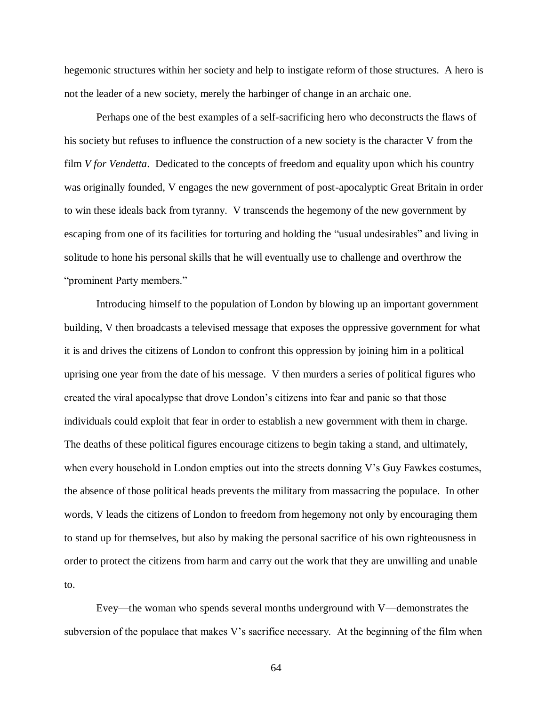hegemonic structures within her society and help to instigate reform of those structures. A hero is not the leader of a new society, merely the harbinger of change in an archaic one.

Perhaps one of the best examples of a self-sacrificing hero who deconstructs the flaws of his society but refuses to influence the construction of a new society is the character V from the film *V for Vendetta*. Dedicated to the concepts of freedom and equality upon which his country was originally founded, V engages the new government of post-apocalyptic Great Britain in order to win these ideals back from tyranny. V transcends the hegemony of the new government by escaping from one of its facilities for torturing and holding the "usual undesirables" and living in solitude to hone his personal skills that he will eventually use to challenge and overthrow the "prominent Party members."

Introducing himself to the population of London by blowing up an important government building, V then broadcasts a televised message that exposes the oppressive government for what it is and drives the citizens of London to confront this oppression by joining him in a political uprising one year from the date of his message. V then murders a series of political figures who created the viral apocalypse that drove London"s citizens into fear and panic so that those individuals could exploit that fear in order to establish a new government with them in charge. The deaths of these political figures encourage citizens to begin taking a stand, and ultimately, when every household in London empties out into the streets donning V's Guy Fawkes costumes, the absence of those political heads prevents the military from massacring the populace. In other words, V leads the citizens of London to freedom from hegemony not only by encouraging them to stand up for themselves, but also by making the personal sacrifice of his own righteousness in order to protect the citizens from harm and carry out the work that they are unwilling and unable to.

Evey—the woman who spends several months underground with V—demonstrates the subversion of the populace that makes V"s sacrifice necessary. At the beginning of the film when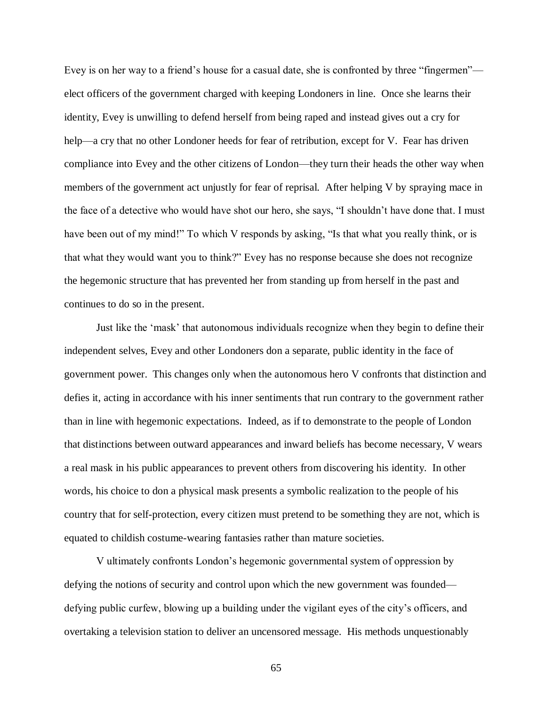Evey is on her way to a friend"s house for a casual date, she is confronted by three "fingermen" elect officers of the government charged with keeping Londoners in line. Once she learns their identity, Evey is unwilling to defend herself from being raped and instead gives out a cry for help—a cry that no other Londoner heeds for fear of retribution, except for V. Fear has driven compliance into Evey and the other citizens of London—they turn their heads the other way when members of the government act unjustly for fear of reprisal. After helping V by spraying mace in the face of a detective who would have shot our hero, she says, "I shouldn"t have done that. I must have been out of my mind!" To which V responds by asking, "Is that what you really think, or is that what they would want you to think?" Evey has no response because she does not recognize the hegemonic structure that has prevented her from standing up from herself in the past and continues to do so in the present.

Just like the "mask" that autonomous individuals recognize when they begin to define their independent selves, Evey and other Londoners don a separate, public identity in the face of government power. This changes only when the autonomous hero V confronts that distinction and defies it, acting in accordance with his inner sentiments that run contrary to the government rather than in line with hegemonic expectations. Indeed, as if to demonstrate to the people of London that distinctions between outward appearances and inward beliefs has become necessary, V wears a real mask in his public appearances to prevent others from discovering his identity. In other words, his choice to don a physical mask presents a symbolic realization to the people of his country that for self-protection, every citizen must pretend to be something they are not, which is equated to childish costume-wearing fantasies rather than mature societies.

V ultimately confronts London"s hegemonic governmental system of oppression by defying the notions of security and control upon which the new government was founded defying public curfew, blowing up a building under the vigilant eyes of the city"s officers, and overtaking a television station to deliver an uncensored message. His methods unquestionably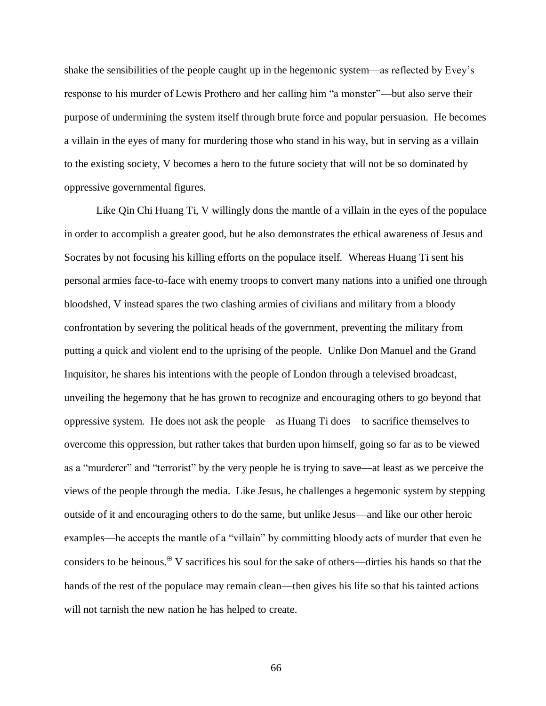shake the sensibilities of the people caught up in the hegemonic system—as reflected by Evey"s response to his murder of Lewis Prothero and her calling him "a monster"—but also serve their purpose of undermining the system itself through brute force and popular persuasion. He becomes a villain in the eyes of many for murdering those who stand in his way, but in serving as a villain to the existing society, V becomes a hero to the future society that will not be so dominated by oppressive governmental figures.

Like Qin Chi Huang Ti, V willingly dons the mantle of a villain in the eyes of the populace in order to accomplish a greater good, but he also demonstrates the ethical awareness of Jesus and Socrates by not focusing his killing efforts on the populace itself. Whereas Huang Ti sent his personal armies face-to-face with enemy troops to convert many nations into a unified one through bloodshed, V instead spares the two clashing armies of civilians and military from a bloody confrontation by severing the political heads of the government, preventing the military from putting a quick and violent end to the uprising of the people. Unlike Don Manuel and the Grand Inquisitor, he shares his intentions with the people of London through a televised broadcast, unveiling the hegemony that he has grown to recognize and encouraging others to go beyond that oppressive system. He does not ask the people—as Huang Ti does—to sacrifice themselves to overcome this oppression, but rather takes that burden upon himself, going so far as to be viewed as a "murderer" and "terrorist" by the very people he is trying to save—at least as we perceive the views of the people through the media. Like Jesus, he challenges a hegemonic system by stepping outside of it and encouraging others to do the same, but unlike Jesus—and like our other heroic examples—he accepts the mantle of a "villain" by committing bloody acts of murder that even he considers to be heinous.  $\mathbb{P}$  V sacrifices his soul for the sake of others—dirties his hands so that the hands of the rest of the populace may remain clean—then gives his life so that his tainted actions will not tarnish the new nation he has helped to create.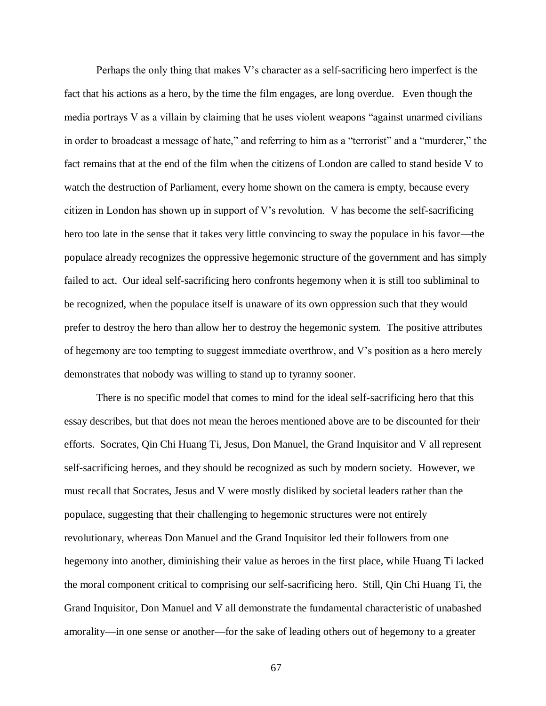Perhaps the only thing that makes V"s character as a self-sacrificing hero imperfect is the fact that his actions as a hero, by the time the film engages, are long overdue. Even though the media portrays V as a villain by claiming that he uses violent weapons "against unarmed civilians in order to broadcast a message of hate," and referring to him as a "terrorist" and a "murderer," the fact remains that at the end of the film when the citizens of London are called to stand beside V to watch the destruction of Parliament, every home shown on the camera is empty, because every citizen in London has shown up in support of V"s revolution. V has become the self-sacrificing hero too late in the sense that it takes very little convincing to sway the populace in his favor—the populace already recognizes the oppressive hegemonic structure of the government and has simply failed to act. Our ideal self-sacrificing hero confronts hegemony when it is still too subliminal to be recognized, when the populace itself is unaware of its own oppression such that they would prefer to destroy the hero than allow her to destroy the hegemonic system. The positive attributes of hegemony are too tempting to suggest immediate overthrow, and V"s position as a hero merely demonstrates that nobody was willing to stand up to tyranny sooner.

There is no specific model that comes to mind for the ideal self-sacrificing hero that this essay describes, but that does not mean the heroes mentioned above are to be discounted for their efforts. Socrates, Qin Chi Huang Ti, Jesus, Don Manuel, the Grand Inquisitor and V all represent self-sacrificing heroes, and they should be recognized as such by modern society. However, we must recall that Socrates, Jesus and V were mostly disliked by societal leaders rather than the populace, suggesting that their challenging to hegemonic structures were not entirely revolutionary, whereas Don Manuel and the Grand Inquisitor led their followers from one hegemony into another, diminishing their value as heroes in the first place, while Huang Ti lacked the moral component critical to comprising our self-sacrificing hero. Still, Qin Chi Huang Ti, the Grand Inquisitor, Don Manuel and V all demonstrate the fundamental characteristic of unabashed amorality—in one sense or another—for the sake of leading others out of hegemony to a greater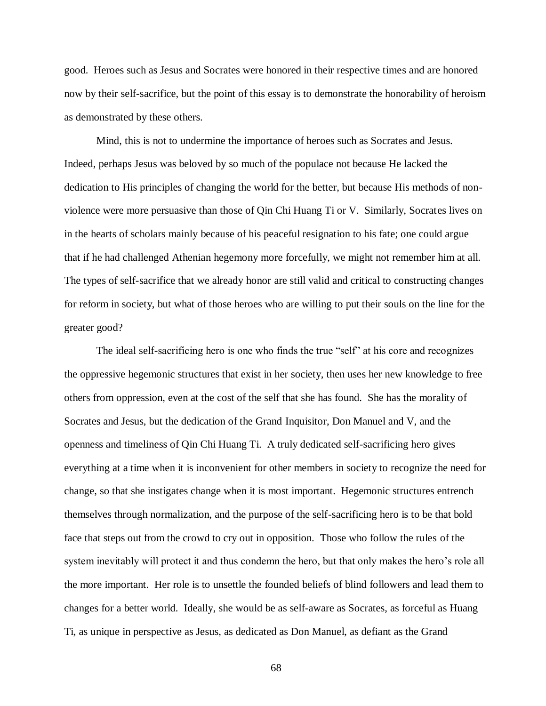good. Heroes such as Jesus and Socrates were honored in their respective times and are honored now by their self-sacrifice, but the point of this essay is to demonstrate the honorability of heroism as demonstrated by these others.

Mind, this is not to undermine the importance of heroes such as Socrates and Jesus. Indeed, perhaps Jesus was beloved by so much of the populace not because He lacked the dedication to His principles of changing the world for the better, but because His methods of nonviolence were more persuasive than those of Qin Chi Huang Ti or V. Similarly, Socrates lives on in the hearts of scholars mainly because of his peaceful resignation to his fate; one could argue that if he had challenged Athenian hegemony more forcefully, we might not remember him at all. The types of self-sacrifice that we already honor are still valid and critical to constructing changes for reform in society, but what of those heroes who are willing to put their souls on the line for the greater good?

The ideal self-sacrificing hero is one who finds the true "self" at his core and recognizes the oppressive hegemonic structures that exist in her society, then uses her new knowledge to free others from oppression, even at the cost of the self that she has found. She has the morality of Socrates and Jesus, but the dedication of the Grand Inquisitor, Don Manuel and V, and the openness and timeliness of Qin Chi Huang Ti. A truly dedicated self-sacrificing hero gives everything at a time when it is inconvenient for other members in society to recognize the need for change, so that she instigates change when it is most important. Hegemonic structures entrench themselves through normalization, and the purpose of the self-sacrificing hero is to be that bold face that steps out from the crowd to cry out in opposition. Those who follow the rules of the system inevitably will protect it and thus condemn the hero, but that only makes the hero's role all the more important. Her role is to unsettle the founded beliefs of blind followers and lead them to changes for a better world. Ideally, she would be as self-aware as Socrates, as forceful as Huang Ti, as unique in perspective as Jesus, as dedicated as Don Manuel, as defiant as the Grand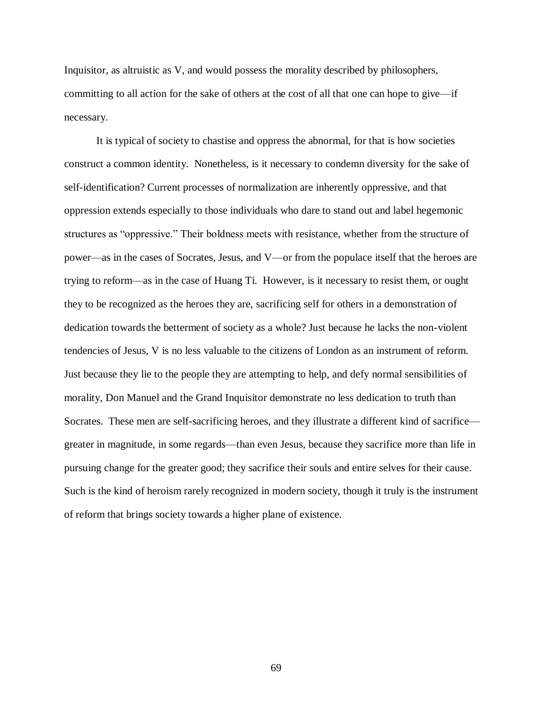Inquisitor, as altruistic as V, and would possess the morality described by philosophers, committing to all action for the sake of others at the cost of all that one can hope to give—if necessary.

It is typical of society to chastise and oppress the abnormal, for that is how societies construct a common identity. Nonetheless, is it necessary to condemn diversity for the sake of self-identification? Current processes of normalization are inherently oppressive, and that oppression extends especially to those individuals who dare to stand out and label hegemonic structures as "oppressive." Their boldness meets with resistance, whether from the structure of power—as in the cases of Socrates, Jesus, and V—or from the populace itself that the heroes are trying to reform—as in the case of Huang Ti. However, is it necessary to resist them, or ought they to be recognized as the heroes they are, sacrificing self for others in a demonstration of dedication towards the betterment of society as a whole? Just because he lacks the non-violent tendencies of Jesus, V is no less valuable to the citizens of London as an instrument of reform. Just because they lie to the people they are attempting to help, and defy normal sensibilities of morality, Don Manuel and the Grand Inquisitor demonstrate no less dedication to truth than Socrates. These men are self-sacrificing heroes, and they illustrate a different kind of sacrifice greater in magnitude, in some regards—than even Jesus, because they sacrifice more than life in pursuing change for the greater good; they sacrifice their souls and entire selves for their cause. Such is the kind of heroism rarely recognized in modern society, though it truly is the instrument of reform that brings society towards a higher plane of existence.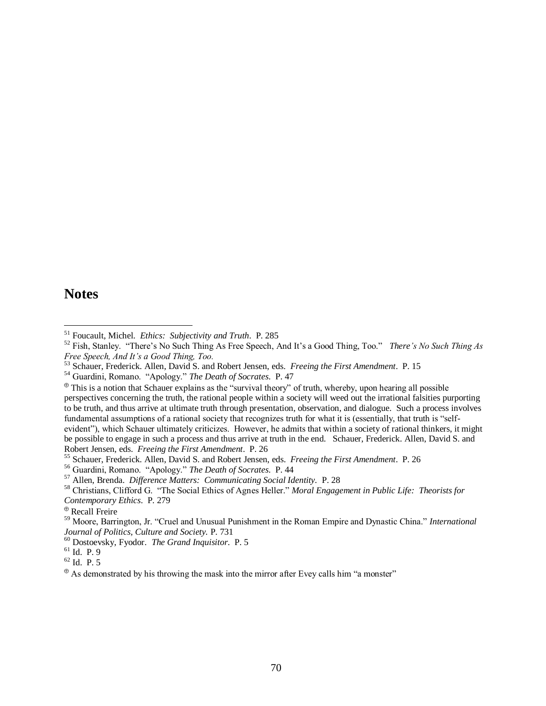### **Notes**

 $\overline{a}$ 

<sup>51</sup> Foucault, Michel. *Ethics: Subjectivity and Truth*. P. 285

<sup>&</sup>lt;sup>52</sup> Fish, Stanley. "There's No Such Thing As Free Speech, And It's a Good Thing, Too." *There's No Such Thing As Free Speech, And It's a Good Thing, Too.*

<sup>53</sup> Schauer, Frederick. Allen, David S. and Robert Jensen, eds. *Freeing the First Amendment*. P. 15

<sup>54</sup> Guardini, Romano. "Apology." *The Death of Socrates*. P. 47

 $\bullet$  This is a notion that Schauer explains as the "survival theory" of truth, whereby, upon hearing all possible perspectives concerning the truth, the rational people within a society will weed out the irrational falsities purporting to be truth, and thus arrive at ultimate truth through presentation, observation, and dialogue. Such a process involves fundamental assumptions of a rational society that recognizes truth for what it is (essentially, that truth is "selfevident"), which Schauer ultimately criticizes. However, he admits that within a society of rational thinkers, it might be possible to engage in such a process and thus arrive at truth in the end. Schauer, Frederick. Allen, David S. and Robert Jensen, eds. *Freeing the First Amendment*. P. 26

<sup>55</sup> Schauer, Frederick. Allen, David S. and Robert Jensen, eds. *Freeing the First Amendment*. P. 26

<sup>56</sup> Guardini, Romano. "Apology." *The Death of Socrates*. P. 44

<sup>57</sup> Allen, Brenda. *Difference Matters: Communicating Social Identity.* P. 28

<sup>58</sup> Christians, Clifford G. "The Social Ethics of Agnes Heller." *Moral Engagement in Public Life: Theorists for Contemporary Ethics*. P. 279

Recall Freire

<sup>59</sup> Moore, Barrington, Jr. "Cruel and Unusual Punishment in the Roman Empire and Dynastic China." *International Journal of Politics, Culture and Society.* P. 731

<sup>60</sup> Dostoevsky, Fyodor. *The Grand Inquisitor*. P. 5

<sup>61</sup> Id. P. 9

<sup>62</sup> Id. P. 5

 $\Phi$  As demonstrated by his throwing the mask into the mirror after Evey calls him "a monster"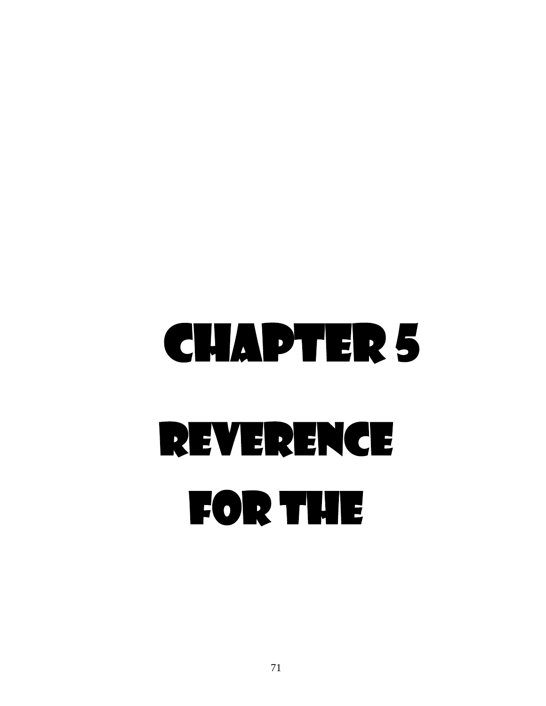# Chapter 5 Reverence for the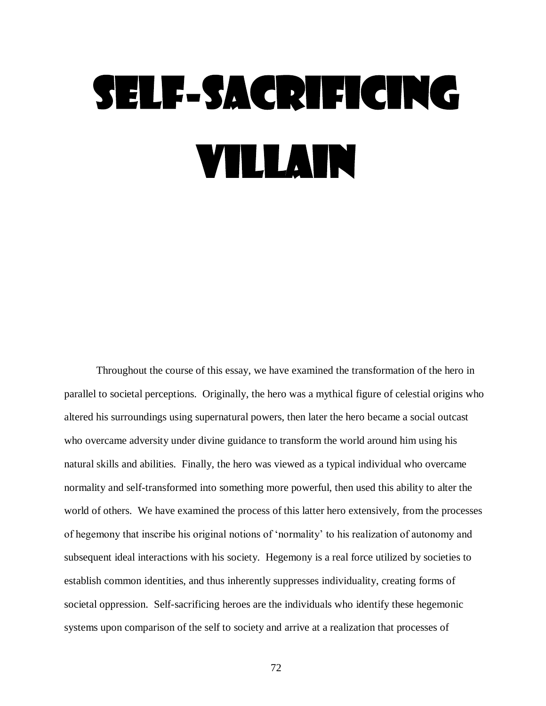## Self-Sacrificing Villain

Throughout the course of this essay, we have examined the transformation of the hero in parallel to societal perceptions. Originally, the hero was a mythical figure of celestial origins who altered his surroundings using supernatural powers, then later the hero became a social outcast who overcame adversity under divine guidance to transform the world around him using his natural skills and abilities. Finally, the hero was viewed as a typical individual who overcame normality and self-transformed into something more powerful, then used this ability to alter the world of others. We have examined the process of this latter hero extensively, from the processes of hegemony that inscribe his original notions of "normality" to his realization of autonomy and subsequent ideal interactions with his society. Hegemony is a real force utilized by societies to establish common identities, and thus inherently suppresses individuality, creating forms of societal oppression. Self-sacrificing heroes are the individuals who identify these hegemonic systems upon comparison of the self to society and arrive at a realization that processes of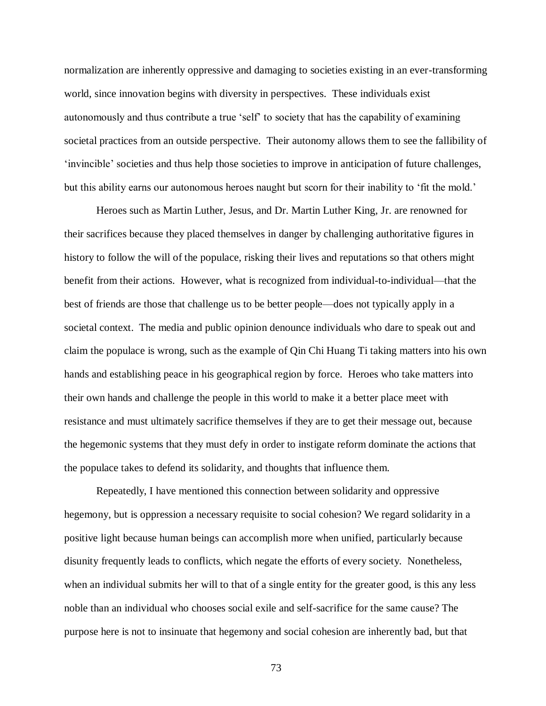normalization are inherently oppressive and damaging to societies existing in an ever-transforming world, since innovation begins with diversity in perspectives. These individuals exist autonomously and thus contribute a true "self" to society that has the capability of examining societal practices from an outside perspective. Their autonomy allows them to see the fallibility of "invincible" societies and thus help those societies to improve in anticipation of future challenges, but this ability earns our autonomous heroes naught but scorn for their inability to 'fit the mold.'

Heroes such as Martin Luther, Jesus, and Dr. Martin Luther King, Jr. are renowned for their sacrifices because they placed themselves in danger by challenging authoritative figures in history to follow the will of the populace, risking their lives and reputations so that others might benefit from their actions. However, what is recognized from individual-to-individual—that the best of friends are those that challenge us to be better people—does not typically apply in a societal context. The media and public opinion denounce individuals who dare to speak out and claim the populace is wrong, such as the example of Qin Chi Huang Ti taking matters into his own hands and establishing peace in his geographical region by force. Heroes who take matters into their own hands and challenge the people in this world to make it a better place meet with resistance and must ultimately sacrifice themselves if they are to get their message out, because the hegemonic systems that they must defy in order to instigate reform dominate the actions that the populace takes to defend its solidarity, and thoughts that influence them.

Repeatedly, I have mentioned this connection between solidarity and oppressive hegemony, but is oppression a necessary requisite to social cohesion? We regard solidarity in a positive light because human beings can accomplish more when unified, particularly because disunity frequently leads to conflicts, which negate the efforts of every society. Nonetheless, when an individual submits her will to that of a single entity for the greater good, is this any less noble than an individual who chooses social exile and self-sacrifice for the same cause? The purpose here is not to insinuate that hegemony and social cohesion are inherently bad, but that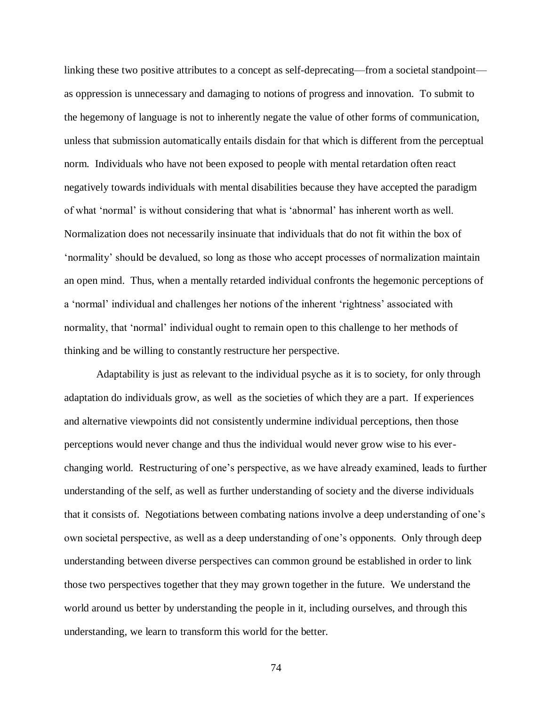linking these two positive attributes to a concept as self-deprecating—from a societal standpoint as oppression is unnecessary and damaging to notions of progress and innovation. To submit to the hegemony of language is not to inherently negate the value of other forms of communication, unless that submission automatically entails disdain for that which is different from the perceptual norm. Individuals who have not been exposed to people with mental retardation often react negatively towards individuals with mental disabilities because they have accepted the paradigm of what "normal" is without considering that what is "abnormal" has inherent worth as well. Normalization does not necessarily insinuate that individuals that do not fit within the box of "normality" should be devalued, so long as those who accept processes of normalization maintain an open mind. Thus, when a mentally retarded individual confronts the hegemonic perceptions of a "normal" individual and challenges her notions of the inherent "rightness" associated with normality, that 'normal' individual ought to remain open to this challenge to her methods of thinking and be willing to constantly restructure her perspective.

Adaptability is just as relevant to the individual psyche as it is to society, for only through adaptation do individuals grow, as well as the societies of which they are a part. If experiences and alternative viewpoints did not consistently undermine individual perceptions, then those perceptions would never change and thus the individual would never grow wise to his everchanging world. Restructuring of one"s perspective, as we have already examined, leads to further understanding of the self, as well as further understanding of society and the diverse individuals that it consists of. Negotiations between combating nations involve a deep understanding of one"s own societal perspective, as well as a deep understanding of one"s opponents. Only through deep understanding between diverse perspectives can common ground be established in order to link those two perspectives together that they may grown together in the future. We understand the world around us better by understanding the people in it, including ourselves, and through this understanding, we learn to transform this world for the better.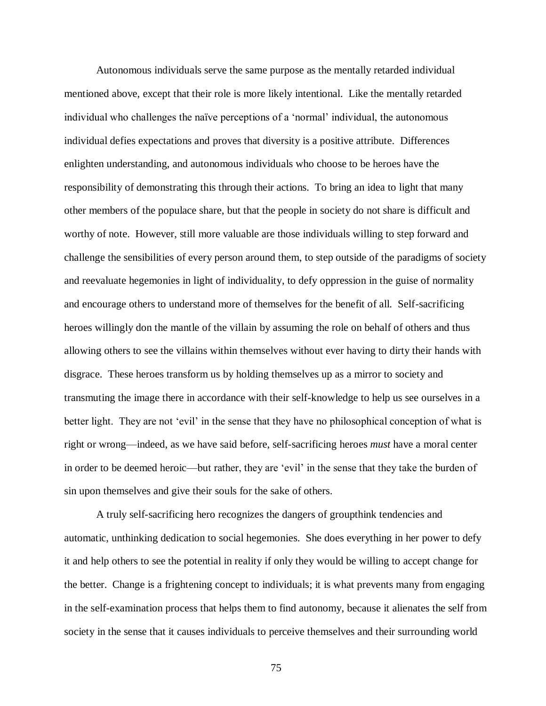Autonomous individuals serve the same purpose as the mentally retarded individual mentioned above, except that their role is more likely intentional. Like the mentally retarded individual who challenges the naïve perceptions of a "normal" individual, the autonomous individual defies expectations and proves that diversity is a positive attribute. Differences enlighten understanding, and autonomous individuals who choose to be heroes have the responsibility of demonstrating this through their actions. To bring an idea to light that many other members of the populace share, but that the people in society do not share is difficult and worthy of note. However, still more valuable are those individuals willing to step forward and challenge the sensibilities of every person around them, to step outside of the paradigms of society and reevaluate hegemonies in light of individuality, to defy oppression in the guise of normality and encourage others to understand more of themselves for the benefit of all. Self-sacrificing heroes willingly don the mantle of the villain by assuming the role on behalf of others and thus allowing others to see the villains within themselves without ever having to dirty their hands with disgrace. These heroes transform us by holding themselves up as a mirror to society and transmuting the image there in accordance with their self-knowledge to help us see ourselves in a better light. They are not 'evil' in the sense that they have no philosophical conception of what is right or wrong—indeed, as we have said before, self-sacrificing heroes *must* have a moral center in order to be deemed heroic—but rather, they are "evil" in the sense that they take the burden of sin upon themselves and give their souls for the sake of others.

A truly self-sacrificing hero recognizes the dangers of groupthink tendencies and automatic, unthinking dedication to social hegemonies. She does everything in her power to defy it and help others to see the potential in reality if only they would be willing to accept change for the better. Change is a frightening concept to individuals; it is what prevents many from engaging in the self-examination process that helps them to find autonomy, because it alienates the self from society in the sense that it causes individuals to perceive themselves and their surrounding world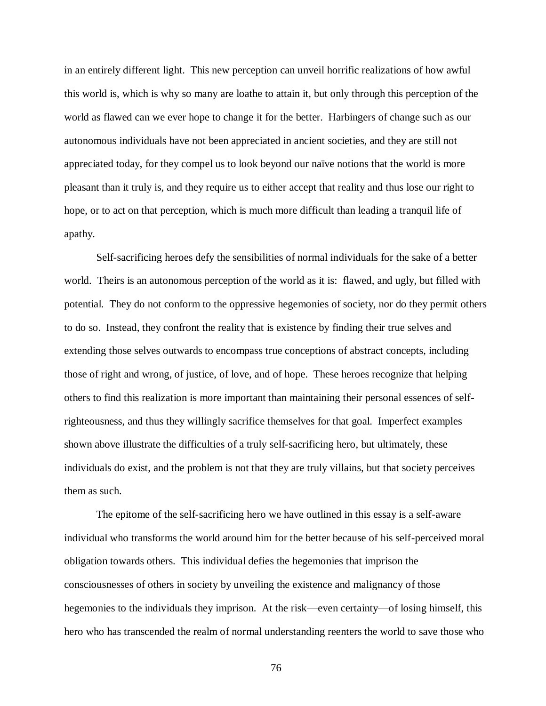in an entirely different light. This new perception can unveil horrific realizations of how awful this world is, which is why so many are loathe to attain it, but only through this perception of the world as flawed can we ever hope to change it for the better. Harbingers of change such as our autonomous individuals have not been appreciated in ancient societies, and they are still not appreciated today, for they compel us to look beyond our naïve notions that the world is more pleasant than it truly is, and they require us to either accept that reality and thus lose our right to hope, or to act on that perception, which is much more difficult than leading a tranquil life of apathy.

Self-sacrificing heroes defy the sensibilities of normal individuals for the sake of a better world. Theirs is an autonomous perception of the world as it is: flawed, and ugly, but filled with potential. They do not conform to the oppressive hegemonies of society, nor do they permit others to do so. Instead, they confront the reality that is existence by finding their true selves and extending those selves outwards to encompass true conceptions of abstract concepts, including those of right and wrong, of justice, of love, and of hope. These heroes recognize that helping others to find this realization is more important than maintaining their personal essences of selfrighteousness, and thus they willingly sacrifice themselves for that goal. Imperfect examples shown above illustrate the difficulties of a truly self-sacrificing hero, but ultimately, these individuals do exist, and the problem is not that they are truly villains, but that society perceives them as such.

The epitome of the self-sacrificing hero we have outlined in this essay is a self-aware individual who transforms the world around him for the better because of his self-perceived moral obligation towards others. This individual defies the hegemonies that imprison the consciousnesses of others in society by unveiling the existence and malignancy of those hegemonies to the individuals they imprison. At the risk—even certainty—of losing himself, this hero who has transcended the realm of normal understanding reenters the world to save those who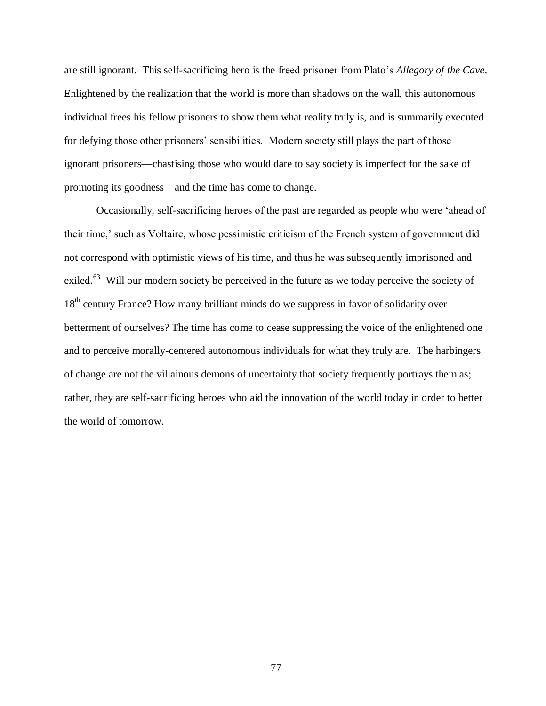are still ignorant. This self-sacrificing hero is the freed prisoner from Plato"s *Allegory of the Cave*. Enlightened by the realization that the world is more than shadows on the wall, this autonomous individual frees his fellow prisoners to show them what reality truly is, and is summarily executed for defying those other prisoners' sensibilities. Modern society still plays the part of those ignorant prisoners—chastising those who would dare to say society is imperfect for the sake of promoting its goodness—and the time has come to change.

Occasionally, self-sacrificing heroes of the past are regarded as people who were "ahead of their time," such as Voltaire, whose pessimistic criticism of the French system of government did not correspond with optimistic views of his time, and thus he was subsequently imprisoned and exiled.<sup>63</sup> Will our modern society be perceived in the future as we today perceive the society of 18<sup>th</sup> century France? How many brilliant minds do we suppress in favor of solidarity over betterment of ourselves? The time has come to cease suppressing the voice of the enlightened one and to perceive morally-centered autonomous individuals for what they truly are. The harbingers of change are not the villainous demons of uncertainty that society frequently portrays them as; rather, they are self-sacrificing heroes who aid the innovation of the world today in order to better the world of tomorrow.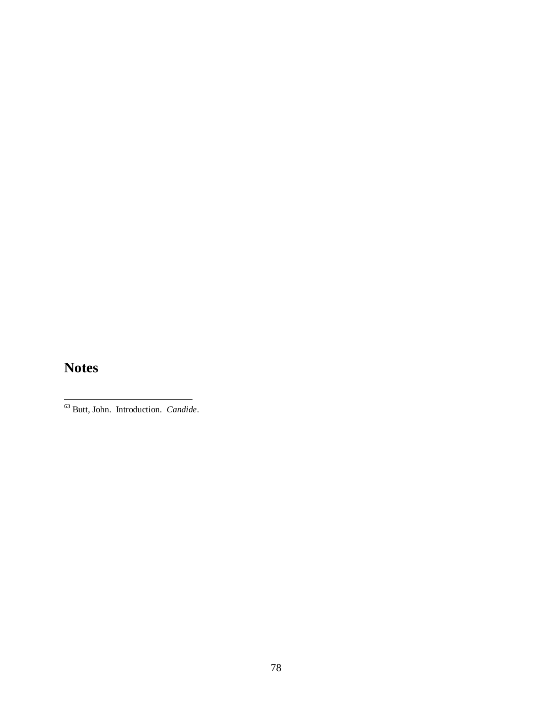### **Notes**

 $\overline{a}$ 

 $\overline{\phantom{0}}$ 

<sup>63</sup> Butt, John. Introduction. *Candide*.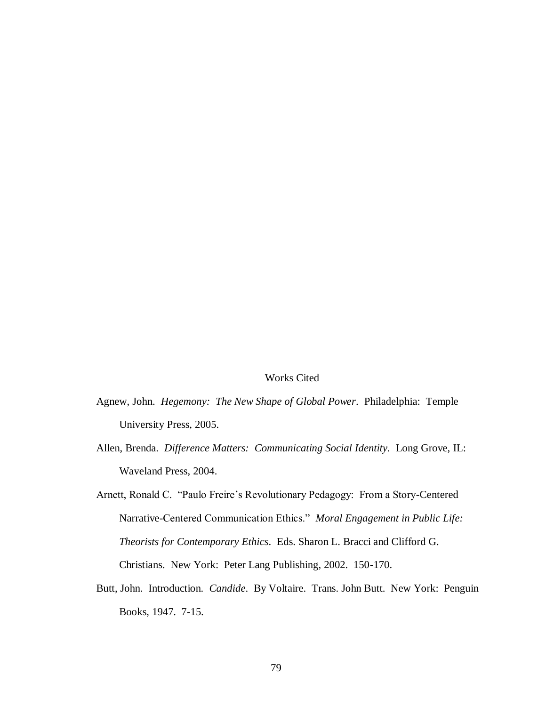#### Works Cited

- Agnew, John. *Hegemony: The New Shape of Global Power*. Philadelphia: Temple University Press, 2005.
- Allen, Brenda. *Difference Matters: Communicating Social Identity.* Long Grove, IL: Waveland Press, 2004.
- Arnett, Ronald C. "Paulo Freire"s Revolutionary Pedagogy: From a Story-Centered Narrative-Centered Communication Ethics." *Moral Engagement in Public Life: Theorists for Contemporary Ethics*. Eds. Sharon L. Bracci and Clifford G. Christians. New York: Peter Lang Publishing, 2002. 150-170.
- Butt, John. Introduction. *Candide*. By Voltaire. Trans. John Butt. New York: Penguin Books, 1947. 7-15.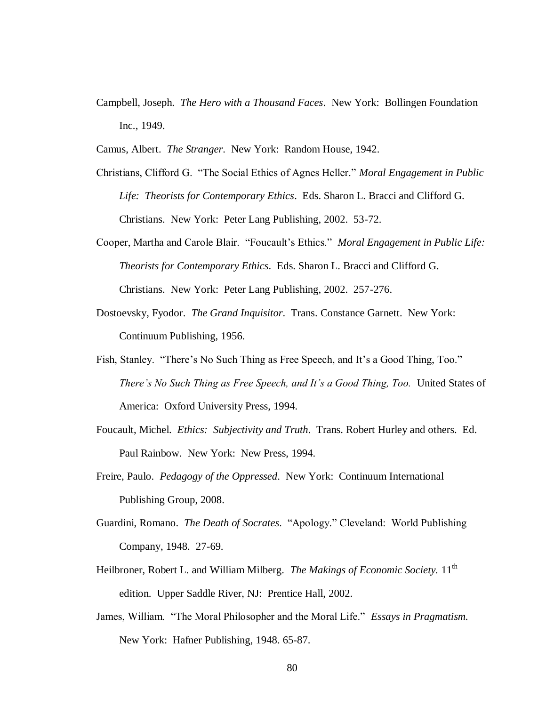Campbell, Joseph. *The Hero with a Thousand Faces*. New York: Bollingen Foundation Inc., 1949.

Camus, Albert. *The Stranger*. New York: Random House, 1942.

- Christians, Clifford G. "The Social Ethics of Agnes Heller." *Moral Engagement in Public Life: Theorists for Contemporary Ethics*. Eds. Sharon L. Bracci and Clifford G. Christians. New York: Peter Lang Publishing, 2002. 53-72.
- Cooper, Martha and Carole Blair. "Foucault"s Ethics." *Moral Engagement in Public Life: Theorists for Contemporary Ethics*. Eds. Sharon L. Bracci and Clifford G. Christians. New York: Peter Lang Publishing, 2002. 257-276.
- Dostoevsky, Fyodor. *The Grand Inquisitor*. Trans. Constance Garnett. New York: Continuum Publishing, 1956.
- Fish, Stanley. "There's No Such Thing as Free Speech, and It's a Good Thing, Too." *There's No Such Thing as Free Speech, and It's a Good Thing, Too. United States of* America: Oxford University Press, 1994.
- Foucault, Michel. *Ethics: Subjectivity and Truth*. Trans. Robert Hurley and others. Ed. Paul Rainbow. New York: New Press, 1994.
- Freire, Paulo. *Pedagogy of the Oppressed*. New York: Continuum International Publishing Group, 2008.
- Guardini, Romano. *The Death of Socrates*. "Apology." Cleveland: World Publishing Company, 1948. 27-69.
- Heilbroner, Robert L. and William Milberg. *The Makings of Economic Society*. 11<sup>th</sup> edition. Upper Saddle River, NJ: Prentice Hall, 2002.
- James, William. "The Moral Philosopher and the Moral Life." *Essays in Pragmatism.* New York: Hafner Publishing, 1948. 65-87.